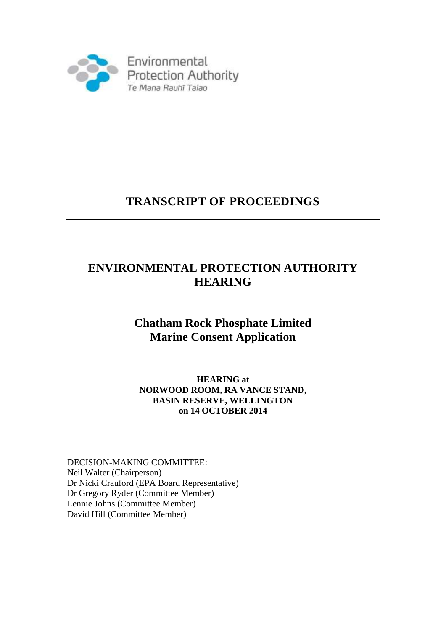

# **TRANSCRIPT OF PROCEEDINGS**

# **ENVIRONMENTAL PROTECTION AUTHORITY HEARING**

# **Chatham Rock Phosphate Limited Marine Consent Application**

# **HEARING at NORWOOD ROOM, RA VANCE STAND, BASIN RESERVE, WELLINGTON on 14 OCTOBER 2014**

DECISION-MAKING COMMITTEE: Neil Walter (Chairperson) Dr Nicki Crauford (EPA Board Representative) Dr Gregory Ryder (Committee Member) Lennie Johns (Committee Member) David Hill (Committee Member)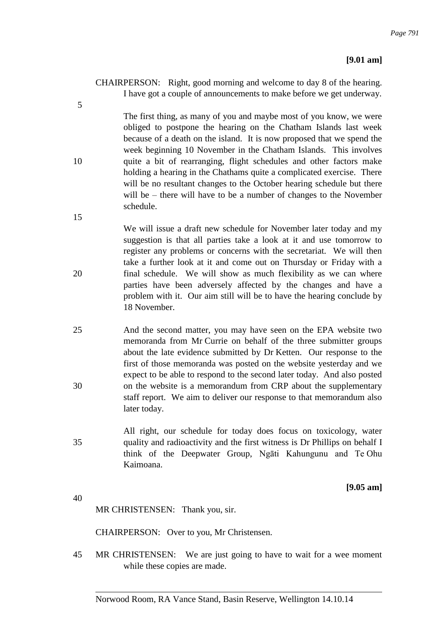CHAIRPERSON: Right, good morning and welcome to day 8 of the hearing. I have got a couple of announcements to make before we get underway.

5

The first thing, as many of you and maybe most of you know, we were obliged to postpone the hearing on the Chatham Islands last week because of a death on the island. It is now proposed that we spend the week beginning 10 November in the Chatham Islands. This involves 10 quite a bit of rearranging, flight schedules and other factors make holding a hearing in the Chathams quite a complicated exercise. There will be no resultant changes to the October hearing schedule but there will be – there will have to be a number of changes to the November schedule.

15

We will issue a draft new schedule for November later today and my suggestion is that all parties take a look at it and use tomorrow to register any problems or concerns with the secretariat. We will then take a further look at it and come out on Thursday or Friday with a 20 final schedule. We will show as much flexibility as we can where parties have been adversely affected by the changes and have a problem with it. Our aim still will be to have the hearing conclude by 18 November.

- 25 And the second matter, you may have seen on the EPA website two memoranda from Mr Currie on behalf of the three submitter groups about the late evidence submitted by Dr Ketten. Our response to the first of those memoranda was posted on the website yesterday and we expect to be able to respond to the second later today. And also posted 30 on the website is a memorandum from CRP about the supplementary staff report. We aim to deliver our response to that memorandum also later today.
- All right, our schedule for today does focus on toxicology, water 35 quality and radioactivity and the first witness is Dr Phillips on behalf I think of the Deepwater Group, Ngāti Kahungunu and Te Ohu Kaimoana.

**[9.05 am]**

40

MR CHRISTENSEN: Thank you, sir.

CHAIRPERSON: Over to you, Mr Christensen.

45 MR CHRISTENSEN: We are just going to have to wait for a wee moment while these copies are made.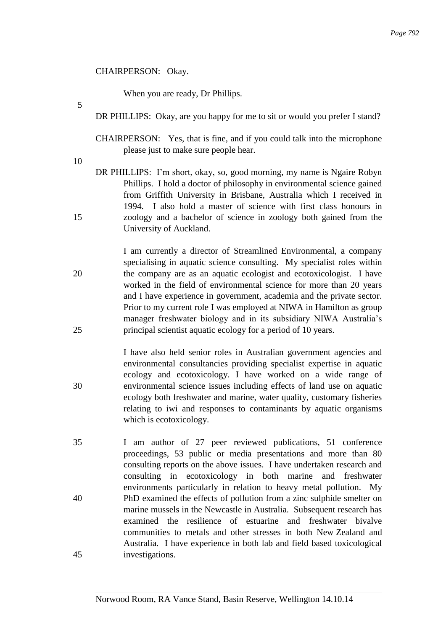# CHAIRPERSON: Okay.

When you are ready, Dr Phillips.

- DR PHILLIPS: Okay, are you happy for me to sit or would you prefer I stand?
- CHAIRPERSON: Yes, that is fine, and if you could talk into the microphone please just to make sure people hear.

10

5

DR PHILLIPS: I'm short, okay, so, good morning, my name is Ngaire Robyn Phillips. I hold a doctor of philosophy in environmental science gained from Griffith University in Brisbane, Australia which I received in 1994. I also hold a master of science with first class honours in 15 zoology and a bachelor of science in zoology both gained from the University of Auckland.

I am currently a director of Streamlined Environmental, a company specialising in aquatic science consulting. My specialist roles within 20 the company are as an aquatic ecologist and ecotoxicologist. I have worked in the field of environmental science for more than 20 years and I have experience in government, academia and the private sector. Prior to my current role I was employed at NIWA in Hamilton as group manager freshwater biology and in its subsidiary NIWA Australia's 25 principal scientist aquatic ecology for a period of 10 years.

- I have also held senior roles in Australian government agencies and environmental consultancies providing specialist expertise in aquatic ecology and ecotoxicology. I have worked on a wide range of 30 environmental science issues including effects of land use on aquatic ecology both freshwater and marine, water quality, customary fisheries relating to iwi and responses to contaminants by aquatic organisms which is ecotoxicology.
- 35 I am author of 27 peer reviewed publications, 51 conference proceedings, 53 public or media presentations and more than 80 consulting reports on the above issues. I have undertaken research and consulting in ecotoxicology in both marine and freshwater environments particularly in relation to heavy metal pollution. My 40 PhD examined the effects of pollution from a zinc sulphide smelter on marine mussels in the Newcastle in Australia. Subsequent research has examined the resilience of estuarine and freshwater bivalve communities to metals and other stresses in both New Zealand and Australia. I have experience in both lab and field based toxicological 45 investigations.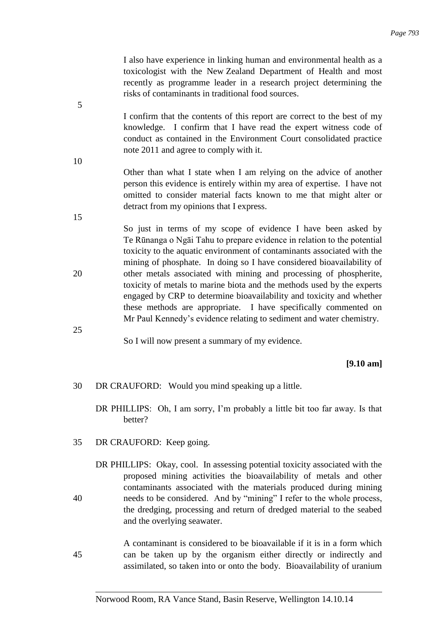I also have experience in linking human and environmental health as a toxicologist with the New Zealand Department of Health and most recently as programme leader in a research project determining the risks of contaminants in traditional food sources.

I confirm that the contents of this report are correct to the best of my knowledge. I confirm that I have read the expert witness code of conduct as contained in the Environment Court consolidated practice note 2011 and agree to comply with it.

Other than what I state when I am relying on the advice of another person this evidence is entirely within my area of expertise. I have not omitted to consider material facts known to me that might alter or detract from my opinions that I express.

So just in terms of my scope of evidence I have been asked by Te Rūnanga o Ngāi Tahu to prepare evidence in relation to the potential toxicity to the aquatic environment of contaminants associated with the mining of phosphate. In doing so I have considered bioavailability of 20 other metals associated with mining and processing of phospherite, toxicity of metals to marine biota and the methods used by the experts engaged by CRP to determine bioavailability and toxicity and whether these methods are appropriate. I have specifically commented on Mr Paul Kennedy's evidence relating to sediment and water chemistry.

25

5

10

15

So I will now present a summary of my evidence.

# **[9.10 am]**

- 30 DR CRAUFORD: Would you mind speaking up a little.
	- DR PHILLIPS: Oh, I am sorry, I'm probably a little bit too far away. Is that better?
- 35 DR CRAUFORD: Keep going.
- DR PHILLIPS: Okay, cool. In assessing potential toxicity associated with the proposed mining activities the bioavailability of metals and other contaminants associated with the materials produced during mining 40 needs to be considered. And by "mining" I refer to the whole process, the dredging, processing and return of dredged material to the seabed and the overlying seawater.

A contaminant is considered to be bioavailable if it is in a form which 45 can be taken up by the organism either directly or indirectly and assimilated, so taken into or onto the body. Bioavailability of uranium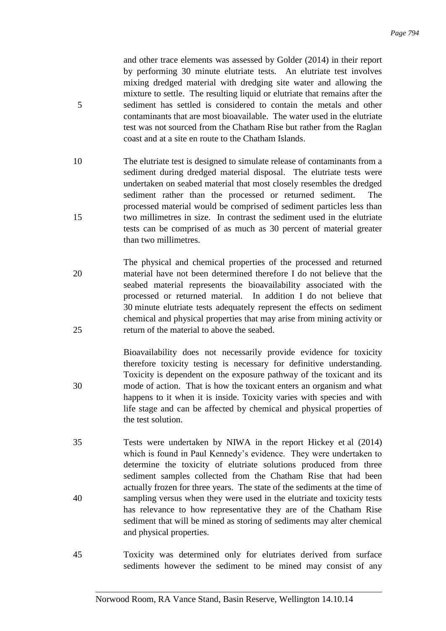and other trace elements was assessed by Golder (2014) in their report by performing 30 minute elutriate tests. An elutriate test involves mixing dredged material with dredging site water and allowing the mixture to settle. The resulting liquid or elutriate that remains after the 5 sediment has settled is considered to contain the metals and other contaminants that are most bioavailable. The water used in the elutriate test was not sourced from the Chatham Rise but rather from the Raglan coast and at a site en route to the Chatham Islands.

- 10 The elutriate test is designed to simulate release of contaminants from a sediment during dredged material disposal. The elutriate tests were undertaken on seabed material that most closely resembles the dredged sediment rather than the processed or returned sediment. The processed material would be comprised of sediment particles less than 15 two millimetres in size. In contrast the sediment used in the elutriate tests can be comprised of as much as 30 percent of material greater than two millimetres.
- The physical and chemical properties of the processed and returned 20 material have not been determined therefore I do not believe that the seabed material represents the bioavailability associated with the processed or returned material. In addition I do not believe that 30 minute elutriate tests adequately represent the effects on sediment chemical and physical properties that may arise from mining activity or 25 return of the material to above the seabed.

Bioavailability does not necessarily provide evidence for toxicity therefore toxicity testing is necessary for definitive understanding. Toxicity is dependent on the exposure pathway of the toxicant and its 30 mode of action. That is how the toxicant enters an organism and what happens to it when it is inside. Toxicity varies with species and with life stage and can be affected by chemical and physical properties of the test solution.

- 35 Tests were undertaken by NIWA in the report Hickey et al (2014) which is found in Paul Kennedy's evidence. They were undertaken to determine the toxicity of elutriate solutions produced from three sediment samples collected from the Chatham Rise that had been actually frozen for three years. The state of the sediments at the time of 40 sampling versus when they were used in the elutriate and toxicity tests has relevance to how representative they are of the Chatham Rise sediment that will be mined as storing of sediments may alter chemical and physical properties.
- 45 Toxicity was determined only for elutriates derived from surface sediments however the sediment to be mined may consist of any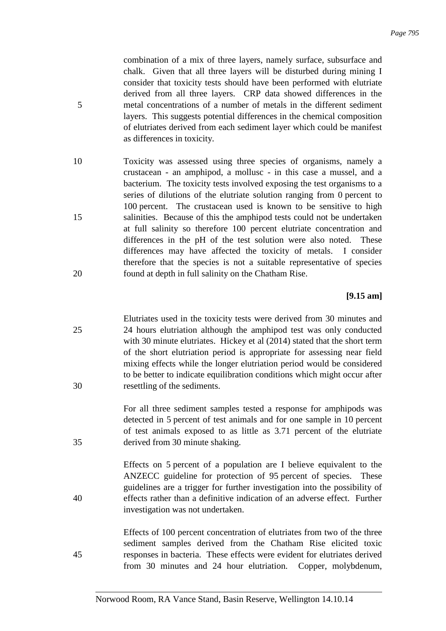combination of a mix of three layers, namely surface, subsurface and chalk. Given that all three layers will be disturbed during mining I consider that toxicity tests should have been performed with elutriate derived from all three layers. CRP data showed differences in the 5 metal concentrations of a number of metals in the different sediment layers. This suggests potential differences in the chemical composition of elutriates derived from each sediment layer which could be manifest as differences in toxicity.

10 Toxicity was assessed using three species of organisms, namely a crustacean - an amphipod, a mollusc - in this case a mussel, and a bacterium. The toxicity tests involved exposing the test organisms to a series of dilutions of the elutriate solution ranging from 0 percent to 100 percent. The crustacean used is known to be sensitive to high 15 salinities. Because of this the amphipod tests could not be undertaken at full salinity so therefore 100 percent elutriate concentration and differences in the pH of the test solution were also noted. These differences may have affected the toxicity of metals. I consider therefore that the species is not a suitable representative of species 20 found at depth in full salinity on the Chatham Rise.

# **[9.15 am]**

Elutriates used in the toxicity tests were derived from 30 minutes and 25 24 hours elutriation although the amphipod test was only conducted with 30 minute elutriates. Hickey et al (2014) stated that the short term of the short elutriation period is appropriate for assessing near field mixing effects while the longer elutriation period would be considered to be better to indicate equilibration conditions which might occur after 30 resettling of the sediments.

For all three sediment samples tested a response for amphipods was detected in 5 percent of test animals and for one sample in 10 percent of test animals exposed to as little as 3.71 percent of the elutriate 35 derived from 30 minute shaking.

Effects on 5 percent of a population are I believe equivalent to the ANZECC guideline for protection of 95 percent of species. These guidelines are a trigger for further investigation into the possibility of 40 effects rather than a definitive indication of an adverse effect. Further investigation was not undertaken.

Effects of 100 percent concentration of elutriates from two of the three sediment samples derived from the Chatham Rise elicited toxic 45 responses in bacteria. These effects were evident for elutriates derived from 30 minutes and 24 hour elutriation. Copper, molybdenum,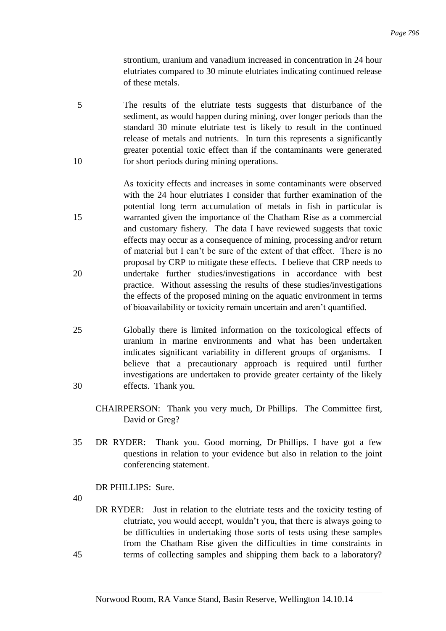strontium, uranium and vanadium increased in concentration in 24 hour elutriates compared to 30 minute elutriates indicating continued release of these metals.

- 5 The results of the elutriate tests suggests that disturbance of the sediment, as would happen during mining, over longer periods than the standard 30 minute elutriate test is likely to result in the continued release of metals and nutrients. In turn this represents a significantly greater potential toxic effect than if the contaminants were generated 10 for short periods during mining operations.
- As toxicity effects and increases in some contaminants were observed with the 24 hour elutriates I consider that further examination of the potential long term accumulation of metals in fish in particular is 15 warranted given the importance of the Chatham Rise as a commercial and customary fishery. The data I have reviewed suggests that toxic effects may occur as a consequence of mining, processing and/or return of material but I can't be sure of the extent of that effect. There is no proposal by CRP to mitigate these effects. I believe that CRP needs to 20 undertake further studies/investigations in accordance with best practice. Without assessing the results of these studies/investigations the effects of the proposed mining on the aquatic environment in terms of bioavailability or toxicity remain uncertain and aren't quantified.
- 25 Globally there is limited information on the toxicological effects of uranium in marine environments and what has been undertaken indicates significant variability in different groups of organisms. I believe that a precautionary approach is required until further investigations are undertaken to provide greater certainty of the likely 30 effects. Thank you.
	- CHAIRPERSON: Thank you very much, Dr Phillips. The Committee first, David or Greg?
- 35 DR RYDER: Thank you. Good morning, Dr Phillips. I have got a few questions in relation to your evidence but also in relation to the joint conferencing statement.
	- DR PHILLIPS: Sure.
- 40
- DR RYDER: Just in relation to the elutriate tests and the toxicity testing of elutriate, you would accept, wouldn't you, that there is always going to be difficulties in undertaking those sorts of tests using these samples from the Chatham Rise given the difficulties in time constraints in 45 terms of collecting samples and shipping them back to a laboratory?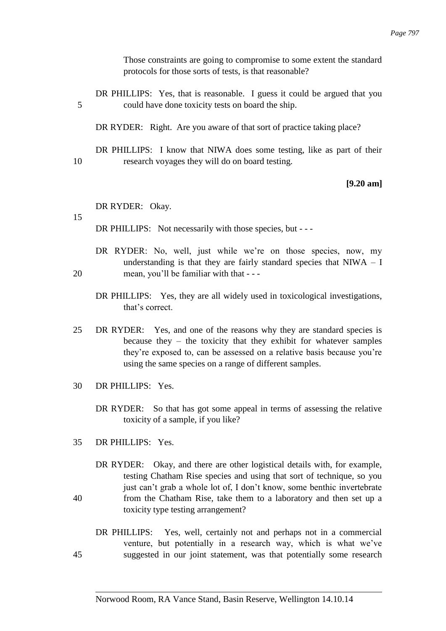Those constraints are going to compromise to some extent the standard protocols for those sorts of tests, is that reasonable?

DR PHILLIPS: Yes, that is reasonable. I guess it could be argued that you 5 could have done toxicity tests on board the ship.

DR RYDER: Right. Are you aware of that sort of practice taking place?

DR PHILLIPS: I know that NIWA does some testing, like as part of their 10 research voyages they will do on board testing.

### **[9.20 am]**

#### DR RYDER: Okay.

15

DR PHILLIPS: Not necessarily with those species, but - - -

- DR RYDER: No, well, just while we're on those species, now, my understanding is that they are fairly standard species that  $N I W A - I$ 20 mean, you'll be familiar with that - - -
	- DR PHILLIPS: Yes, they are all widely used in toxicological investigations, that's correct.
- 25 DR RYDER: Yes, and one of the reasons why they are standard species is because they – the toxicity that they exhibit for whatever samples they're exposed to, can be assessed on a relative basis because you're using the same species on a range of different samples.
- 30 DR PHILLIPS: Yes.
	- DR RYDER: So that has got some appeal in terms of assessing the relative toxicity of a sample, if you like?
- 35 DR PHILLIPS: Yes.
- DR RYDER: Okay, and there are other logistical details with, for example, testing Chatham Rise species and using that sort of technique, so you just can't grab a whole lot of, I don't know, some benthic invertebrate 40 from the Chatham Rise, take them to a laboratory and then set up a toxicity type testing arrangement?
- DR PHILLIPS: Yes, well, certainly not and perhaps not in a commercial venture, but potentially in a research way, which is what we've 45 suggested in our joint statement, was that potentially some research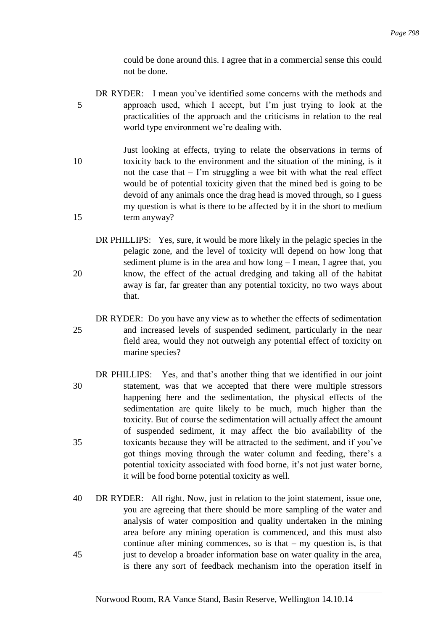could be done around this. I agree that in a commercial sense this could not be done.

- DR RYDER: I mean you've identified some concerns with the methods and 5 approach used, which I accept, but I'm just trying to look at the practicalities of the approach and the criticisms in relation to the real world type environment we're dealing with.
- Just looking at effects, trying to relate the observations in terms of 10 toxicity back to the environment and the situation of the mining, is it not the case that – I'm struggling a wee bit with what the real effect would be of potential toxicity given that the mined bed is going to be devoid of any animals once the drag head is moved through, so I guess my question is what is there to be affected by it in the short to medium 15 term anyway?
- DR PHILLIPS: Yes, sure, it would be more likely in the pelagic species in the pelagic zone, and the level of toxicity will depend on how long that sediment plume is in the area and how long – I mean, I agree that, you 20 know, the effect of the actual dredging and taking all of the habitat away is far, far greater than any potential toxicity, no two ways about that.
- DR RYDER: Do you have any view as to whether the effects of sedimentation 25 and increased levels of suspended sediment, particularly in the near field area, would they not outweigh any potential effect of toxicity on marine species?
- DR PHILLIPS: Yes, and that's another thing that we identified in our joint 30 statement, was that we accepted that there were multiple stressors happening here and the sedimentation, the physical effects of the sedimentation are quite likely to be much, much higher than the toxicity. But of course the sedimentation will actually affect the amount of suspended sediment, it may affect the bio availability of the 35 toxicants because they will be attracted to the sediment, and if you've got things moving through the water column and feeding, there's a potential toxicity associated with food borne, it's not just water borne, it will be food borne potential toxicity as well.
- 40 DR RYDER: All right. Now, just in relation to the joint statement, issue one, you are agreeing that there should be more sampling of the water and analysis of water composition and quality undertaken in the mining area before any mining operation is commenced, and this must also continue after mining commences, so is that  $-$  my question is, is that 45 just to develop a broader information base on water quality in the area, is there any sort of feedback mechanism into the operation itself in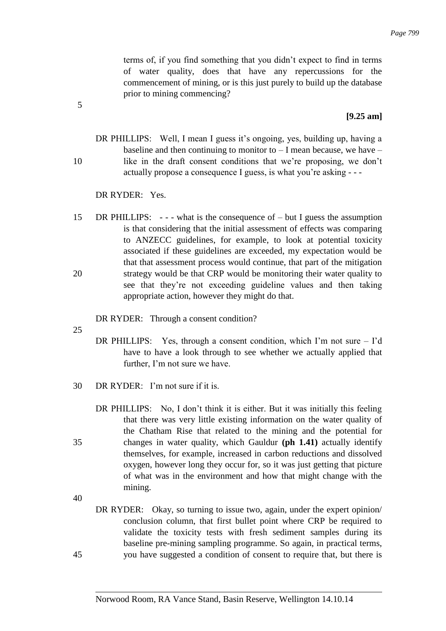terms of, if you find something that you didn't expect to find in terms of water quality, does that have any repercussions for the commencement of mining, or is this just purely to build up the database prior to mining commencing?

### **[9.25 am]**

DR PHILLIPS: Well, I mean I guess it's ongoing, yes, building up, having a baseline and then continuing to monitor to  $-$  I mean because, we have  $-$ 10 like in the draft consent conditions that we're proposing, we don't actually propose a consequence I guess, is what you're asking - - -

DR RYDER: Yes.

15 DR PHILLIPS: - - - what is the consequence of – but I guess the assumption is that considering that the initial assessment of effects was comparing to ANZECC guidelines, for example, to look at potential toxicity associated if these guidelines are exceeded, my expectation would be that that assessment process would continue, that part of the mitigation 20 strategy would be that CRP would be monitoring their water quality to see that they're not exceeding guideline values and then taking appropriate action, however they might do that.

DR RYDER: Through a consent condition?

25

- DR PHILLIPS: Yes, through a consent condition, which I'm not sure  $-$  I'd have to have a look through to see whether we actually applied that further, I'm not sure we have.
- $30$  DR RYDER: I'm not sure if it is.
- DR PHILLIPS: No, I don't think it is either. But it was initially this feeling that there was very little existing information on the water quality of the Chatham Rise that related to the mining and the potential for 35 changes in water quality, which Gauldur **(ph 1.41)** actually identify themselves, for example, increased in carbon reductions and dissolved oxygen, however long they occur for, so it was just getting that picture of what was in the environment and how that might change with the mining.

40

DR RYDER: Okay, so turning to issue two, again, under the expert opinion/ conclusion column, that first bullet point where CRP be required to validate the toxicity tests with fresh sediment samples during its baseline pre-mining sampling programme. So again, in practical terms, 45 you have suggested a condition of consent to require that, but there is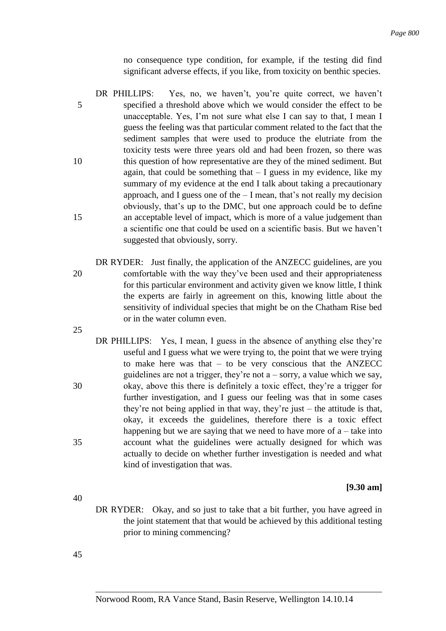no consequence type condition, for example, if the testing did find significant adverse effects, if you like, from toxicity on benthic species.

- DR PHILLIPS: Yes, no, we haven't, you're quite correct, we haven't 5 specified a threshold above which we would consider the effect to be unacceptable. Yes, I'm not sure what else I can say to that, I mean I guess the feeling was that particular comment related to the fact that the sediment samples that were used to produce the elutriate from the toxicity tests were three years old and had been frozen, so there was 10 this question of how representative are they of the mined sediment. But again, that could be something that  $-1$  guess in my evidence, like my summary of my evidence at the end I talk about taking a precautionary approach, and I guess one of the  $-$  I mean, that's not really my decision obviously, that's up to the DMC, but one approach could be to define 15 an acceptable level of impact, which is more of a value judgement than a scientific one that could be used on a scientific basis. But we haven't suggested that obviously, sorry.
- DR RYDER: Just finally, the application of the ANZECC guidelines, are you 20 comfortable with the way they've been used and their appropriateness for this particular environment and activity given we know little, I think the experts are fairly in agreement on this, knowing little about the sensitivity of individual species that might be on the Chatham Rise bed or in the water column even. 25
- DR PHILLIPS: Yes, I mean, I guess in the absence of anything else they're useful and I guess what we were trying to, the point that we were trying to make here was that – to be very conscious that the ANZECC guidelines are not a trigger, they're not  $a$  – sorry, a value which we say, 30 okay, above this there is definitely a toxic effect, they're a trigger for further investigation, and I guess our feeling was that in some cases they're not being applied in that way, they're just – the attitude is that, okay, it exceeds the guidelines, therefore there is a toxic effect happening but we are saying that we need to have more of  $a$  – take into 35 account what the guidelines were actually designed for which was actually to decide on whether further investigation is needed and what kind of investigation that was.

## **[9.30 am]**

DR RYDER: Okay, and so just to take that a bit further, you have agreed in the joint statement that that would be achieved by this additional testing prior to mining commencing?

45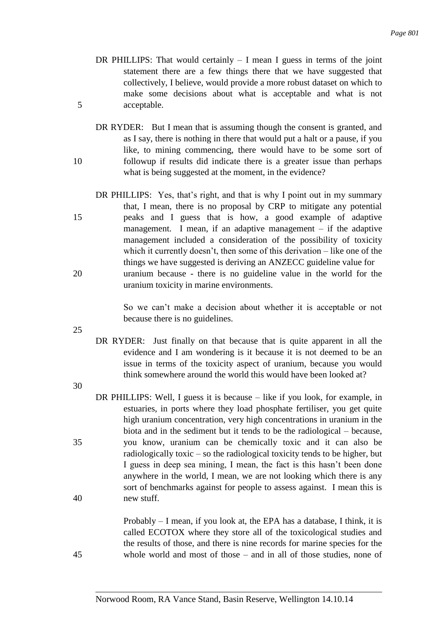- DR PHILLIPS: That would certainly  $I$  mean I guess in terms of the joint statement there are a few things there that we have suggested that collectively, I believe, would provide a more robust dataset on which to make some decisions about what is acceptable and what is not 5 acceptable.
- DR RYDER: But I mean that is assuming though the consent is granted, and as I say, there is nothing in there that would put a halt or a pause, if you like, to mining commencing, there would have to be some sort of 10 followup if results did indicate there is a greater issue than perhaps what is being suggested at the moment, in the evidence?
- DR PHILLIPS: Yes, that's right, and that is why I point out in my summary that, I mean, there is no proposal by CRP to mitigate any potential 15 peaks and I guess that is how, a good example of adaptive management. I mean, if an adaptive management – if the adaptive management included a consideration of the possibility of toxicity which it currently doesn't, then some of this derivation – like one of the things we have suggested is deriving an ANZECC guideline value for 20 uranium because - there is no guideline value in the world for the uranium toxicity in marine environments.

So we can't make a decision about whether it is acceptable or not because there is no guidelines.

25

DR RYDER: Just finally on that because that is quite apparent in all the evidence and I am wondering is it because it is not deemed to be an issue in terms of the toxicity aspect of uranium, because you would think somewhere around the world this would have been looked at?

30

DR PHILLIPS: Well, I guess it is because – like if you look, for example, in estuaries, in ports where they load phosphate fertiliser, you get quite high uranium concentration, very high concentrations in uranium in the biota and in the sediment but it tends to be the radiological – because, 35 you know, uranium can be chemically toxic and it can also be radiologically toxic – so the radiological toxicity tends to be higher, but I guess in deep sea mining, I mean, the fact is this hasn't been done anywhere in the world, I mean, we are not looking which there is any sort of benchmarks against for people to assess against. I mean this is 40 new stuff.

Probably – I mean, if you look at, the EPA has a database, I think, it is called ECOTOX where they store all of the toxicological studies and the results of those, and there is nine records for marine species for the 45 whole world and most of those – and in all of those studies, none of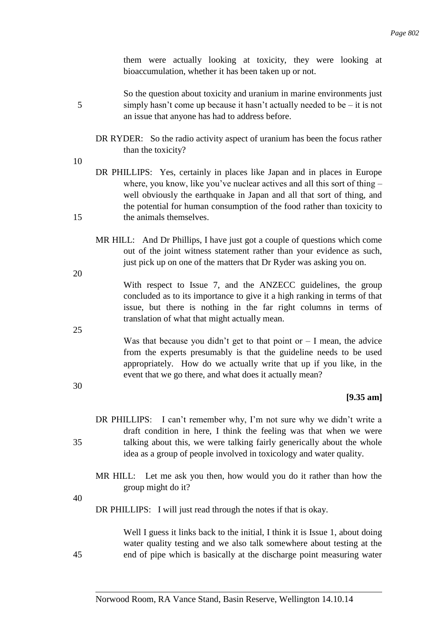them were actually looking at toxicity, they were looking at bioaccumulation, whether it has been taken up or not.

- So the question about toxicity and uranium in marine environments just 5 simply hasn't come up because it hasn't actually needed to be – it is not an issue that anyone has had to address before.
	- DR RYDER: So the radio activity aspect of uranium has been the focus rather than the toxicity?
- 10

20

25

30

- DR PHILLIPS: Yes, certainly in places like Japan and in places in Europe where, you know, like you've nuclear actives and all this sort of thing – well obviously the earthquake in Japan and all that sort of thing, and the potential for human consumption of the food rather than toxicity to 15 the animals themselves.
	- MR HILL: And Dr Phillips, I have just got a couple of questions which come out of the joint witness statement rather than your evidence as such, just pick up on one of the matters that Dr Ryder was asking you on.

With respect to Issue 7, and the ANZECC guidelines, the group concluded as to its importance to give it a high ranking in terms of that issue, but there is nothing in the far right columns in terms of translation of what that might actually mean.

Was that because you didn't get to that point or  $-$  I mean, the advice from the experts presumably is that the guideline needs to be used appropriately. How do we actually write that up if you like, in the event that we go there, and what does it actually mean?

## **[9.35 am]**

- DR PHILLIPS: I can't remember why, I'm not sure why we didn't write a draft condition in here, I think the feeling was that when we were 35 talking about this, we were talking fairly generically about the whole idea as a group of people involved in toxicology and water quality.
	- MR HILL: Let me ask you then, how would you do it rather than how the group might do it?

40

DR PHILLIPS: I will just read through the notes if that is okay.

Well I guess it links back to the initial, I think it is Issue 1, about doing water quality testing and we also talk somewhere about testing at the 45 end of pipe which is basically at the discharge point measuring water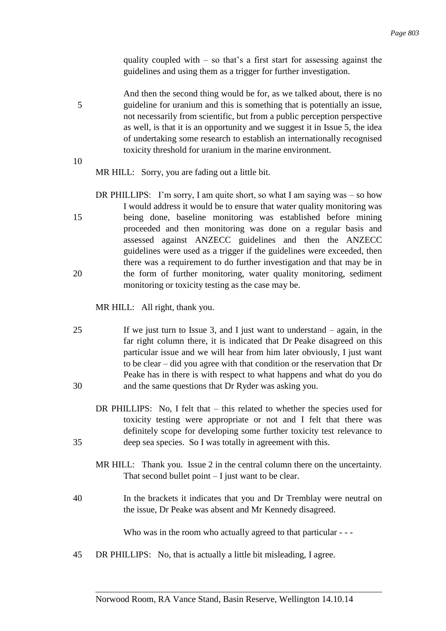quality coupled with  $-$  so that's a first start for assessing against the guidelines and using them as a trigger for further investigation.

And then the second thing would be for, as we talked about, there is no 5 guideline for uranium and this is something that is potentially an issue, not necessarily from scientific, but from a public perception perspective as well, is that it is an opportunity and we suggest it in Issue 5, the idea of undertaking some research to establish an internationally recognised toxicity threshold for uranium in the marine environment.

10

MR HILL: Sorry, you are fading out a little bit.

DR PHILLIPS: I'm sorry, I am quite short, so what I am saying was – so how I would address it would be to ensure that water quality monitoring was 15 being done, baseline monitoring was established before mining proceeded and then monitoring was done on a regular basis and assessed against ANZECC guidelines and then the ANZECC guidelines were used as a trigger if the guidelines were exceeded, then there was a requirement to do further investigation and that may be in 20 the form of further monitoring, water quality monitoring, sediment monitoring or toxicity testing as the case may be.

MR HILL: All right, thank you.

- 25 If we just turn to Issue 3, and I just want to understand again, in the far right column there, it is indicated that Dr Peake disagreed on this particular issue and we will hear from him later obviously, I just want to be clear – did you agree with that condition or the reservation that Dr Peake has in there is with respect to what happens and what do you do 30 and the same questions that Dr Ryder was asking you.
- DR PHILLIPS: No, I felt that this related to whether the species used for toxicity testing were appropriate or not and I felt that there was definitely scope for developing some further toxicity test relevance to 35 deep sea species. So I was totally in agreement with this.
	- MR HILL: Thank you. Issue 2 in the central column there on the uncertainty. That second bullet point  $-I$  just want to be clear.
- 40 In the brackets it indicates that you and Dr Tremblay were neutral on the issue, Dr Peake was absent and Mr Kennedy disagreed.

Who was in the room who actually agreed to that particular - - -

45 DR PHILLIPS: No, that is actually a little bit misleading, I agree.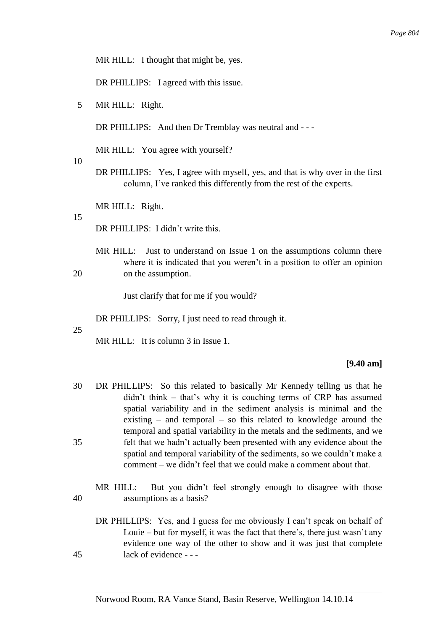MR HILL: I thought that might be, yes.

DR PHILLIPS: I agreed with this issue.

5 MR HILL: Right.

DR PHILLIPS: And then Dr Tremblay was neutral and - - -

MR HILL: You agree with yourself?

- 10
- DR PHILLIPS: Yes, I agree with myself, yes, and that is why over in the first column, I've ranked this differently from the rest of the experts.

MR HILL: Right.

#### 15

DR PHILLIPS: I didn't write this.

MR HILL: Just to understand on Issue 1 on the assumptions column there where it is indicated that you weren't in a position to offer an opinion 20 on the assumption.

Just clarify that for me if you would?

DR PHILLIPS: Sorry, I just need to read through it.

25

MR HILL: It is column 3 in Issue 1.

#### **[9.40 am]**

- 30 DR PHILLIPS: So this related to basically Mr Kennedy telling us that he didn't think – that's why it is couching terms of CRP has assumed spatial variability and in the sediment analysis is minimal and the existing – and temporal – so this related to knowledge around the temporal and spatial variability in the metals and the sediments, and we 35 felt that we hadn't actually been presented with any evidence about the spatial and temporal variability of the sediments, so we couldn't make a comment – we didn't feel that we could make a comment about that.
- MR HILL: But you didn't feel strongly enough to disagree with those 40 assumptions as a basis?
- DR PHILLIPS: Yes, and I guess for me obviously I can't speak on behalf of Louie – but for myself, it was the fact that there's, there just wasn't any evidence one way of the other to show and it was just that complete 45 lack of evidence - - -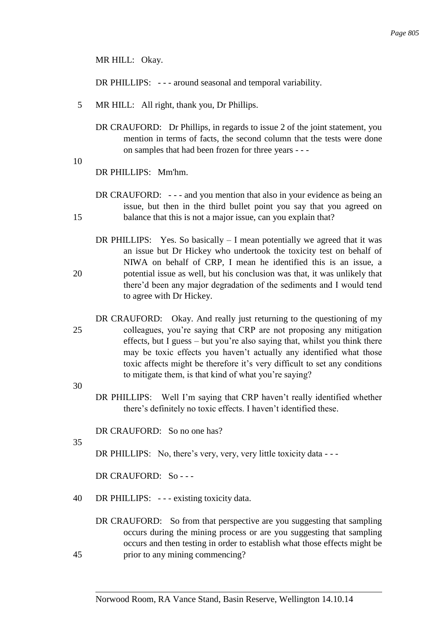MR HILL: Okay.

DR PHILLIPS: - - - around seasonal and temporal variability.

- 5 MR HILL: All right, thank you, Dr Phillips.
	- DR CRAUFORD: Dr Phillips, in regards to issue 2 of the joint statement, you mention in terms of facts, the second column that the tests were done on samples that had been frozen for three years - - -
- 10

DR PHILLIPS: Mm'hm.

- DR CRAUFORD: --- and you mention that also in your evidence as being an issue, but then in the third bullet point you say that you agreed on 15 balance that this is not a major issue, can you explain that?
- DR PHILLIPS: Yes. So basically  $I$  mean potentially we agreed that it was an issue but Dr Hickey who undertook the toxicity test on behalf of NIWA on behalf of CRP, I mean he identified this is an issue, a 20 potential issue as well, but his conclusion was that, it was unlikely that there'd been any major degradation of the sediments and I would tend to agree with Dr Hickey.
- DR CRAUFORD: Okay. And really just returning to the questioning of my 25 colleagues, you're saying that CRP are not proposing any mitigation effects, but I guess – but you're also saying that, whilst you think there may be toxic effects you haven't actually any identified what those toxic affects might be therefore it's very difficult to set any conditions to mitigate them, is that kind of what you're saying?

30

DR PHILLIPS: Well I'm saying that CRP haven't really identified whether there's definitely no toxic effects. I haven't identified these.

DR CRAUFORD: So no one has?

35

DR PHILLIPS: No, there's very, very, very little toxicity data - - -

DR CRAUFORD: So - - -

40 DR PHILLIPS: - - - existing toxicity data.

DR CRAUFORD: So from that perspective are you suggesting that sampling occurs during the mining process or are you suggesting that sampling occurs and then testing in order to establish what those effects might be 45 prior to any mining commencing?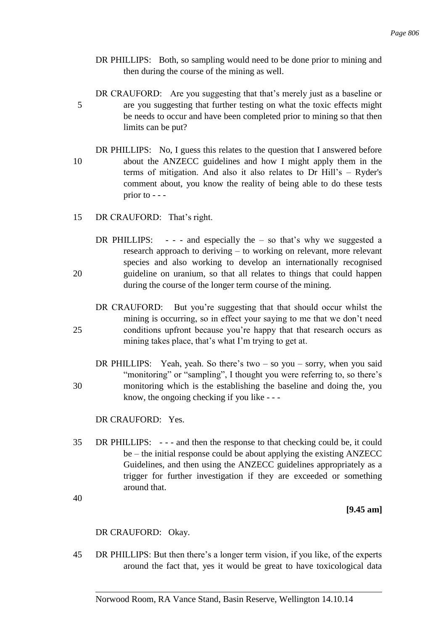- DR PHILLIPS: Both, so sampling would need to be done prior to mining and then during the course of the mining as well.
- DR CRAUFORD: Are you suggesting that that's merely just as a baseline or 5 are you suggesting that further testing on what the toxic effects might be needs to occur and have been completed prior to mining so that then limits can be put?
- DR PHILLIPS: No, I guess this relates to the question that I answered before 10 about the ANZECC guidelines and how I might apply them in the terms of mitigation. And also it also relates to Dr Hill's – Ryder's comment about, you know the reality of being able to do these tests prior to - - -
- 15 DR CRAUFORD: That's right.
- DR PHILLIPS:  $-$  and especially the  $-$  so that's why we suggested a research approach to deriving – to working on relevant, more relevant species and also working to develop an internationally recognised 20 guideline on uranium, so that all relates to things that could happen during the course of the longer term course of the mining.
- DR CRAUFORD: But you're suggesting that that should occur whilst the mining is occurring, so in effect your saying to me that we don't need 25 conditions upfront because you're happy that that research occurs as mining takes place, that's what I'm trying to get at.
- DR PHILLIPS: Yeah, yeah. So there's two so you sorry, when you said "monitoring" or "sampling", I thought you were referring to, so there's 30 monitoring which is the establishing the baseline and doing the, you know, the ongoing checking if you like - - -

DR CRAUFORD: Yes.

35 DR PHILLIPS: - - - and then the response to that checking could be, it could be – the initial response could be about applying the existing ANZECC Guidelines, and then using the ANZECC guidelines appropriately as a trigger for further investigation if they are exceeded or something around that.

40

**[9.45 am]**

DR CRAUFORD: Okay.

45 DR PHILLIPS: But then there's a longer term vision, if you like, of the experts around the fact that, yes it would be great to have toxicological data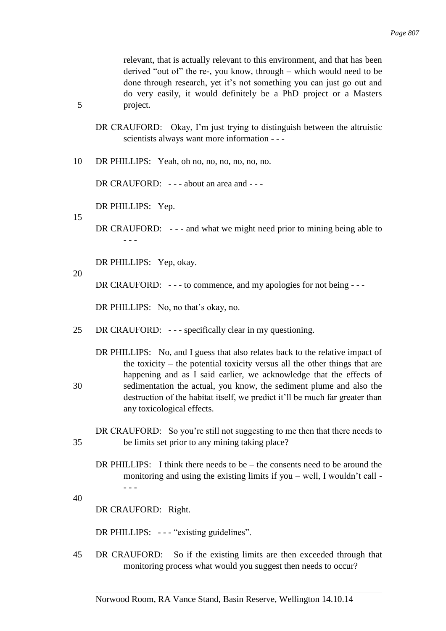relevant, that is actually relevant to this environment, and that has been derived "out of" the re-, you know, through – which would need to be done through research, yet it's not something you can just go out and do very easily, it would definitely be a PhD project or a Masters 5 project.

- DR CRAUFORD: Okay, I'm just trying to distinguish between the altruistic scientists always want more information - - -
- 10 DR PHILLIPS: Yeah, oh no, no, no, no, no, no.

DR CRAUFORD: --- about an area and ---

DR PHILLIPS: Yep.

15

DR CRAUFORD: --- and what we might need prior to mining being able to - - -

DR PHILLIPS: Yep, okay.

20

DR CRAUFORD: --- to commence, and my apologies for not being ---

DR PHILLIPS: No, no that's okay, no.

25 DR CRAUFORD: - - - specifically clear in my questioning.

DR PHILLIPS: No, and I guess that also relates back to the relative impact of the toxicity – the potential toxicity versus all the other things that are happening and as I said earlier, we acknowledge that the effects of 30 sedimentation the actual, you know, the sediment plume and also the destruction of the habitat itself, we predict it'll be much far greater than any toxicological effects.

DR CRAUFORD: So you're still not suggesting to me then that there needs to 35 be limits set prior to any mining taking place?

- DR PHILLIPS: I think there needs to be the consents need to be around the monitoring and using the existing limits if you – well, I wouldn't call - - - -
- 40

DR CRAUFORD: Right.

DR PHILLIPS: --- "existing guidelines".

45 DR CRAUFORD: So if the existing limits are then exceeded through that monitoring process what would you suggest then needs to occur?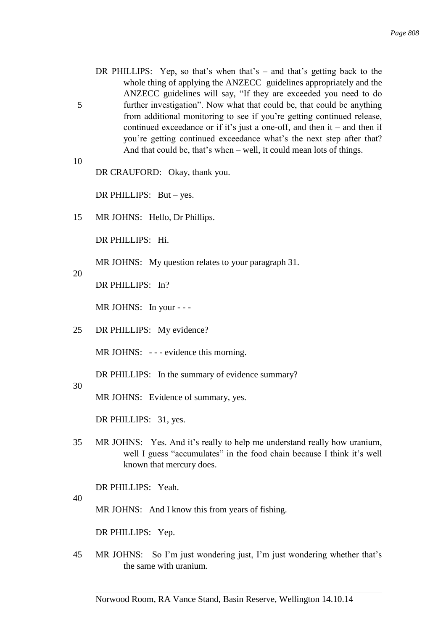- DR PHILLIPS: Yep, so that's when that's and that's getting back to the whole thing of applying the ANZECC guidelines appropriately and the ANZECC guidelines will say, "If they are exceeded you need to do 5 further investigation". Now what that could be, that could be anything from additional monitoring to see if you're getting continued release, continued exceedance or if it's just a one-off, and then it – and then if you're getting continued exceedance what's the next step after that? And that could be, that's when – well, it could mean lots of things.
- 10 DR CRAUFORD: Okay, thank you.

DR PHILLIPS: But – yes.

15 MR JOHNS: Hello, Dr Phillips.

DR PHILLIPS: Hi.

MR JOHNS: My question relates to your paragraph 31.

20

DR PHILLIPS: In?

MR JOHNS: In your - - -

25 DR PHILLIPS: My evidence?

MR JOHNS: --- evidence this morning.

DR PHILLIPS: In the summary of evidence summary?

30

MR JOHNS: Evidence of summary, yes.

DR PHILLIPS: 31, yes.

35 MR JOHNS: Yes. And it's really to help me understand really how uranium, well I guess "accumulates" in the food chain because I think it's well known that mercury does.

DR PHILLIPS: Yeah.

40

MR JOHNS: And I know this from years of fishing.

DR PHILLIPS: Yep.

45 MR JOHNS: So I'm just wondering just, I'm just wondering whether that's the same with uranium.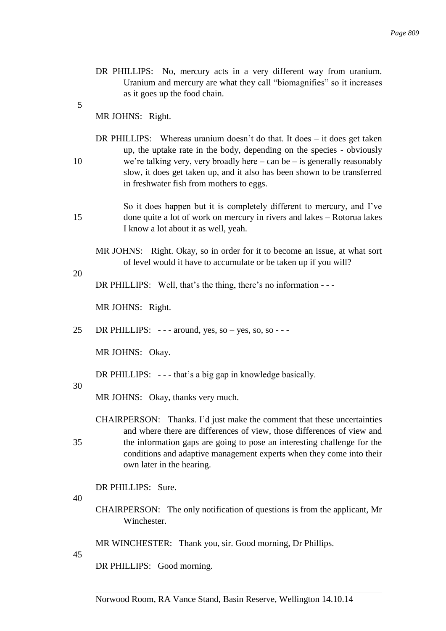- DR PHILLIPS: No, mercury acts in a very different way from uranium. Uranium and mercury are what they call "biomagnifies" so it increases as it goes up the food chain.
- 5

MR JOHNS: Right.

- DR PHILLIPS: Whereas uranium doesn't do that. It does it does get taken up, the uptake rate in the body, depending on the species - obviously 10 we're talking very, very broadly here – can be – is generally reasonably slow, it does get taken up, and it also has been shown to be transferred in freshwater fish from mothers to eggs.
- So it does happen but it is completely different to mercury, and I've 15 done quite a lot of work on mercury in rivers and lakes – Rotorua lakes I know a lot about it as well, yeah.
	- MR JOHNS: Right. Okay, so in order for it to become an issue, at what sort of level would it have to accumulate or be taken up if you will?

20

DR PHILLIPS: Well, that's the thing, there's no information - - -

MR JOHNS: Right.

25 DR PHILLIPS:  $---$  around, yes, so  $-$  yes, so, so  $---$ 

MR JOHNS: Okay.

DR PHILLIPS: --- that's a big gap in knowledge basically.

30

MR JOHNS: Okay, thanks very much.

CHAIRPERSON: Thanks. I'd just make the comment that these uncertainties and where there are differences of view, those differences of view and 35 the information gaps are going to pose an interesting challenge for the conditions and adaptive management experts when they come into their own later in the hearing.

DR PHILLIPS: Sure.

40

- CHAIRPERSON: The only notification of questions is from the applicant, Mr Winchester.
- MR WINCHESTER: Thank you, sir. Good morning, Dr Phillips.

45

DR PHILLIPS: Good morning.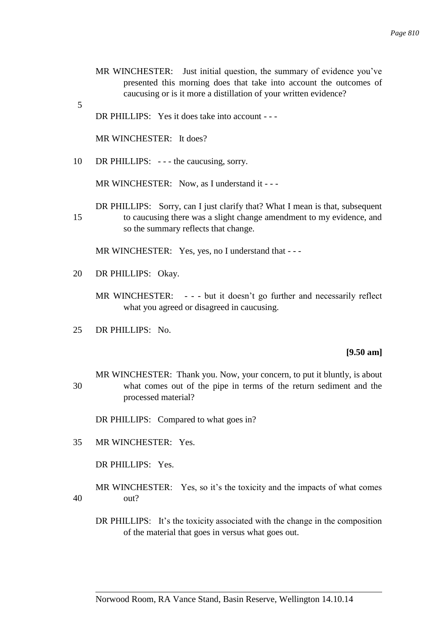- MR WINCHESTER: Just initial question, the summary of evidence you've presented this morning does that take into account the outcomes of caucusing or is it more a distillation of your written evidence?
- DR PHILLIPS: Yes it does take into account - -

MR WINCHESTER: It does?

5

10 DR PHILLIPS: --- the caucusing, sorry.

MR WINCHESTER: Now, as I understand it - - -

DR PHILLIPS: Sorry, can I just clarify that? What I mean is that, subsequent 15 to caucusing there was a slight change amendment to my evidence, and so the summary reflects that change.

MR WINCHESTER: Yes, yes, no I understand that - - -

20 DR PHILLIPS: Okay.

MR WINCHESTER: - - - but it doesn't go further and necessarily reflect what you agreed or disagreed in caucusing.

25 DR PHILLIPS: No.

#### **[9.50 am]**

MR WINCHESTER: Thank you. Now, your concern, to put it bluntly, is about 30 what comes out of the pipe in terms of the return sediment and the processed material?

DR PHILLIPS: Compared to what goes in?

35 MR WINCHESTER: Yes.

DR PHILLIPS: Yes.

MR WINCHESTER: Yes, so it's the toxicity and the impacts of what comes 40 out?

DR PHILLIPS: It's the toxicity associated with the change in the composition of the material that goes in versus what goes out.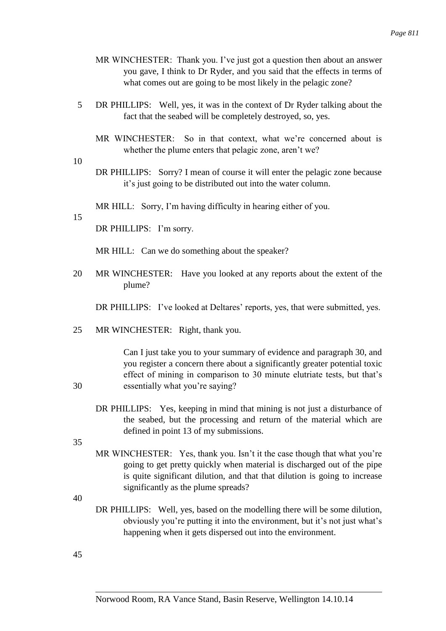- MR WINCHESTER: Thank you. I've just got a question then about an answer you gave, I think to Dr Ryder, and you said that the effects in terms of what comes out are going to be most likely in the pelagic zone?
- 5 DR PHILLIPS: Well, yes, it was in the context of Dr Ryder talking about the fact that the seabed will be completely destroyed, so, yes.
	- MR WINCHESTER: So in that context, what we're concerned about is whether the plume enters that pelagic zone, aren't we?
- 10
- DR PHILLIPS: Sorry? I mean of course it will enter the pelagic zone because it's just going to be distributed out into the water column.

MR HILL: Sorry, I'm having difficulty in hearing either of you.

### 15

DR PHILLIPS: I'm sorry.

MR HILL: Can we do something about the speaker?

20 MR WINCHESTER: Have you looked at any reports about the extent of the plume?

DR PHILLIPS: I've looked at Deltares' reports, yes, that were submitted, yes.

25 MR WINCHESTER: Right, thank you.

Can I just take you to your summary of evidence and paragraph 30, and you register a concern there about a significantly greater potential toxic effect of mining in comparison to 30 minute elutriate tests, but that's 30 essentially what you're saying?

DR PHILLIPS: Yes, keeping in mind that mining is not just a disturbance of the seabed, but the processing and return of the material which are defined in point 13 of my submissions.

35

- MR WINCHESTER: Yes, thank you. Isn't it the case though that what you're going to get pretty quickly when material is discharged out of the pipe is quite significant dilution, and that that dilution is going to increase significantly as the plume spreads?
- 40
- DR PHILLIPS: Well, yes, based on the modelling there will be some dilution, obviously you're putting it into the environment, but it's not just what's happening when it gets dispersed out into the environment.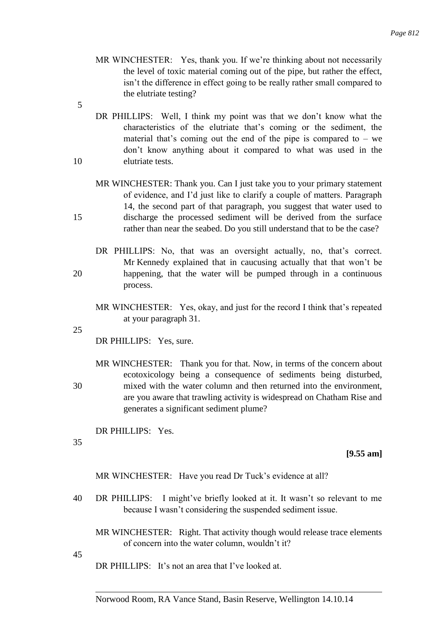- MR WINCHESTER: Yes, thank you. If we're thinking about not necessarily the level of toxic material coming out of the pipe, but rather the effect, isn't the difference in effect going to be really rather small compared to the elutriate testing?
- 5
- DR PHILLIPS: Well, I think my point was that we don't know what the characteristics of the elutriate that's coming or the sediment, the material that's coming out the end of the pipe is compared to  $-$  we don't know anything about it compared to what was used in the 10 elutriate tests.
- MR WINCHESTER: Thank you. Can I just take you to your primary statement of evidence, and I'd just like to clarify a couple of matters. Paragraph 14, the second part of that paragraph, you suggest that water used to 15 discharge the processed sediment will be derived from the surface rather than near the seabed. Do you still understand that to be the case?
- DR PHILLIPS: No, that was an oversight actually, no, that's correct. Mr Kennedy explained that in caucusing actually that that won't be 20 happening, that the water will be pumped through in a continuous process.
	- MR WINCHESTER: Yes, okay, and just for the record I think that's repeated at your paragraph 31.

25

DR PHILLIPS: Yes, sure.

MR WINCHESTER: Thank you for that. Now, in terms of the concern about ecotoxicology being a consequence of sediments being disturbed, 30 mixed with the water column and then returned into the environment, are you aware that trawling activity is widespread on Chatham Rise and generates a significant sediment plume?

DR PHILLIPS: Yes.

35

**[9.55 am]**

MR WINCHESTER: Have you read Dr Tuck's evidence at all?

40 DR PHILLIPS: I might've briefly looked at it. It wasn't so relevant to me because I wasn't considering the suspended sediment issue.

MR WINCHESTER: Right. That activity though would release trace elements of concern into the water column, wouldn't it?

45

DR PHILLIPS: It's not an area that I've looked at.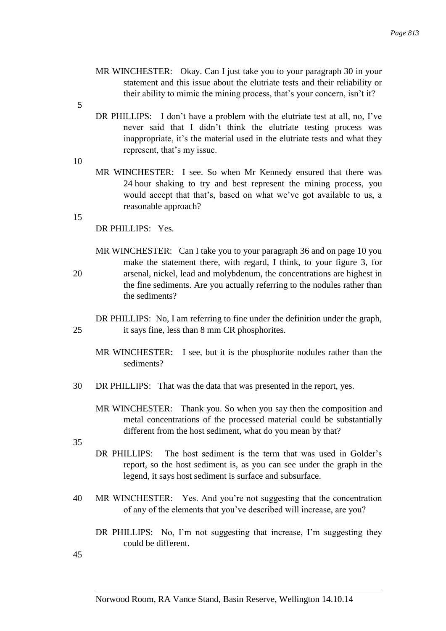- MR WINCHESTER: Okay. Can I just take you to your paragraph 30 in your statement and this issue about the elutriate tests and their reliability or their ability to mimic the mining process, that's your concern, isn't it?
- 5
- DR PHILLIPS: I don't have a problem with the elutriate test at all, no, I've never said that I didn't think the elutriate testing process was inappropriate, it's the material used in the elutriate tests and what they represent, that's my issue.
- 10
- MR WINCHESTER: I see. So when Mr Kennedy ensured that there was 24 hour shaking to try and best represent the mining process, you would accept that that's, based on what we've got available to us, a reasonable approach?

15

DR PHILLIPS: Yes.

MR WINCHESTER: Can I take you to your paragraph 36 and on page 10 you make the statement there, with regard, I think, to your figure 3, for 20 arsenal, nickel, lead and molybdenum, the concentrations are highest in the fine sediments. Are you actually referring to the nodules rather than the sediments?

DR PHILLIPS: No, I am referring to fine under the definition under the graph, 25 it says fine, less than 8 mm CR phosphorites.

- MR WINCHESTER: I see, but it is the phosphorite nodules rather than the sediments?
- 30 DR PHILLIPS: That was the data that was presented in the report, yes.
	- MR WINCHESTER: Thank you. So when you say then the composition and metal concentrations of the processed material could be substantially different from the host sediment, what do you mean by that?
- 35
- DR PHILLIPS: The host sediment is the term that was used in Golder's report, so the host sediment is, as you can see under the graph in the legend, it says host sediment is surface and subsurface.
- 40 MR WINCHESTER: Yes. And you're not suggesting that the concentration of any of the elements that you've described will increase, are you?
	- DR PHILLIPS: No, I'm not suggesting that increase, I'm suggesting they could be different.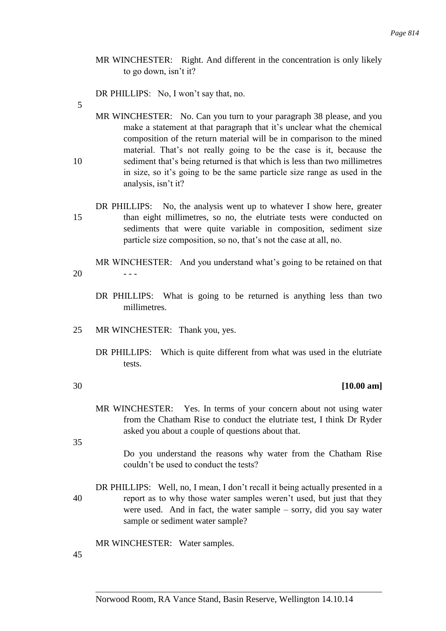MR WINCHESTER: Right. And different in the concentration is only likely to go down, isn't it?

DR PHILLIPS: No, I won't say that, no.

5

MR WINCHESTER: No. Can you turn to your paragraph 38 please, and you make a statement at that paragraph that it's unclear what the chemical composition of the return material will be in comparison to the mined material. That's not really going to be the case is it, because the 10 sediment that's being returned is that which is less than two millimetres in size, so it's going to be the same particle size range as used in the analysis, isn't it?

- DR PHILLIPS: No, the analysis went up to whatever I show here, greater 15 than eight millimetres, so no, the elutriate tests were conducted on sediments that were quite variable in composition, sediment size particle size composition, so no, that's not the case at all, no.
- MR WINCHESTER: And you understand what's going to be retained on that  $20$  ---
	- DR PHILLIPS: What is going to be returned is anything less than two millimetres.
- 25 MR WINCHESTER: Thank you, yes.
	- DR PHILLIPS: Which is quite different from what was used in the elutriate tests.
- 

## 30 **[10.00 am]**

MR WINCHESTER: Yes. In terms of your concern about not using water from the Chatham Rise to conduct the elutriate test, I think Dr Ryder asked you about a couple of questions about that.

35

Do you understand the reasons why water from the Chatham Rise couldn't be used to conduct the tests?

DR PHILLIPS: Well, no, I mean, I don't recall it being actually presented in a 40 report as to why those water samples weren't used, but just that they were used. And in fact, the water sample – sorry, did you say water sample or sediment water sample?

MR WINCHESTER: Water samples.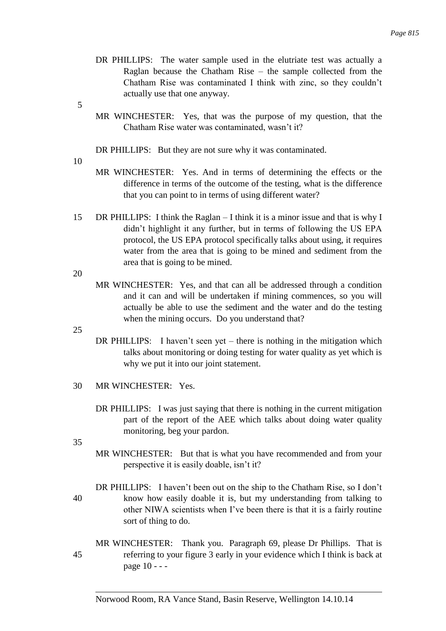- DR PHILLIPS: The water sample used in the elutriate test was actually a Raglan because the Chatham Rise – the sample collected from the Chatham Rise was contaminated I think with zinc, so they couldn't actually use that one anyway.
- 5
- MR WINCHESTER: Yes, that was the purpose of my question, that the Chatham Rise water was contaminated, wasn't it?
- DR PHILLIPS: But they are not sure why it was contaminated.
- 10
- MR WINCHESTER: Yes. And in terms of determining the effects or the difference in terms of the outcome of the testing, what is the difference that you can point to in terms of using different water?
- 15 DR PHILLIPS: I think the Raglan I think it is a minor issue and that is why I didn't highlight it any further, but in terms of following the US EPA protocol, the US EPA protocol specifically talks about using, it requires water from the area that is going to be mined and sediment from the area that is going to be mined.

20

MR WINCHESTER: Yes, and that can all be addressed through a condition and it can and will be undertaken if mining commences, so you will actually be able to use the sediment and the water and do the testing when the mining occurs. Do you understand that?

- DR PHILLIPS: I haven't seen yet there is nothing in the mitigation which talks about monitoring or doing testing for water quality as yet which is why we put it into our joint statement.
- 30 MR WINCHESTER: Yes.
	- DR PHILLIPS: I was just saying that there is nothing in the current mitigation part of the report of the AEE which talks about doing water quality monitoring, beg your pardon.
- 35
- MR WINCHESTER: But that is what you have recommended and from your perspective it is easily doable, isn't it?
- DR PHILLIPS: I haven't been out on the ship to the Chatham Rise, so I don't 40 know how easily doable it is, but my understanding from talking to other NIWA scientists when I've been there is that it is a fairly routine sort of thing to do.
- MR WINCHESTER: Thank you. Paragraph 69, please Dr Phillips. That is 45 referring to your figure 3 early in your evidence which I think is back at page 10 - - -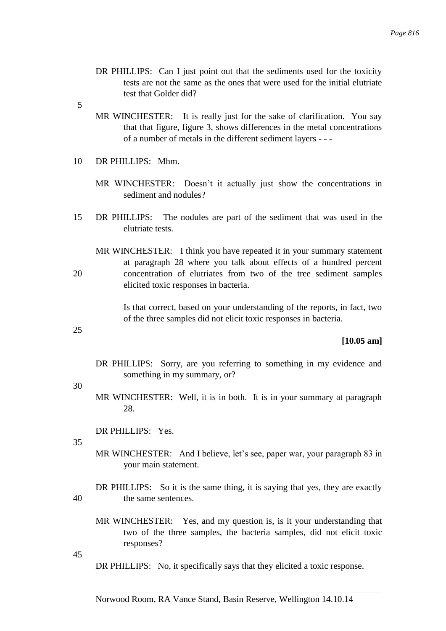- DR PHILLIPS: Can I just point out that the sediments used for the toxicity tests are not the same as the ones that were used for the initial elutriate test that Golder did?
- 5
- MR WINCHESTER: It is really just for the sake of clarification. You say that that figure, figure 3, shows differences in the metal concentrations of a number of metals in the different sediment layers - - -
- 10 DR PHILLIPS: Mhm.
	- MR WINCHESTER: Doesn't it actually just show the concentrations in sediment and nodules?
- 15 DR PHILLIPS: The nodules are part of the sediment that was used in the elutriate tests.
- MR WINCHESTER: I think you have repeated it in your summary statement at paragraph 28 where you talk about effects of a hundred percent 20 concentration of elutriates from two of the tree sediment samples elicited toxic responses in bacteria.

Is that correct, based on your understanding of the reports, in fact, two of the three samples did not elicit toxic responses in bacteria.

25

**[10.05 am]**

DR PHILLIPS: Sorry, are you referring to something in my evidence and something in my summary, or?

30

MR WINCHESTER: Well, it is in both. It is in your summary at paragraph 28.

DR PHILLIPS: Yes.

35

MR WINCHESTER: And I believe, let's see, paper war, your paragraph 83 in your main statement.

DR PHILLIPS: So it is the same thing, it is saying that yes, they are exactly 40 the same sentences.

MR WINCHESTER: Yes, and my question is, is it your understanding that two of the three samples, the bacteria samples, did not elicit toxic responses?

45

DR PHILLIPS: No, it specifically says that they elicited a toxic response.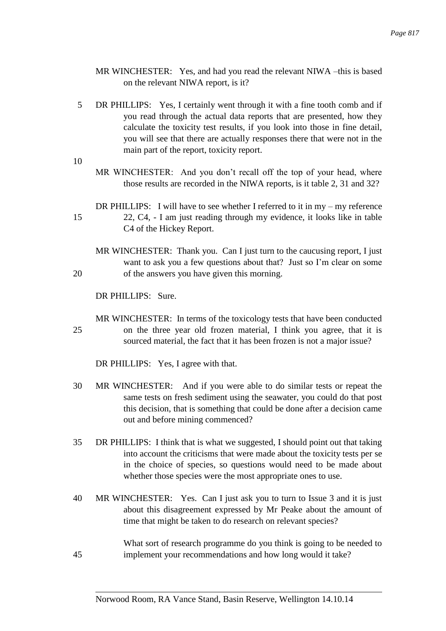- MR WINCHESTER: Yes, and had you read the relevant NIWA –this is based on the relevant NIWA report, is it?
- 5 DR PHILLIPS: Yes, I certainly went through it with a fine tooth comb and if you read through the actual data reports that are presented, how they calculate the toxicity test results, if you look into those in fine detail, you will see that there are actually responses there that were not in the main part of the report, toxicity report.
- 10
- MR WINCHESTER: And you don't recall off the top of your head, where those results are recorded in the NIWA reports, is it table 2, 31 and 32?
- DR PHILLIPS: I will have to see whether I referred to it in my my reference 15 22, C4, - I am just reading through my evidence, it looks like in table C4 of the Hickey Report.
- MR WINCHESTER: Thank you. Can I just turn to the caucusing report, I just want to ask you a few questions about that? Just so I'm clear on some 20 of the answers you have given this morning.

DR PHILLIPS: Sure.

MR WINCHESTER: In terms of the toxicology tests that have been conducted 25 on the three year old frozen material, I think you agree, that it is sourced material, the fact that it has been frozen is not a major issue?

DR PHILLIPS: Yes, I agree with that.

- 30 MR WINCHESTER: And if you were able to do similar tests or repeat the same tests on fresh sediment using the seawater, you could do that post this decision, that is something that could be done after a decision came out and before mining commenced?
- 35 DR PHILLIPS: I think that is what we suggested, I should point out that taking into account the criticisms that were made about the toxicity tests per se in the choice of species, so questions would need to be made about whether those species were the most appropriate ones to use.
- 40 MR WINCHESTER: Yes. Can I just ask you to turn to Issue 3 and it is just about this disagreement expressed by Mr Peake about the amount of time that might be taken to do research on relevant species?

What sort of research programme do you think is going to be needed to 45 implement your recommendations and how long would it take?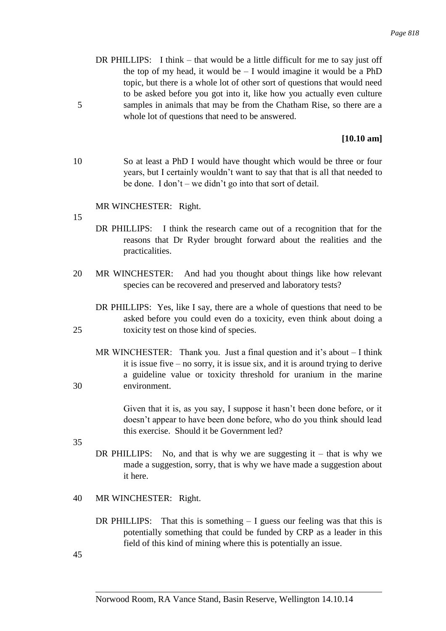DR PHILLIPS: I think – that would be a little difficult for me to say just off the top of my head, it would be  $- I$  would imagine it would be a PhD topic, but there is a whole lot of other sort of questions that would need to be asked before you got into it, like how you actually even culture 5 samples in animals that may be from the Chatham Rise, so there are a whole lot of questions that need to be answered.

# **[10.10 am]**

10 So at least a PhD I would have thought which would be three or four years, but I certainly wouldn't want to say that that is all that needed to be done. I don't – we didn't go into that sort of detail.

## MR WINCHESTER: Right.

15

- DR PHILLIPS: I think the research came out of a recognition that for the reasons that Dr Ryder brought forward about the realities and the practicalities.
- 20 MR WINCHESTER: And had you thought about things like how relevant species can be recovered and preserved and laboratory tests?
- DR PHILLIPS: Yes, like I say, there are a whole of questions that need to be asked before you could even do a toxicity, even think about doing a 25 toxicity test on those kind of species.
- MR WINCHESTER: Thank you. Just a final question and it's about I think it is issue five – no sorry, it is issue six, and it is around trying to derive a guideline value or toxicity threshold for uranium in the marine 30 environment.

Given that it is, as you say, I suppose it hasn't been done before, or it doesn't appear to have been done before, who do you think should lead this exercise. Should it be Government led?

35

- DR PHILLIPS: No, and that is why we are suggesting it that is why we made a suggestion, sorry, that is why we have made a suggestion about it here.
- 40 MR WINCHESTER: Right.
	- DR PHILLIPS: That this is something I guess our feeling was that this is potentially something that could be funded by CRP as a leader in this field of this kind of mining where this is potentially an issue.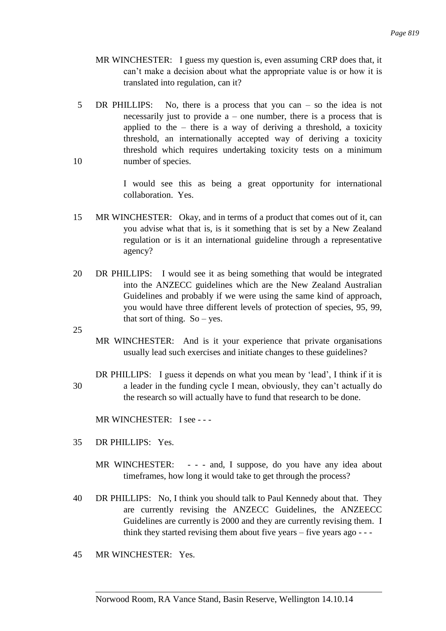- MR WINCHESTER: I guess my question is, even assuming CRP does that, it can't make a decision about what the appropriate value is or how it is translated into regulation, can it?
- 5 DR PHILLIPS: No, there is a process that you can so the idea is not necessarily just to provide  $a$  – one number, there is a process that is applied to the  $-$  there is a way of deriving a threshold, a toxicity threshold, an internationally accepted way of deriving a toxicity threshold which requires undertaking toxicity tests on a minimum 10 number of species.

I would see this as being a great opportunity for international collaboration. Yes.

- 15 MR WINCHESTER: Okay, and in terms of a product that comes out of it, can you advise what that is, is it something that is set by a New Zealand regulation or is it an international guideline through a representative agency?
- 20 DR PHILLIPS: I would see it as being something that would be integrated into the ANZECC guidelines which are the New Zealand Australian Guidelines and probably if we were using the same kind of approach, you would have three different levels of protection of species, 95, 99, that sort of thing.  $So - yes$ .

25

MR WINCHESTER: And is it your experience that private organisations usually lead such exercises and initiate changes to these guidelines?

DR PHILLIPS: I guess it depends on what you mean by 'lead', I think if it is 30 a leader in the funding cycle I mean, obviously, they can't actually do the research so will actually have to fund that research to be done.

MR WINCHESTER: I see - - -

- 35 DR PHILLIPS: Yes.
	- MR WINCHESTER: - and, I suppose, do you have any idea about timeframes, how long it would take to get through the process?
- 40 DR PHILLIPS: No, I think you should talk to Paul Kennedy about that. They are currently revising the ANZECC Guidelines, the ANZEECC Guidelines are currently is 2000 and they are currently revising them. I think they started revising them about five years – five years ago - - -
- 45 MR WINCHESTER: Yes.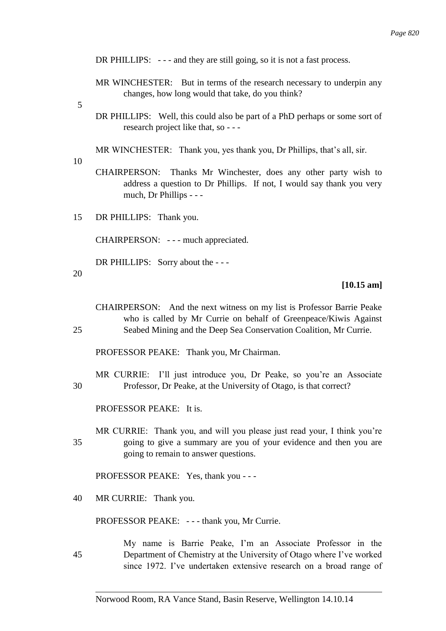DR PHILLIPS:  $-$  -  $-$  and they are still going, so it is not a fast process.

- MR WINCHESTER: But in terms of the research necessary to underpin any changes, how long would that take, do you think?
- 5
- DR PHILLIPS: Well, this could also be part of a PhD perhaps or some sort of research project like that, so - - -
- MR WINCHESTER: Thank you, yes thank you, Dr Phillips, that's all, sir.
- 10
- CHAIRPERSON: Thanks Mr Winchester, does any other party wish to address a question to Dr Phillips. If not, I would say thank you very much, Dr Phillips - - -
- 15 DR PHILLIPS: Thank you.

CHAIRPERSON: - - - much appreciated.

DR PHILLIPS: Sorry about the - - -

20

## **[10.15 am]**

CHAIRPERSON: And the next witness on my list is Professor Barrie Peake who is called by Mr Currie on behalf of Greenpeace/Kiwis Against 25 Seabed Mining and the Deep Sea Conservation Coalition, Mr Currie.

PROFESSOR PEAKE: Thank you, Mr Chairman.

MR CURRIE: I'll just introduce you, Dr Peake, so you're an Associate 30 Professor, Dr Peake, at the University of Otago, is that correct?

PROFESSOR PEAKE: It is.

MR CURRIE: Thank you, and will you please just read your, I think you're 35 going to give a summary are you of your evidence and then you are going to remain to answer questions.

PROFESSOR PEAKE: Yes, thank you - - -

40 MR CURRIE: Thank you.

PROFESSOR PEAKE: --- thank you, Mr Currie.

My name is Barrie Peake, I'm an Associate Professor in the 45 Department of Chemistry at the University of Otago where I've worked since 1972. I've undertaken extensive research on a broad range of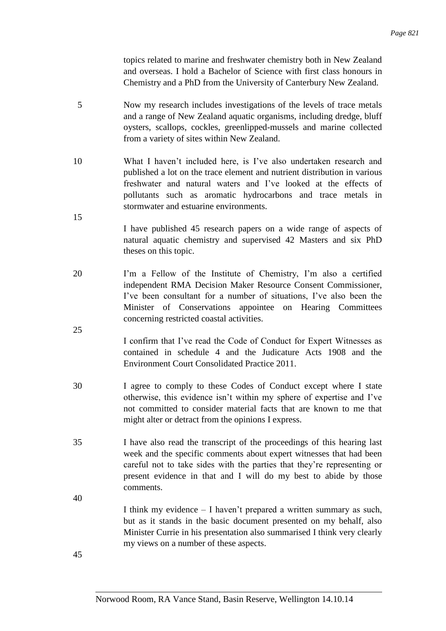topics related to marine and freshwater chemistry both in New Zealand and overseas. I hold a Bachelor of Science with first class honours in Chemistry and a PhD from the University of Canterbury New Zealand.

- 5 Now my research includes investigations of the levels of trace metals and a range of New Zealand aquatic organisms, including dredge, bluff oysters, scallops, cockles, greenlipped-mussels and marine collected from a variety of sites within New Zealand.
- 10 What I haven't included here, is I've also undertaken research and published a lot on the trace element and nutrient distribution in various freshwater and natural waters and I've looked at the effects of pollutants such as aromatic hydrocarbons and trace metals in stormwater and estuarine environments.
	- I have published 45 research papers on a wide range of aspects of natural aquatic chemistry and supervised 42 Masters and six PhD theses on this topic.
- 20 I'm a Fellow of the Institute of Chemistry, I'm also a certified independent RMA Decision Maker Resource Consent Commissioner, I've been consultant for a number of situations, I've also been the Minister of Conservations appointee on Hearing Committees concerning restricted coastal activities.
	- I confirm that I've read the Code of Conduct for Expert Witnesses as contained in schedule 4 and the Judicature Acts 1908 and the Environment Court Consolidated Practice 2011.
- 30 I agree to comply to these Codes of Conduct except where I state otherwise, this evidence isn't within my sphere of expertise and I've not committed to consider material facts that are known to me that might alter or detract from the opinions I express.
- 35 I have also read the transcript of the proceedings of this hearing last week and the specific comments about expert witnesses that had been careful not to take sides with the parties that they're representing or present evidence in that and I will do my best to abide by those comments.
- 40

15

25

I think my evidence – I haven't prepared a written summary as such, but as it stands in the basic document presented on my behalf, also Minister Currie in his presentation also summarised I think very clearly my views on a number of these aspects.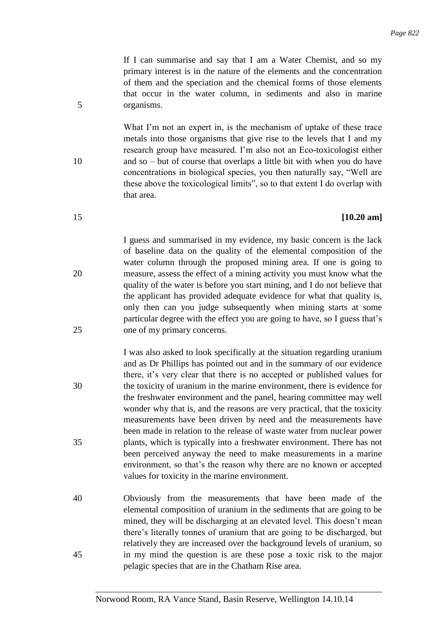If I can summarise and say that I am a Water Chemist, and so my primary interest is in the nature of the elements and the concentration of them and the speciation and the chemical forms of those elements that occur in the water column, in sediments and also in marine 5 organisms.

What I'm not an expert in, is the mechanism of uptake of these trace metals into those organisms that give rise to the levels that I and my research group have measured. I'm also not an Eco-toxicologist either 10 and so – but of course that overlaps a little bit with when you do have concentrations in biological species, you then naturally say, "Well are these above the toxicological limits", so to that extent I do overlap with that area.

## 15 **[10.20 am]**

I guess and summarised in my evidence, my basic concern is the lack of baseline data on the quality of the elemental composition of the water column through the proposed mining area. If one is going to 20 measure, assess the effect of a mining activity you must know what the quality of the water is before you start mining, and I do not believe that the applicant has provided adequate evidence for what that quality is, only then can you judge subsequently when mining starts at some particular degree with the effect you are going to have, so I guess that's 25 one of my primary concerns.

I was also asked to look specifically at the situation regarding uranium and as Dr Phillips has pointed out and in the summary of our evidence there, it's very clear that there is no accepted or published values for 30 the toxicity of uranium in the marine environment, there is evidence for the freshwater environment and the panel, hearing committee may well wonder why that is, and the reasons are very practical, that the toxicity measurements have been driven by need and the measurements have been made in relation to the release of waste water from nuclear power 35 plants, which is typically into a freshwater environment. There has not been perceived anyway the need to make measurements in a marine environment, so that's the reason why there are no known or accepted values for toxicity in the marine environment.

40 Obviously from the measurements that have been made of the elemental composition of uranium in the sediments that are going to be mined, they will be discharging at an elevated level. This doesn't mean there's literally tonnes of uranium that are going to be discharged, but relatively they are increased over the background levels of uranium, so 45 in my mind the question is are these pose a toxic risk to the major pelagic species that are in the Chatham Rise area.

- 
-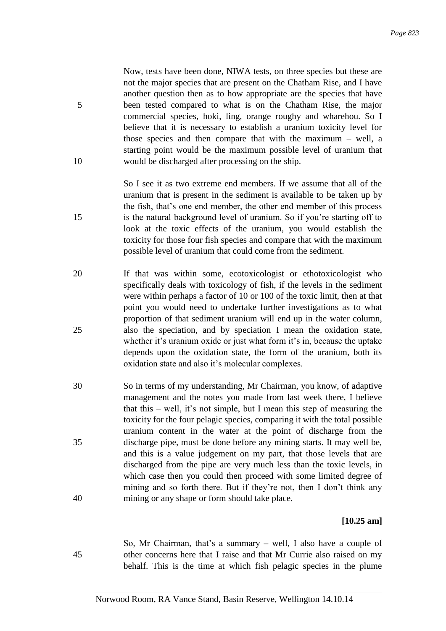Now, tests have been done, NIWA tests, on three species but these are not the major species that are present on the Chatham Rise, and I have another question then as to how appropriate are the species that have 5 been tested compared to what is on the Chatham Rise, the major commercial species, hoki, ling, orange roughy and wharehou. So I believe that it is necessary to establish a uranium toxicity level for those species and then compare that with the maximum – well, a starting point would be the maximum possible level of uranium that 10 would be discharged after processing on the ship.

So I see it as two extreme end members. If we assume that all of the uranium that is present in the sediment is available to be taken up by the fish, that's one end member, the other end member of this process 15 is the natural background level of uranium. So if you're starting off to look at the toxic effects of the uranium, you would establish the toxicity for those four fish species and compare that with the maximum possible level of uranium that could come from the sediment.

- 20 If that was within some, ecotoxicologist or ethotoxicologist who specifically deals with toxicology of fish, if the levels in the sediment were within perhaps a factor of 10 or 100 of the toxic limit, then at that point you would need to undertake further investigations as to what proportion of that sediment uranium will end up in the water column, 25 also the speciation, and by speciation I mean the oxidation state, whether it's uranium oxide or just what form it's in, because the uptake depends upon the oxidation state, the form of the uranium, both its oxidation state and also it's molecular complexes.
- 30 So in terms of my understanding, Mr Chairman, you know, of adaptive management and the notes you made from last week there, I believe that this – well, it's not simple, but I mean this step of measuring the toxicity for the four pelagic species, comparing it with the total possible uranium content in the water at the point of discharge from the 35 discharge pipe, must be done before any mining starts. It may well be, and this is a value judgement on my part, that those levels that are discharged from the pipe are very much less than the toxic levels, in which case then you could then proceed with some limited degree of mining and so forth there. But if they're not, then I don't think any 40 mining or any shape or form should take place.

## **[10.25 am]**

So, Mr Chairman, that's a summary – well, I also have a couple of 45 other concerns here that I raise and that Mr Currie also raised on my behalf. This is the time at which fish pelagic species in the plume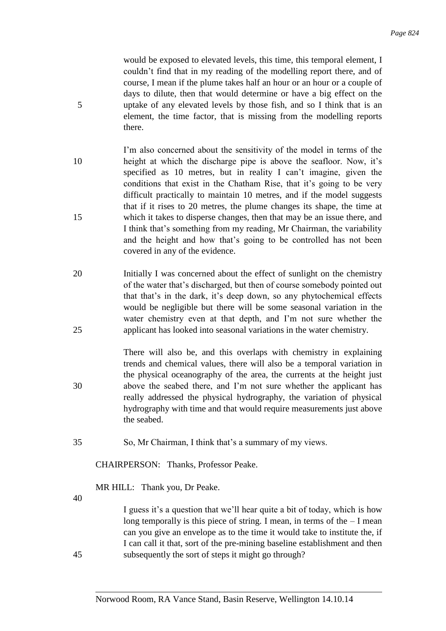would be exposed to elevated levels, this time, this temporal element, I couldn't find that in my reading of the modelling report there, and of course, I mean if the plume takes half an hour or an hour or a couple of days to dilute, then that would determine or have a big effect on the 5 uptake of any elevated levels by those fish, and so I think that is an element, the time factor, that is missing from the modelling reports there.

- I'm also concerned about the sensitivity of the model in terms of the 10 height at which the discharge pipe is above the seafloor. Now, it's specified as 10 metres, but in reality I can't imagine, given the conditions that exist in the Chatham Rise, that it's going to be very difficult practically to maintain 10 metres, and if the model suggests that if it rises to 20 metres, the plume changes its shape, the time at 15 which it takes to disperse changes, then that may be an issue there, and I think that's something from my reading, Mr Chairman, the variability and the height and how that's going to be controlled has not been covered in any of the evidence.
- 20 Initially I was concerned about the effect of sunlight on the chemistry of the water that's discharged, but then of course somebody pointed out that that's in the dark, it's deep down, so any phytochemical effects would be negligible but there will be some seasonal variation in the water chemistry even at that depth, and I'm not sure whether the 25 applicant has looked into seasonal variations in the water chemistry.
- There will also be, and this overlaps with chemistry in explaining trends and chemical values, there will also be a temporal variation in the physical oceanography of the area, the currents at the height just 30 above the seabed there, and I'm not sure whether the applicant has really addressed the physical hydrography, the variation of physical hydrography with time and that would require measurements just above the seabed.
- 35 So, Mr Chairman, I think that's a summary of my views.

CHAIRPERSON: Thanks, Professor Peake.

MR HILL: Thank you, Dr Peake.

40

I guess it's a question that we'll hear quite a bit of today, which is how long temporally is this piece of string. I mean, in terms of the – I mean can you give an envelope as to the time it would take to institute the, if I can call it that, sort of the pre-mining baseline establishment and then 45 subsequently the sort of steps it might go through?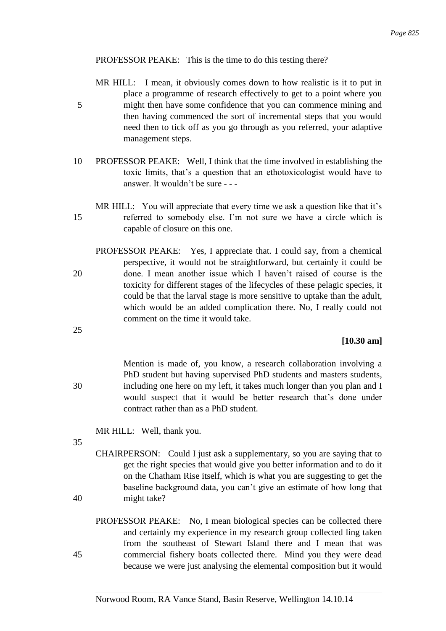# PROFESSOR PEAKE: This is the time to do this testing there?

- MR HILL: I mean, it obviously comes down to how realistic is it to put in place a programme of research effectively to get to a point where you 5 might then have some confidence that you can commence mining and then having commenced the sort of incremental steps that you would need then to tick off as you go through as you referred, your adaptive management steps.
- 10 PROFESSOR PEAKE: Well, I think that the time involved in establishing the toxic limits, that's a question that an ethotoxicologist would have to answer. It wouldn't be sure - - -
- MR HILL: You will appreciate that every time we ask a question like that it's 15 referred to somebody else. I'm not sure we have a circle which is capable of closure on this one.
- PROFESSOR PEAKE: Yes, I appreciate that. I could say, from a chemical perspective, it would not be straightforward, but certainly it could be 20 done. I mean another issue which I haven't raised of course is the toxicity for different stages of the lifecycles of these pelagic species, it could be that the larval stage is more sensitive to uptake than the adult, which would be an added complication there. No, I really could not comment on the time it would take.

# **[10.30 am]**

Mention is made of, you know, a research collaboration involving a PhD student but having supervised PhD students and masters students, 30 including one here on my left, it takes much longer than you plan and I would suspect that it would be better research that's done under contract rather than as a PhD student.

MR HILL: Well, thank you.

35

25

CHAIRPERSON: Could I just ask a supplementary, so you are saying that to get the right species that would give you better information and to do it on the Chatham Rise itself, which is what you are suggesting to get the baseline background data, you can't give an estimate of how long that 40 might take?

PROFESSOR PEAKE: No, I mean biological species can be collected there and certainly my experience in my research group collected ling taken from the southeast of Stewart Island there and I mean that was 45 commercial fishery boats collected there. Mind you they were dead because we were just analysing the elemental composition but it would

## Norwood Room, RA Vance Stand, Basin Reserve, Wellington 14.10.14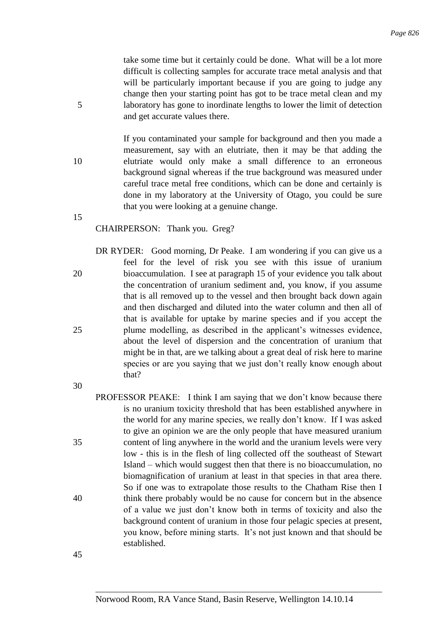take some time but it certainly could be done. What will be a lot more difficult is collecting samples for accurate trace metal analysis and that will be particularly important because if you are going to judge any change then your starting point has got to be trace metal clean and my 5 laboratory has gone to inordinate lengths to lower the limit of detection and get accurate values there.

If you contaminated your sample for background and then you made a measurement, say with an elutriate, then it may be that adding the 10 elutriate would only make a small difference to an erroneous background signal whereas if the true background was measured under careful trace metal free conditions, which can be done and certainly is done in my laboratory at the University of Otago, you could be sure that you were looking at a genuine change.

15

## CHAIRPERSON: Thank you. Greg?

DR RYDER: Good morning, Dr Peake. I am wondering if you can give us a feel for the level of risk you see with this issue of uranium 20 bioaccumulation. I see at paragraph 15 of your evidence you talk about the concentration of uranium sediment and, you know, if you assume that is all removed up to the vessel and then brought back down again and then discharged and diluted into the water column and then all of that is available for uptake by marine species and if you accept the 25 plume modelling, as described in the applicant's witnesses evidence, about the level of dispersion and the concentration of uranium that might be in that, are we talking about a great deal of risk here to marine species or are you saying that we just don't really know enough about that?

30

PROFESSOR PEAKE: I think I am saying that we don't know because there is no uranium toxicity threshold that has been established anywhere in the world for any marine species, we really don't know. If I was asked to give an opinion we are the only people that have measured uranium 35 content of ling anywhere in the world and the uranium levels were very low - this is in the flesh of ling collected off the southeast of Stewart Island – which would suggest then that there is no bioaccumulation, no biomagnification of uranium at least in that species in that area there. So if one was to extrapolate those results to the Chatham Rise then I 40 think there probably would be no cause for concern but in the absence of a value we just don't know both in terms of toxicity and also the background content of uranium in those four pelagic species at present, you know, before mining starts. It's not just known and that should be established.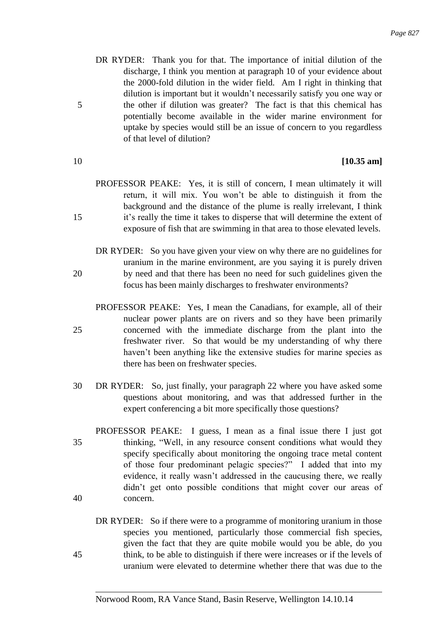- DR RYDER: Thank you for that. The importance of initial dilution of the discharge, I think you mention at paragraph 10 of your evidence about the 2000-fold dilution in the wider field. Am I right in thinking that dilution is important but it wouldn't necessarily satisfy you one way or 5 the other if dilution was greater? The fact is that this chemical has potentially become available in the wider marine environment for uptake by species would still be an issue of concern to you regardless of that level of dilution?
- 

# 10 **[10.35 am]**

- PROFESSOR PEAKE: Yes, it is still of concern, I mean ultimately it will return, it will mix. You won't be able to distinguish it from the background and the distance of the plume is really irrelevant, I think 15 it's really the time it takes to disperse that will determine the extent of exposure of fish that are swimming in that area to those elevated levels.
- DR RYDER: So you have given your view on why there are no guidelines for uranium in the marine environment, are you saying it is purely driven 20 by need and that there has been no need for such guidelines given the focus has been mainly discharges to freshwater environments?
- 
- PROFESSOR PEAKE: Yes, I mean the Canadians, for example, all of their nuclear power plants are on rivers and so they have been primarily 25 concerned with the immediate discharge from the plant into the freshwater river. So that would be my understanding of why there haven't been anything like the extensive studies for marine species as there has been on freshwater species.
	- 30 DR RYDER: So, just finally, your paragraph 22 where you have asked some questions about monitoring, and was that addressed further in the expert conferencing a bit more specifically those questions?
- PROFESSOR PEAKE: I guess, I mean as a final issue there I just got 35 thinking, "Well, in any resource consent conditions what would they specify specifically about monitoring the ongoing trace metal content of those four predominant pelagic species?" I added that into my evidence, it really wasn't addressed in the caucusing there, we really didn't get onto possible conditions that might cover our areas of 40 concern.
- DR RYDER: So if there were to a programme of monitoring uranium in those species you mentioned, particularly those commercial fish species, given the fact that they are quite mobile would you be able, do you 45 think, to be able to distinguish if there were increases or if the levels of uranium were elevated to determine whether there that was due to the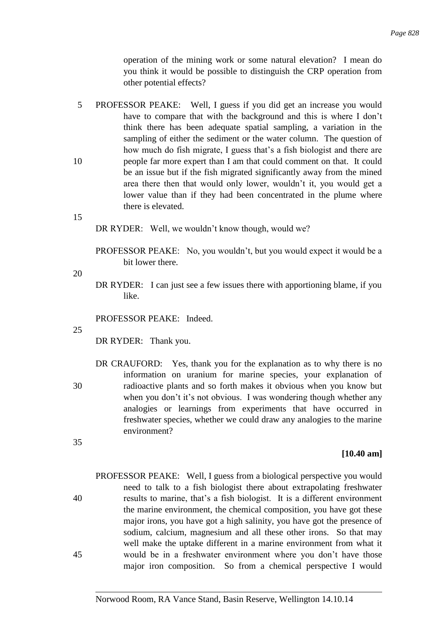operation of the mining work or some natural elevation? I mean do you think it would be possible to distinguish the CRP operation from other potential effects?

5 PROFESSOR PEAKE: Well, I guess if you did get an increase you would have to compare that with the background and this is where I don't think there has been adequate spatial sampling, a variation in the sampling of either the sediment or the water column. The question of how much do fish migrate, I guess that's a fish biologist and there are 10 people far more expert than I am that could comment on that. It could be an issue but if the fish migrated significantly away from the mined area there then that would only lower, wouldn't it, you would get a lower value than if they had been concentrated in the plume where there is elevated.

15

DR RYDER: Well, we wouldn't know though, would we?

PROFESSOR PEAKE: No, you wouldn't, but you would expect it would be a bit lower there.

20

DR RYDER: I can just see a few issues there with apportioning blame, if you like.

PROFESSOR PEAKE: Indeed.

25

35

DR RYDER: Thank you.

DR CRAUFORD: Yes, thank you for the explanation as to why there is no information on uranium for marine species, your explanation of 30 radioactive plants and so forth makes it obvious when you know but when you don't it's not obvious. I was wondering though whether any analogies or learnings from experiments that have occurred in freshwater species, whether we could draw any analogies to the marine environment?

#### **[10.40 am]**

PROFESSOR PEAKE: Well, I guess from a biological perspective you would need to talk to a fish biologist there about extrapolating freshwater 40 results to marine, that's a fish biologist. It is a different environment the marine environment, the chemical composition, you have got these major irons, you have got a high salinity, you have got the presence of sodium, calcium, magnesium and all these other irons. So that may well make the uptake different in a marine environment from what it 45 would be in a freshwater environment where you don't have those major iron composition. So from a chemical perspective I would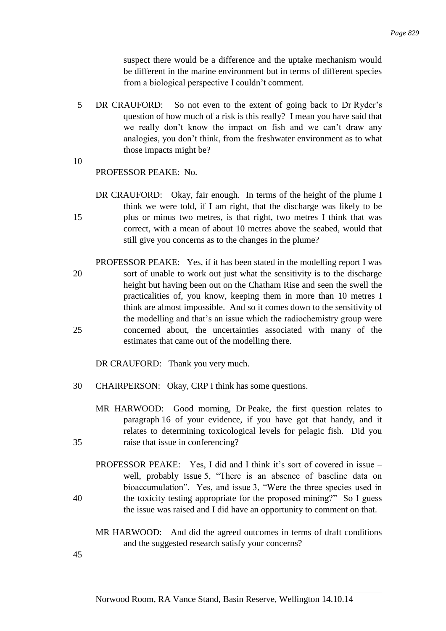suspect there would be a difference and the uptake mechanism would be different in the marine environment but in terms of different species from a biological perspective I couldn't comment.

- 5 DR CRAUFORD: So not even to the extent of going back to Dr Ryder's question of how much of a risk is this really? I mean you have said that we really don't know the impact on fish and we can't draw any analogies, you don't think, from the freshwater environment as to what those impacts might be?
- 10

## PROFESSOR PEAKE: No.

- DR CRAUFORD: Okay, fair enough. In terms of the height of the plume I think we were told, if I am right, that the discharge was likely to be 15 plus or minus two metres, is that right, two metres I think that was correct, with a mean of about 10 metres above the seabed, would that still give you concerns as to the changes in the plume?
- PROFESSOR PEAKE: Yes, if it has been stated in the modelling report I was 20 sort of unable to work out just what the sensitivity is to the discharge height but having been out on the Chatham Rise and seen the swell the practicalities of, you know, keeping them in more than 10 metres I think are almost impossible. And so it comes down to the sensitivity of the modelling and that's an issue which the radiochemistry group were 25 concerned about, the uncertainties associated with many of the estimates that came out of the modelling there.

DR CRAUFORD: Thank you very much.

- 30 CHAIRPERSON: Okay, CRP I think has some questions.
- MR HARWOOD: Good morning, Dr Peake, the first question relates to paragraph 16 of your evidence, if you have got that handy, and it relates to determining toxicological levels for pelagic fish. Did you 35 raise that issue in conferencing?
- PROFESSOR PEAKE: Yes, I did and I think it's sort of covered in issue well, probably issue 5, "There is an absence of baseline data on bioaccumulation". Yes, and issue 3, "Were the three species used in 40 the toxicity testing appropriate for the proposed mining?" So I guess the issue was raised and I did have an opportunity to comment on that.
	- MR HARWOOD: And did the agreed outcomes in terms of draft conditions and the suggested research satisfy your concerns?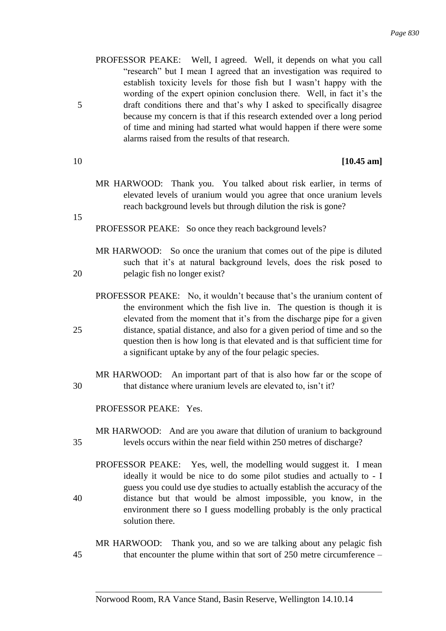- PROFESSOR PEAKE: Well, I agreed. Well, it depends on what you call "research" but I mean I agreed that an investigation was required to establish toxicity levels for those fish but I wasn't happy with the wording of the expert opinion conclusion there. Well, in fact it's the 5 draft conditions there and that's why I asked to specifically disagree because my concern is that if this research extended over a long period of time and mining had started what would happen if there were some alarms raised from the results of that research.
- 

## 10 **[10.45 am]**

MR HARWOOD: Thank you. You talked about risk earlier, in terms of elevated levels of uranium would you agree that once uranium levels reach background levels but through dilution the risk is gone?

15

PROFESSOR PEAKE: So once they reach background levels?

- MR HARWOOD: So once the uranium that comes out of the pipe is diluted such that it's at natural background levels, does the risk posed to 20 pelagic fish no longer exist?
- PROFESSOR PEAKE: No, it wouldn't because that's the uranium content of the environment which the fish live in. The question is though it is elevated from the moment that it's from the discharge pipe for a given 25 distance, spatial distance, and also for a given period of time and so the question then is how long is that elevated and is that sufficient time for a significant uptake by any of the four pelagic species.
- MR HARWOOD: An important part of that is also how far or the scope of 30 that distance where uranium levels are elevated to, isn't it?

PROFESSOR PEAKE: Yes.

- MR HARWOOD: And are you aware that dilution of uranium to background 35 levels occurs within the near field within 250 metres of discharge?
- PROFESSOR PEAKE: Yes, well, the modelling would suggest it. I mean ideally it would be nice to do some pilot studies and actually to - I guess you could use dye studies to actually establish the accuracy of the 40 distance but that would be almost impossible, you know, in the environment there so I guess modelling probably is the only practical solution there.
- MR HARWOOD: Thank you, and so we are talking about any pelagic fish 45 that encounter the plume within that sort of 250 metre circumference –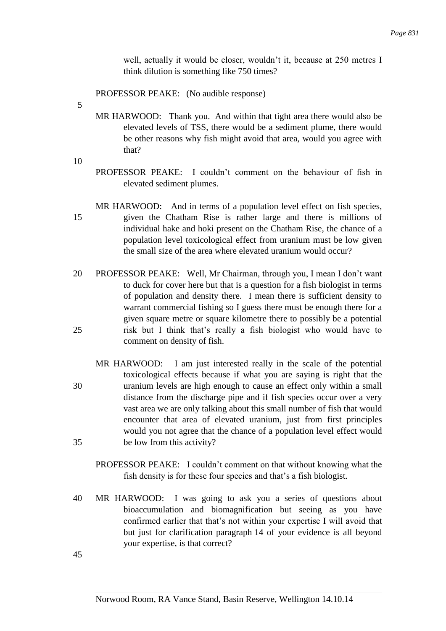well, actually it would be closer, wouldn't it, because at 250 metres I think dilution is something like 750 times?

PROFESSOR PEAKE: (No audible response)

- 5
- MR HARWOOD: Thank you. And within that tight area there would also be elevated levels of TSS, there would be a sediment plume, there would be other reasons why fish might avoid that area, would you agree with that?
- 10
- PROFESSOR PEAKE: I couldn't comment on the behaviour of fish in elevated sediment plumes.
- MR HARWOOD: And in terms of a population level effect on fish species, 15 given the Chatham Rise is rather large and there is millions of individual hake and hoki present on the Chatham Rise, the chance of a population level toxicological effect from uranium must be low given the small size of the area where elevated uranium would occur?
- 20 PROFESSOR PEAKE: Well, Mr Chairman, through you, I mean I don't want to duck for cover here but that is a question for a fish biologist in terms of population and density there. I mean there is sufficient density to warrant commercial fishing so I guess there must be enough there for a given square metre or square kilometre there to possibly be a potential 25 risk but I think that's really a fish biologist who would have to comment on density of fish.
- MR HARWOOD: I am just interested really in the scale of the potential toxicological effects because if what you are saying is right that the 30 uranium levels are high enough to cause an effect only within a small distance from the discharge pipe and if fish species occur over a very vast area we are only talking about this small number of fish that would encounter that area of elevated uranium, just from first principles would you not agree that the chance of a population level effect would 35 be low from this activity?
	- PROFESSOR PEAKE: I couldn't comment on that without knowing what the fish density is for these four species and that's a fish biologist.
- 40 MR HARWOOD: I was going to ask you a series of questions about bioaccumulation and biomagnification but seeing as you have confirmed earlier that that's not within your expertise I will avoid that but just for clarification paragraph 14 of your evidence is all beyond your expertise, is that correct?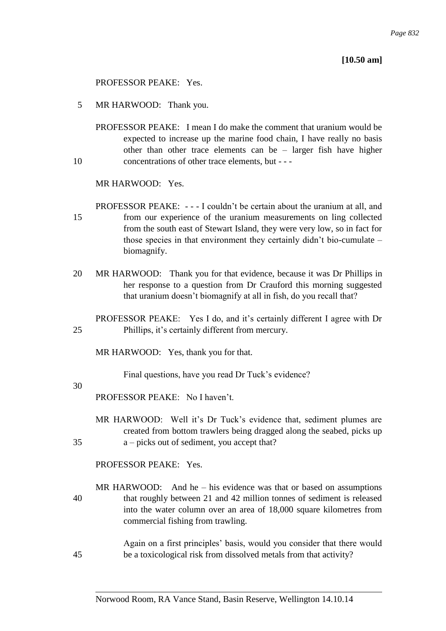## **[10.50 am]**

#### PROFESSOR PEAKE: Yes.

5 MR HARWOOD: Thank you.

PROFESSOR PEAKE: I mean I do make the comment that uranium would be expected to increase up the marine food chain, I have really no basis other than other trace elements can be – larger fish have higher 10 concentrations of other trace elements, but - - -

MR HARWOOD: Yes.

PROFESSOR PEAKE: - - - I couldn't be certain about the uranium at all, and 15 from our experience of the uranium measurements on ling collected from the south east of Stewart Island, they were very low, so in fact for those species in that environment they certainly didn't bio-cumulate – biomagnify.

20 MR HARWOOD: Thank you for that evidence, because it was Dr Phillips in her response to a question from Dr Crauford this morning suggested that uranium doesn't biomagnify at all in fish, do you recall that?

PROFESSOR PEAKE: Yes I do, and it's certainly different I agree with Dr 25 Phillips, it's certainly different from mercury.

MR HARWOOD: Yes, thank you for that.

Final questions, have you read Dr Tuck's evidence?

#### 30

PROFESSOR PEAKE: No I haven't.

MR HARWOOD: Well it's Dr Tuck's evidence that, sediment plumes are created from bottom trawlers being dragged along the seabed, picks up 35 a – picks out of sediment, you accept that?

PROFESSOR PEAKE: Yes.

MR HARWOOD: And he – his evidence was that or based on assumptions 40 that roughly between 21 and 42 million tonnes of sediment is released into the water column over an area of 18,000 square kilometres from commercial fishing from trawling.

Again on a first principles' basis, would you consider that there would 45 be a toxicological risk from dissolved metals from that activity?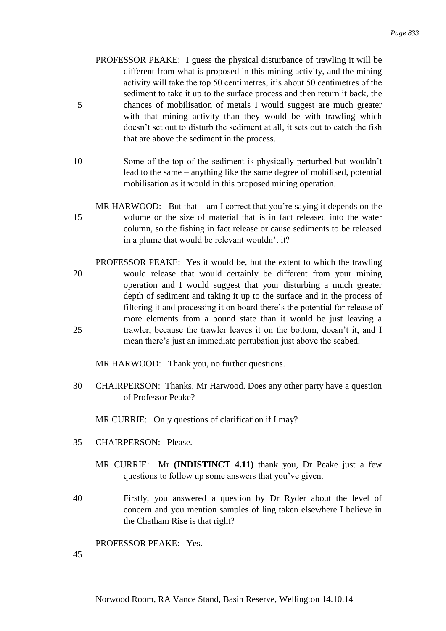- PROFESSOR PEAKE: I guess the physical disturbance of trawling it will be different from what is proposed in this mining activity, and the mining activity will take the top 50 centimetres, it's about 50 centimetres of the sediment to take it up to the surface process and then return it back, the 5 chances of mobilisation of metals I would suggest are much greater with that mining activity than they would be with trawling which doesn't set out to disturb the sediment at all, it sets out to catch the fish that are above the sediment in the process.
- 10 Some of the top of the sediment is physically perturbed but wouldn't lead to the same – anything like the same degree of mobilised, potential mobilisation as it would in this proposed mining operation.
- MR HARWOOD: But that am I correct that you're saying it depends on the 15 volume or the size of material that is in fact released into the water column, so the fishing in fact release or cause sediments to be released in a plume that would be relevant wouldn't it?
- PROFESSOR PEAKE: Yes it would be, but the extent to which the trawling 20 would release that would certainly be different from your mining operation and I would suggest that your disturbing a much greater depth of sediment and taking it up to the surface and in the process of filtering it and processing it on board there's the potential for release of more elements from a bound state than it would be just leaving a 25 trawler, because the trawler leaves it on the bottom, doesn't it, and I mean there's just an immediate pertubation just above the seabed.

MR HARWOOD: Thank you, no further questions.

30 CHAIRPERSON: Thanks, Mr Harwood. Does any other party have a question of Professor Peake?

MR CURRIE: Only questions of clarification if I may?

- 35 CHAIRPERSON: Please.
	- MR CURRIE: Mr **(INDISTINCT 4.11)** thank you, Dr Peake just a few questions to follow up some answers that you've given.
- 40 Firstly, you answered a question by Dr Ryder about the level of concern and you mention samples of ling taken elsewhere I believe in the Chatham Rise is that right?

PROFESSOR PEAKE: Yes.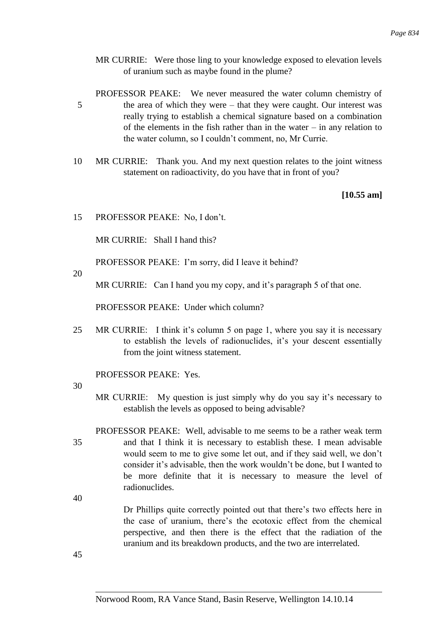MR CURRIE: Were those ling to your knowledge exposed to elevation levels of uranium such as maybe found in the plume?

PROFESSOR PEAKE: We never measured the water column chemistry of 5 the area of which they were – that they were caught. Our interest was really trying to establish a chemical signature based on a combination of the elements in the fish rather than in the water – in any relation to the water column, so I couldn't comment, no, Mr Currie.

10 MR CURRIE: Thank you. And my next question relates to the joint witness statement on radioactivity, do you have that in front of you?

**[10.55 am]**

15 PROFESSOR PEAKE: No, I don't.

MR CURRIE: Shall I hand this?

PROFESSOR PEAKE: I'm sorry, did I leave it behind?

20

MR CURRIE: Can I hand you my copy, and it's paragraph 5 of that one.

PROFESSOR PEAKE: Under which column?

25 MR CURRIE: I think it's column 5 on page 1, where you say it is necessary to establish the levels of radionuclides, it's your descent essentially from the joint witness statement.

PROFESSOR PEAKE: Yes.

30

- MR CURRIE: My question is just simply why do you say it's necessary to establish the levels as opposed to being advisable?
- PROFESSOR PEAKE: Well, advisable to me seems to be a rather weak term 35 and that I think it is necessary to establish these. I mean advisable would seem to me to give some let out, and if they said well, we don't consider it's advisable, then the work wouldn't be done, but I wanted to be more definite that it is necessary to measure the level of radionuclides.
- 40

Dr Phillips quite correctly pointed out that there's two effects here in the case of uranium, there's the ecotoxic effect from the chemical perspective, and then there is the effect that the radiation of the uranium and its breakdown products, and the two are interrelated.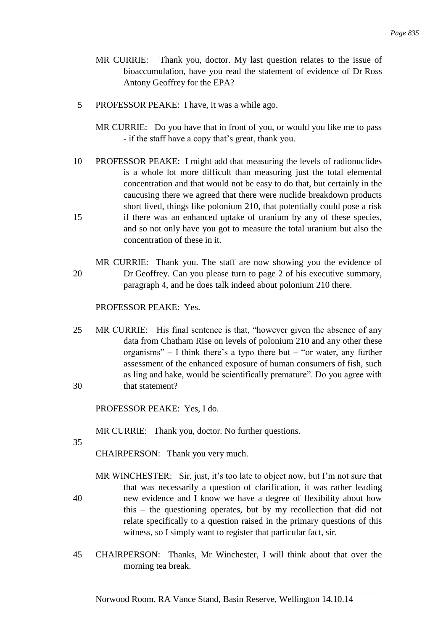- MR CURRIE: Thank you, doctor. My last question relates to the issue of bioaccumulation, have you read the statement of evidence of Dr Ross Antony Geoffrey for the EPA?
- 5 PROFESSOR PEAKE: I have, it was a while ago.
	- MR CURRIE: Do you have that in front of you, or would you like me to pass - if the staff have a copy that's great, thank you.
- 10 PROFESSOR PEAKE: I might add that measuring the levels of radionuclides is a whole lot more difficult than measuring just the total elemental concentration and that would not be easy to do that, but certainly in the caucusing there we agreed that there were nuclide breakdown products short lived, things like polonium 210, that potentially could pose a risk 15 if there was an enhanced uptake of uranium by any of these species, and so not only have you got to measure the total uranium but also the concentration of these in it.
- MR CURRIE: Thank you. The staff are now showing you the evidence of 20 Dr Geoffrey. Can you please turn to page 2 of his executive summary, paragraph 4, and he does talk indeed about polonium 210 there.

PROFESSOR PEAKE: Yes.

25 MR CURRIE: His final sentence is that, "however given the absence of any data from Chatham Rise on levels of polonium 210 and any other these organisms" – I think there's a typo there but – "or water, any further assessment of the enhanced exposure of human consumers of fish, such as ling and hake, would be scientifically premature". Do you agree with 30 that statement?

PROFESSOR PEAKE: Yes, I do.

MR CURRIE: Thank you, doctor. No further questions.

35

CHAIRPERSON: Thank you very much.

- MR WINCHESTER: Sir, just, it's too late to object now, but I'm not sure that that was necessarily a question of clarification, it was rather leading 40 new evidence and I know we have a degree of flexibility about how this – the questioning operates, but by my recollection that did not relate specifically to a question raised in the primary questions of this witness, so I simply want to register that particular fact, sir.
- 45 CHAIRPERSON: Thanks, Mr Winchester, I will think about that over the morning tea break.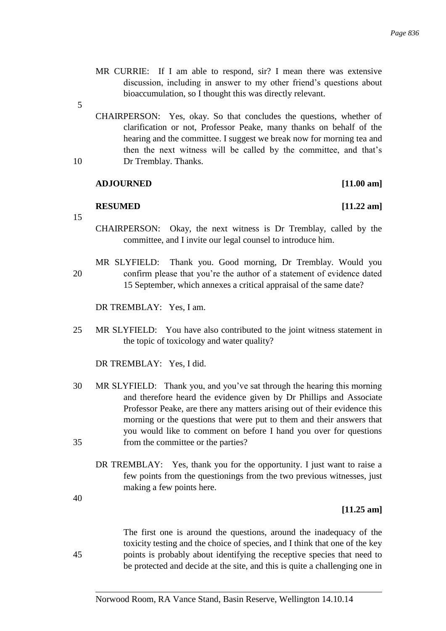- MR CURRIE: If I am able to respond, sir? I mean there was extensive discussion, including in answer to my other friend's questions about bioaccumulation, so I thought this was directly relevant.
- 5
- CHAIRPERSON: Yes, okay. So that concludes the questions, whether of clarification or not, Professor Peake, many thanks on behalf of the hearing and the committee. I suggest we break now for morning tea and then the next witness will be called by the committee, and that's 10 Dr Tremblay. Thanks.

#### **ADJOURNED [11.00 am]**

#### **RESUMED [11.22 am]**

15

- CHAIRPERSON: Okay, the next witness is Dr Tremblay, called by the committee, and I invite our legal counsel to introduce him.
- MR SLYFIELD: Thank you. Good morning, Dr Tremblay. Would you 20 confirm please that you're the author of a statement of evidence dated 15 September, which annexes a critical appraisal of the same date?

DR TREMBLAY: Yes, I am.

25 MR SLYFIELD: You have also contributed to the joint witness statement in the topic of toxicology and water quality?

DR TREMBLAY: Yes, I did.

- 30 MR SLYFIELD: Thank you, and you've sat through the hearing this morning and therefore heard the evidence given by Dr Phillips and Associate Professor Peake, are there any matters arising out of their evidence this morning or the questions that were put to them and their answers that you would like to comment on before I hand you over for questions 35 from the committee or the parties?
	- DR TREMBLAY: Yes, thank you for the opportunity. I just want to raise a few points from the questionings from the two previous witnesses, just making a few points here.

40

#### **[11.25 am]**

The first one is around the questions, around the inadequacy of the toxicity testing and the choice of species, and I think that one of the key 45 points is probably about identifying the receptive species that need to be protected and decide at the site, and this is quite a challenging one in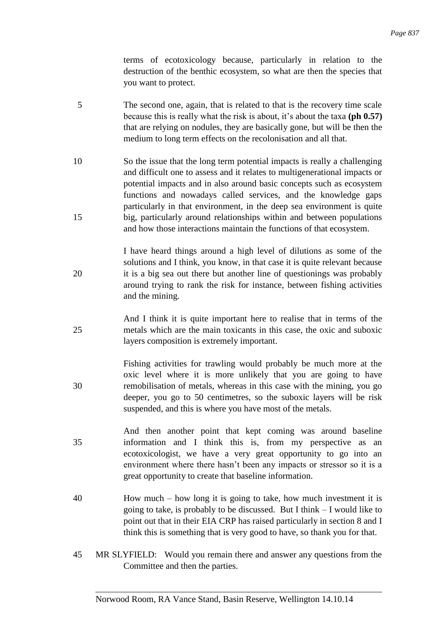terms of ecotoxicology because, particularly in relation to the destruction of the benthic ecosystem, so what are then the species that you want to protect.

- 5 The second one, again, that is related to that is the recovery time scale because this is really what the risk is about, it's about the taxa **(ph 0.57)**  that are relying on nodules, they are basically gone, but will be then the medium to long term effects on the recolonisation and all that.
- 10 So the issue that the long term potential impacts is really a challenging and difficult one to assess and it relates to multigenerational impacts or potential impacts and in also around basic concepts such as ecosystem functions and nowadays called services, and the knowledge gaps particularly in that environment, in the deep sea environment is quite 15 big, particularly around relationships within and between populations and how those interactions maintain the functions of that ecosystem.
- I have heard things around a high level of dilutions as some of the solutions and I think, you know, in that case it is quite relevant because 20 it is a big sea out there but another line of questionings was probably around trying to rank the risk for instance, between fishing activities and the mining.
- And I think it is quite important here to realise that in terms of the 25 metals which are the main toxicants in this case, the oxic and suboxic layers composition is extremely important.
- Fishing activities for trawling would probably be much more at the oxic level where it is more unlikely that you are going to have 30 remobilisation of metals, whereas in this case with the mining, you go deeper, you go to 50 centimetres, so the suboxic layers will be risk suspended, and this is where you have most of the metals.
- And then another point that kept coming was around baseline 35 information and I think this is, from my perspective as an ecotoxicologist, we have a very great opportunity to go into an environment where there hasn't been any impacts or stressor so it is a great opportunity to create that baseline information.
- 40 How much how long it is going to take, how much investment it is going to take, is probably to be discussed. But I think – I would like to point out that in their EIA CRP has raised particularly in section 8 and I think this is something that is very good to have, so thank you for that.
- 45 MR SLYFIELD: Would you remain there and answer any questions from the Committee and then the parties.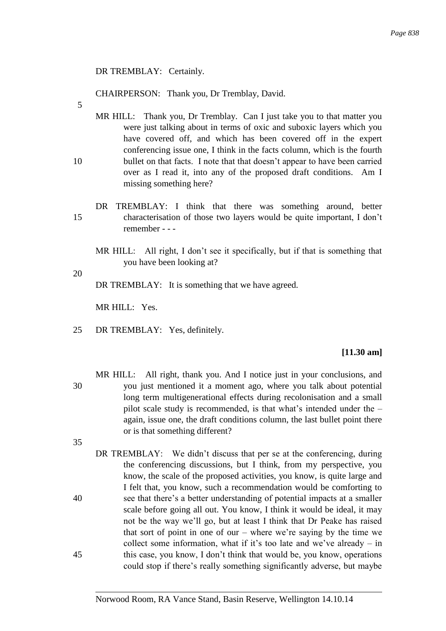## DR TREMBLAY: Certainly.

CHAIRPERSON: Thank you, Dr Tremblay, David.

- 5
- MR HILL: Thank you, Dr Tremblay. Can I just take you to that matter you were just talking about in terms of oxic and suboxic layers which you have covered off, and which has been covered off in the expert conferencing issue one, I think in the facts column, which is the fourth 10 bullet on that facts. I note that that doesn't appear to have been carried over as I read it, into any of the proposed draft conditions. Am I missing something here?
- DR TREMBLAY: I think that there was something around, better 15 characterisation of those two layers would be quite important, I don't remember - - -

MR HILL: All right, I don't see it specifically, but if that is something that you have been looking at?

DR TREMBLAY: It is something that we have agreed.

MR HILL: Yes.

25 DR TREMBLAY: Yes, definitely.

#### **[11.30 am]**

- MR HILL: All right, thank you. And I notice just in your conclusions, and 30 you just mentioned it a moment ago, where you talk about potential long term multigenerational effects during recolonisation and a small pilot scale study is recommended, is that what's intended under the – again, issue one, the draft conditions column, the last bullet point there or is that something different?
- 35
- DR TREMBLAY: We didn't discuss that per se at the conferencing, during the conferencing discussions, but I think, from my perspective, you know, the scale of the proposed activities, you know, is quite large and I felt that, you know, such a recommendation would be comforting to 40 see that there's a better understanding of potential impacts at a smaller scale before going all out. You know, I think it would be ideal, it may not be the way we'll go, but at least I think that Dr Peake has raised that sort of point in one of our – where we're saying by the time we collect some information, what if it's too late and we've already – in 45 this case, you know, I don't think that would be, you know, operations could stop if there's really something significantly adverse, but maybe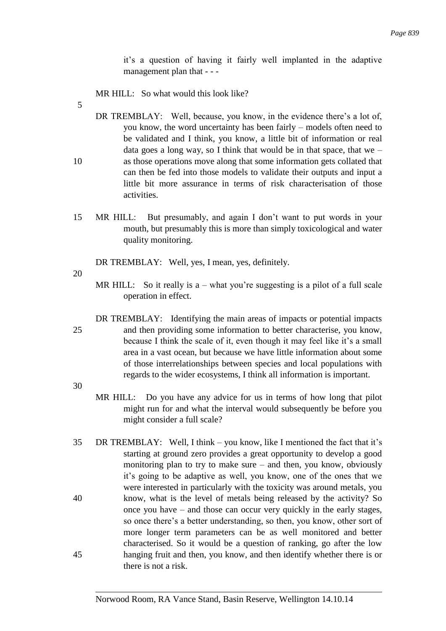it's a question of having it fairly well implanted in the adaptive management plan that - - -

MR HILL: So what would this look like?

5

DR TREMBLAY: Well, because, you know, in the evidence there's a lot of, you know, the word uncertainty has been fairly – models often need to be validated and I think, you know, a little bit of information or real data goes a long way, so I think that would be in that space, that we – 10 as those operations move along that some information gets collated that can then be fed into those models to validate their outputs and input a little bit more assurance in terms of risk characterisation of those activities.

15 MR HILL: But presumably, and again I don't want to put words in your mouth, but presumably this is more than simply toxicological and water quality monitoring.

DR TREMBLAY: Well, yes, I mean, yes, definitely.

20

MR HILL: So it really is  $a$  – what you're suggesting is a pilot of a full scale operation in effect.

DR TREMBLAY: Identifying the main areas of impacts or potential impacts 25 and then providing some information to better characterise, you know, because I think the scale of it, even though it may feel like it's a small area in a vast ocean, but because we have little information about some of those interrelationships between species and local populations with regards to the wider ecosystems, I think all information is important.

- MR HILL: Do you have any advice for us in terms of how long that pilot might run for and what the interval would subsequently be before you might consider a full scale?
- 35 DR TREMBLAY: Well, I think you know, like I mentioned the fact that it's starting at ground zero provides a great opportunity to develop a good monitoring plan to try to make sure – and then, you know, obviously it's going to be adaptive as well, you know, one of the ones that we were interested in particularly with the toxicity was around metals, you 40 know, what is the level of metals being released by the activity? So once you have – and those can occur very quickly in the early stages, so once there's a better understanding, so then, you know, other sort of more longer term parameters can be as well monitored and better characterised. So it would be a question of ranking, go after the low 45 hanging fruit and then, you know, and then identify whether there is or there is not a risk.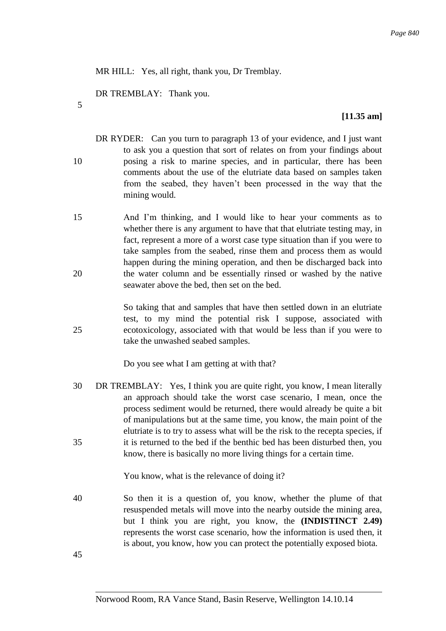MR HILL: Yes, all right, thank you, Dr Tremblay.

DR TREMBLAY: Thank you.

5

## **[11.35 am]**

- DR RYDER: Can you turn to paragraph 13 of your evidence, and I just want to ask you a question that sort of relates on from your findings about 10 posing a risk to marine species, and in particular, there has been comments about the use of the elutriate data based on samples taken from the seabed, they haven't been processed in the way that the mining would.
- 15 And I'm thinking, and I would like to hear your comments as to whether there is any argument to have that that elutriate testing may, in fact, represent a more of a worst case type situation than if you were to take samples from the seabed, rinse them and process them as would happen during the mining operation, and then be discharged back into 20 the water column and be essentially rinsed or washed by the native seawater above the bed, then set on the bed.

So taking that and samples that have then settled down in an elutriate test, to my mind the potential risk I suppose, associated with 25 ecotoxicology, associated with that would be less than if you were to take the unwashed seabed samples.

Do you see what I am getting at with that?

30 DR TREMBLAY: Yes, I think you are quite right, you know, I mean literally an approach should take the worst case scenario, I mean, once the process sediment would be returned, there would already be quite a bit of manipulations but at the same time, you know, the main point of the elutriate is to try to assess what will be the risk to the recepta species, if 35 it is returned to the bed if the benthic bed has been disturbed then, you know, there is basically no more living things for a certain time.

You know, what is the relevance of doing it?

40 So then it is a question of, you know, whether the plume of that resuspended metals will move into the nearby outside the mining area, but I think you are right, you know, the **(INDISTINCT 2.49)**  represents the worst case scenario, how the information is used then, it is about, you know, how you can protect the potentially exposed biota.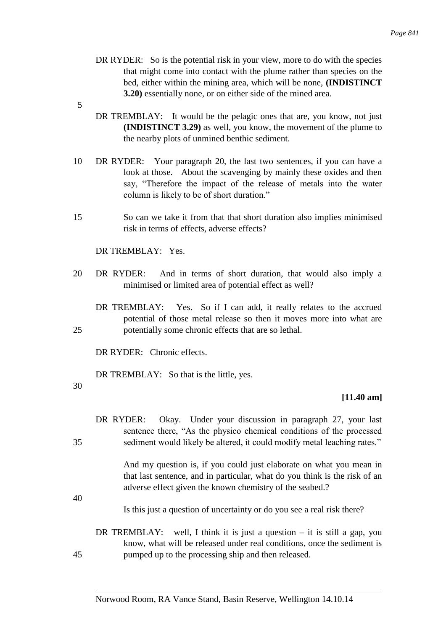- DR RYDER: So is the potential risk in your view, more to do with the species that might come into contact with the plume rather than species on the bed, either within the mining area, which will be none, **(INDISTINCT 3.20)** essentially none, or on either side of the mined area.
- 5
- DR TREMBLAY: It would be the pelagic ones that are, you know, not just **(INDISTINCT 3.29)** as well, you know, the movement of the plume to the nearby plots of unmined benthic sediment.
- 10 DR RYDER: Your paragraph 20, the last two sentences, if you can have a look at those. About the scavenging by mainly these oxides and then say, "Therefore the impact of the release of metals into the water column is likely to be of short duration."
- 15 So can we take it from that that short duration also implies minimised risk in terms of effects, adverse effects?

DR TREMBLAY: Yes.

- 20 DR RYDER: And in terms of short duration, that would also imply a minimised or limited area of potential effect as well?
- DR TREMBLAY: Yes. So if I can add, it really relates to the accrued potential of those metal release so then it moves more into what are 25 potentially some chronic effects that are so lethal.

DR RYDER: Chronic effects.

DR TREMBLAY: So that is the little, yes.

30

## **[11.40 am]**

DR RYDER: Okay. Under your discussion in paragraph 27, your last sentence there, "As the physico chemical conditions of the processed 35 sediment would likely be altered, it could modify metal leaching rates."

> And my question is, if you could just elaborate on what you mean in that last sentence, and in particular, what do you think is the risk of an adverse effect given the known chemistry of the seabed.?

40

Is this just a question of uncertainty or do you see a real risk there?

DR TREMBLAY: well, I think it is just a question  $-$  it is still a gap, you know, what will be released under real conditions, once the sediment is 45 pumped up to the processing ship and then released.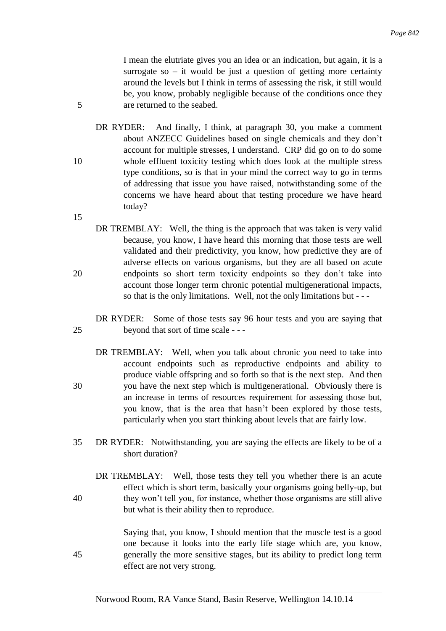I mean the elutriate gives you an idea or an indication, but again, it is a surrogate so  $-$  it would be just a question of getting more certainty around the levels but I think in terms of assessing the risk, it still would be, you know, probably negligible because of the conditions once they 5 are returned to the seabed.

DR RYDER: And finally, I think, at paragraph 30, you make a comment about ANZECC Guidelines based on single chemicals and they don't account for multiple stresses, I understand. CRP did go on to do some 10 whole effluent toxicity testing which does look at the multiple stress type conditions, so is that in your mind the correct way to go in terms of addressing that issue you have raised, notwithstanding some of the concerns we have heard about that testing procedure we have heard today?

15

- DR TREMBLAY: Well, the thing is the approach that was taken is very valid because, you know, I have heard this morning that those tests are well validated and their predictivity, you know, how predictive they are of adverse effects on various organisms, but they are all based on acute 20 endpoints so short term toxicity endpoints so they don't take into account those longer term chronic potential multigenerational impacts, so that is the only limitations. Well, not the only limitations but - - -
- DR RYDER: Some of those tests say 96 hour tests and you are saying that 25 beyond that sort of time scale - - -
- DR TREMBLAY: Well, when you talk about chronic you need to take into account endpoints such as reproductive endpoints and ability to produce viable offspring and so forth so that is the next step. And then 30 you have the next step which is multigenerational. Obviously there is an increase in terms of resources requirement for assessing those but, you know, that is the area that hasn't been explored by those tests, particularly when you start thinking about levels that are fairly low.
- 35 DR RYDER: Notwithstanding, you are saying the effects are likely to be of a short duration?
- DR TREMBLAY: Well, those tests they tell you whether there is an acute effect which is short term, basically your organisms going belly-up, but 40 they won't tell you, for instance, whether those organisms are still alive but what is their ability then to reproduce.

Saying that, you know, I should mention that the muscle test is a good one because it looks into the early life stage which are, you know, 45 generally the more sensitive stages, but its ability to predict long term effect are not very strong.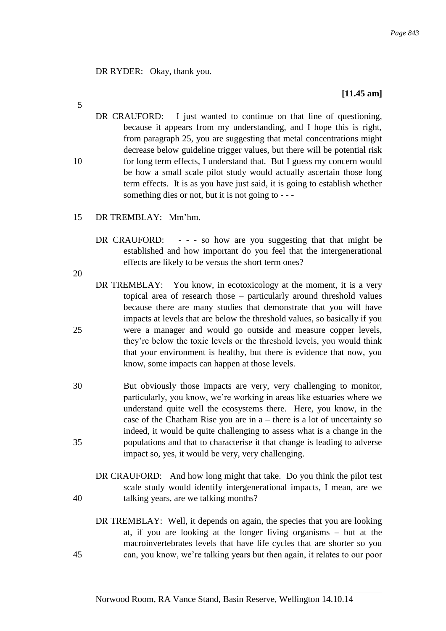DR RYDER: Okay, thank you.

# **[11.45 am]**

- DR CRAUFORD: I just wanted to continue on that line of questioning, because it appears from my understanding, and I hope this is right, from paragraph 25, you are suggesting that metal concentrations might decrease below guideline trigger values, but there will be potential risk 10 for long term effects, I understand that. But I guess my concern would be how a small scale pilot study would actually ascertain those long term effects. It is as you have just said, it is going to establish whether something dies or not, but it is not going to - - -
- 15 DR TREMBLAY: Mm'hm.
	- DR CRAUFORD: - so how are you suggesting that that might be established and how important do you feel that the intergenerational effects are likely to be versus the short term ones?

20

- DR TREMBLAY: You know, in ecotoxicology at the moment, it is a very topical area of research those – particularly around threshold values because there are many studies that demonstrate that you will have impacts at levels that are below the threshold values, so basically if you 25 were a manager and would go outside and measure copper levels, they're below the toxic levels or the threshold levels, you would think that your environment is healthy, but there is evidence that now, you know, some impacts can happen at those levels.
- 30 But obviously those impacts are very, very challenging to monitor, particularly, you know, we're working in areas like estuaries where we understand quite well the ecosystems there. Here, you know, in the case of the Chatham Rise you are in a – there is a lot of uncertainty so indeed, it would be quite challenging to assess what is a change in the 35 populations and that to characterise it that change is leading to adverse impact so, yes, it would be very, very challenging.
- DR CRAUFORD: And how long might that take. Do you think the pilot test scale study would identify intergenerational impacts, I mean, are we 40 talking years, are we talking months?
- DR TREMBLAY: Well, it depends on again, the species that you are looking at, if you are looking at the longer living organisms – but at the macroinvertebrates levels that have life cycles that are shorter so you 45 can, you know, we're talking years but then again, it relates to our poor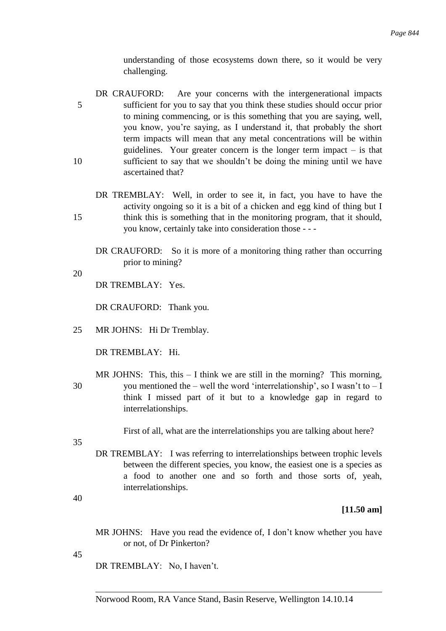understanding of those ecosystems down there, so it would be very challenging.

- DR CRAUFORD: Are your concerns with the intergenerational impacts 5 sufficient for you to say that you think these studies should occur prior to mining commencing, or is this something that you are saying, well, you know, you're saying, as I understand it, that probably the short term impacts will mean that any metal concentrations will be within guidelines. Your greater concern is the longer term impact – is that 10 sufficient to say that we shouldn't be doing the mining until we have ascertained that?
- DR TREMBLAY: Well, in order to see it, in fact, you have to have the activity ongoing so it is a bit of a chicken and egg kind of thing but I 15 think this is something that in the monitoring program, that it should, you know, certainly take into consideration those - - -
	- DR CRAUFORD: So it is more of a monitoring thing rather than occurring prior to mining?
- 20

DR TREMBLAY: Yes.

DR CRAUFORD: Thank you.

25 MR JOHNS: Hi Dr Tremblay.

DR TREMBLAY: Hi.

MR JOHNS: This, this  $-1$  think we are still in the morning? This morning, 30 you mentioned the – well the word 'interrelationship', so I wasn't to  $-I$ think I missed part of it but to a knowledge gap in regard to interrelationships.

First of all, what are the interrelationships you are talking about here?

- 35
- DR TREMBLAY: I was referring to interrelationships between trophic levels between the different species, you know, the easiest one is a species as a food to another one and so forth and those sorts of, yeah, interrelationships.

40

## **[11.50 am]**

- MR JOHNS: Have you read the evidence of, I don't know whether you have or not, of Dr Pinkerton?
- 45

DR TREMBLAY: No, I haven't.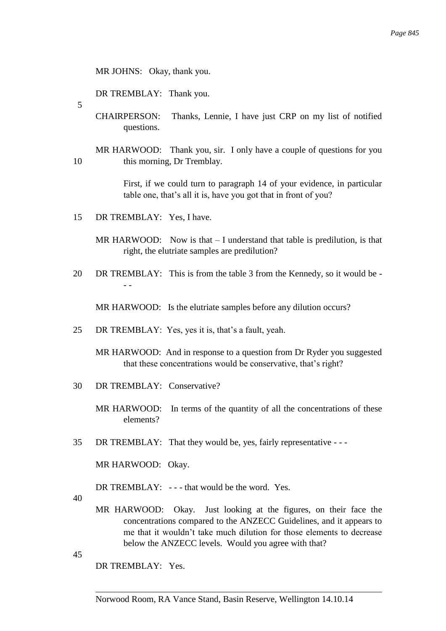MR JOHNS: Okay, thank you.

DR TREMBLAY: Thank you.

5

CHAIRPERSON: Thanks, Lennie, I have just CRP on my list of notified questions.

MR HARWOOD: Thank you, sir. I only have a couple of questions for you 10 this morning, Dr Tremblay.

> First, if we could turn to paragraph 14 of your evidence, in particular table one, that's all it is, have you got that in front of you?

15 DR TREMBLAY: Yes, I have.

MR HARWOOD: Now is that – I understand that table is predilution, is that right, the elutriate samples are predilution?

20 DR TREMBLAY: This is from the table 3 from the Kennedy, so it would be - - -

MR HARWOOD: Is the elutriate samples before any dilution occurs?

- 25 DR TREMBLAY: Yes, yes it is, that's a fault, yeah.
	- MR HARWOOD: And in response to a question from Dr Ryder you suggested that these concentrations would be conservative, that's right?
- 30 DR TREMBLAY: Conservative?

MR HARWOOD: In terms of the quantity of all the concentrations of these elements?

35 DR TREMBLAY: That they would be, yes, fairly representative - - -

MR HARWOOD: Okay.

DR TREMBLAY: --- that would be the word. Yes.

40

MR HARWOOD: Okay. Just looking at the figures, on their face the concentrations compared to the ANZECC Guidelines, and it appears to me that it wouldn't take much dilution for those elements to decrease below the ANZECC levels. Would you agree with that?

45

DR TREMBLAY: Yes.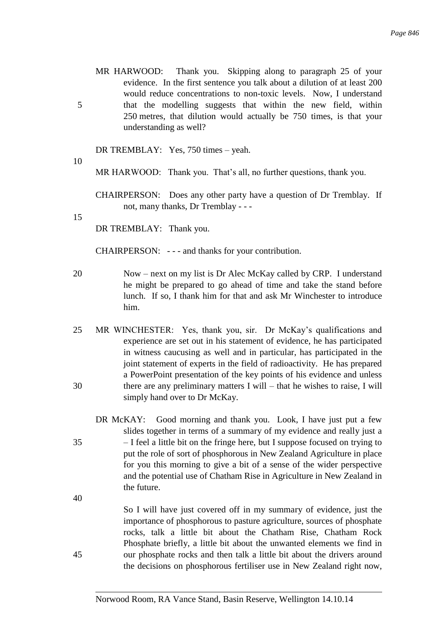MR HARWOOD: Thank you. Skipping along to paragraph 25 of your evidence. In the first sentence you talk about a dilution of at least 200 would reduce concentrations to non-toxic levels. Now, I understand 5 that the modelling suggests that within the new field, within 250 metres, that dilution would actually be 750 times, is that your understanding as well?

DR TREMBLAY: Yes, 750 times – yeah.

10

MR HARWOOD: Thank you. That's all, no further questions, thank you.

CHAIRPERSON: Does any other party have a question of Dr Tremblay. If not, many thanks, Dr Tremblay - - -

15

DR TREMBLAY: Thank you.

CHAIRPERSON: - - - and thanks for your contribution.

- 20 Now next on my list is Dr Alec McKay called by CRP. I understand he might be prepared to go ahead of time and take the stand before lunch. If so, I thank him for that and ask Mr Winchester to introduce him.
- 25 MR WINCHESTER: Yes, thank you, sir. Dr McKay's qualifications and experience are set out in his statement of evidence, he has participated in witness caucusing as well and in particular, has participated in the joint statement of experts in the field of radioactivity. He has prepared a PowerPoint presentation of the key points of his evidence and unless 30 there are any preliminary matters I will – that he wishes to raise, I will simply hand over to Dr McKay.
- DR McKAY: Good morning and thank you. Look, I have just put a few slides together in terms of a summary of my evidence and really just a 35 – I feel a little bit on the fringe here, but I suppose focused on trying to put the role of sort of phosphorous in New Zealand Agriculture in place for you this morning to give a bit of a sense of the wider perspective and the potential use of Chatham Rise in Agriculture in New Zealand in the future.

40

So I will have just covered off in my summary of evidence, just the importance of phosphorous to pasture agriculture, sources of phosphate rocks, talk a little bit about the Chatham Rise, Chatham Rock Phosphate briefly, a little bit about the unwanted elements we find in 45 our phosphate rocks and then talk a little bit about the drivers around the decisions on phosphorous fertiliser use in New Zealand right now,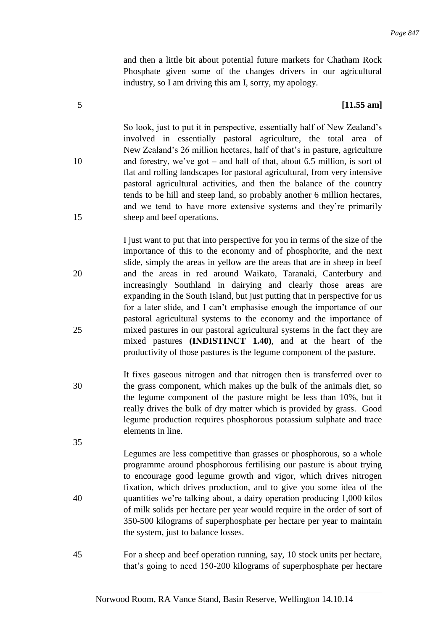and then a little bit about potential future markets for Chatham Rock Phosphate given some of the changes drivers in our agricultural industry, so I am driving this am I, sorry, my apology.

## 5 **[11.55 am]**

So look, just to put it in perspective, essentially half of New Zealand's involved in essentially pastoral agriculture, the total area of New Zealand's 26 million hectares, half of that's in pasture, agriculture 10 and forestry, we've got – and half of that, about 6.5 million, is sort of flat and rolling landscapes for pastoral agricultural, from very intensive pastoral agricultural activities, and then the balance of the country tends to be hill and steep land, so probably another 6 million hectares, and we tend to have more extensive systems and they're primarily 15 sheep and beef operations.

I just want to put that into perspective for you in terms of the size of the importance of this to the economy and of phosphorite, and the next slide, simply the areas in yellow are the areas that are in sheep in beef 20 and the areas in red around Waikato, Taranaki, Canterbury and increasingly Southland in dairying and clearly those areas are expanding in the South Island, but just putting that in perspective for us for a later slide, and I can't emphasise enough the importance of our pastoral agricultural systems to the economy and the importance of 25 mixed pastures in our pastoral agricultural systems in the fact they are mixed pastures **(INDISTINCT 1.40)**, and at the heart of the productivity of those pastures is the legume component of the pasture.

- It fixes gaseous nitrogen and that nitrogen then is transferred over to 30 the grass component, which makes up the bulk of the animals diet, so the legume component of the pasture might be less than 10%, but it really drives the bulk of dry matter which is provided by grass. Good legume production requires phosphorous potassium sulphate and trace elements in line.
- 35

Legumes are less competitive than grasses or phosphorous, so a whole programme around phosphorous fertilising our pasture is about trying to encourage good legume growth and vigor, which drives nitrogen fixation, which drives production, and to give you some idea of the 40 quantities we're talking about, a dairy operation producing 1,000 kilos of milk solids per hectare per year would require in the order of sort of 350-500 kilograms of superphosphate per hectare per year to maintain the system, just to balance losses.

45 For a sheep and beef operation running, say, 10 stock units per hectare, that's going to need 150-200 kilograms of superphosphate per hectare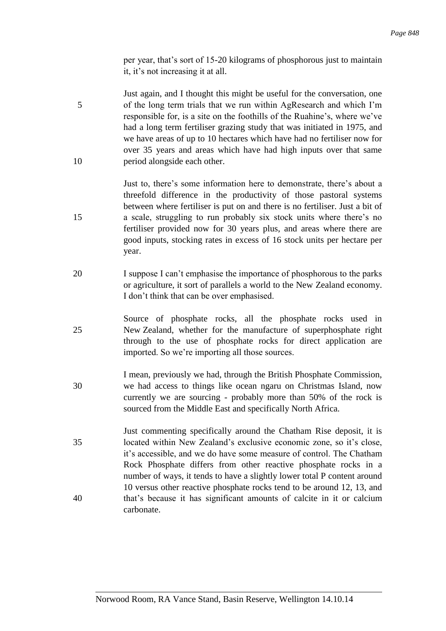per year, that's sort of 15-20 kilograms of phosphorous just to maintain it, it's not increasing it at all.

Just again, and I thought this might be useful for the conversation, one 5 of the long term trials that we run within AgResearch and which I'm responsible for, is a site on the foothills of the Ruahine's, where we've had a long term fertiliser grazing study that was initiated in 1975, and we have areas of up to 10 hectares which have had no fertiliser now for over 35 years and areas which have had high inputs over that same 10 period alongside each other.

Just to, there's some information here to demonstrate, there's about a threefold difference in the productivity of those pastoral systems between where fertiliser is put on and there is no fertiliser. Just a bit of 15 a scale, struggling to run probably six stock units where there's no fertiliser provided now for 30 years plus, and areas where there are good inputs, stocking rates in excess of 16 stock units per hectare per year.

- 20 I suppose I can't emphasise the importance of phosphorous to the parks or agriculture, it sort of parallels a world to the New Zealand economy. I don't think that can be over emphasised.
- Source of phosphate rocks, all the phosphate rocks used in 25 New Zealand, whether for the manufacture of superphosphate right through to the use of phosphate rocks for direct application are imported. So we're importing all those sources.
- I mean, previously we had, through the British Phosphate Commission, 30 we had access to things like ocean ngaru on Christmas Island, now currently we are sourcing - probably more than 50% of the rock is sourced from the Middle East and specifically North Africa.
- Just commenting specifically around the Chatham Rise deposit, it is 35 located within New Zealand's exclusive economic zone, so it's close, it's accessible, and we do have some measure of control. The Chatham Rock Phosphate differs from other reactive phosphate rocks in a number of ways, it tends to have a slightly lower total P content around 10 versus other reactive phosphate rocks tend to be around 12, 13, and 40 that's because it has significant amounts of calcite in it or calcium carbonate.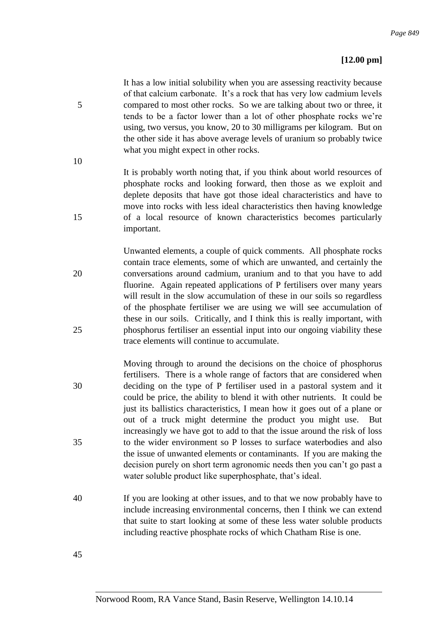# **[12.00 pm]**

It has a low initial solubility when you are assessing reactivity because of that calcium carbonate. It's a rock that has very low cadmium levels 5 compared to most other rocks. So we are talking about two or three, it tends to be a factor lower than a lot of other phosphate rocks we're using, two versus, you know, 20 to 30 milligrams per kilogram. But on the other side it has above average levels of uranium so probably twice what you might expect in other rocks.

It is probably worth noting that, if you think about world resources of phosphate rocks and looking forward, then those as we exploit and deplete deposits that have got those ideal characteristics and have to move into rocks with less ideal characteristics then having knowledge 15 of a local resource of known characteristics becomes particularly important.

Unwanted elements, a couple of quick comments. All phosphate rocks contain trace elements, some of which are unwanted, and certainly the 20 conversations around cadmium, uranium and to that you have to add fluorine. Again repeated applications of P fertilisers over many years will result in the slow accumulation of these in our soils so regardless of the phosphate fertiliser we are using we will see accumulation of these in our soils. Critically, and I think this is really important, with 25 phosphorus fertiliser an essential input into our ongoing viability these trace elements will continue to accumulate.

- Moving through to around the decisions on the choice of phosphorus fertilisers. There is a whole range of factors that are considered when 30 deciding on the type of P fertiliser used in a pastoral system and it could be price, the ability to blend it with other nutrients. It could be just its ballistics characteristics, I mean how it goes out of a plane or out of a truck might determine the product you might use. But increasingly we have got to add to that the issue around the risk of loss 35 to the wider environment so P losses to surface waterbodies and also the issue of unwanted elements or contaminants. If you are making the decision purely on short term agronomic needs then you can't go past a water soluble product like superphosphate, that's ideal.
- 40 If you are looking at other issues, and to that we now probably have to include increasing environmental concerns, then I think we can extend that suite to start looking at some of these less water soluble products including reactive phosphate rocks of which Chatham Rise is one.

45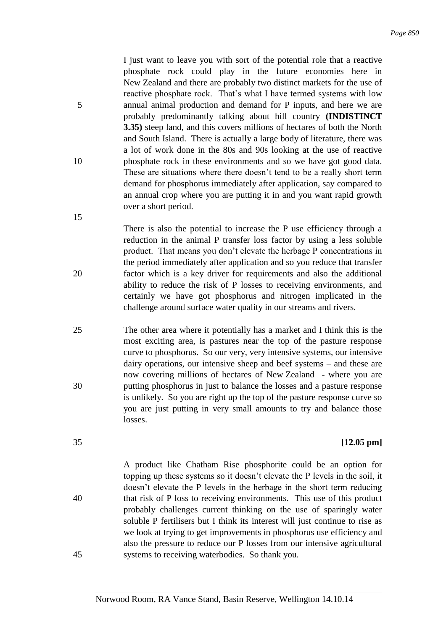I just want to leave you with sort of the potential role that a reactive phosphate rock could play in the future economies here in New Zealand and there are probably two distinct markets for the use of reactive phosphate rock. That's what I have termed systems with low 5 annual animal production and demand for P inputs, and here we are probably predominantly talking about hill country **(INDISTINCT 3.35)** steep land, and this covers millions of hectares of both the North and South Island. There is actually a large body of literature, there was a lot of work done in the 80s and 90s looking at the use of reactive 10 phosphate rock in these environments and so we have got good data. These are situations where there doesn't tend to be a really short term demand for phosphorus immediately after application, say compared to an annual crop where you are putting it in and you want rapid growth over a short period.

There is also the potential to increase the P use efficiency through a reduction in the animal P transfer loss factor by using a less soluble product. That means you don't elevate the herbage P concentrations in the period immediately after application and so you reduce that transfer 20 factor which is a key driver for requirements and also the additional ability to reduce the risk of P losses to receiving environments, and certainly we have got phosphorus and nitrogen implicated in the challenge around surface water quality in our streams and rivers.

25 The other area where it potentially has a market and I think this is the most exciting area, is pastures near the top of the pasture response curve to phosphorus. So our very, very intensive systems, our intensive dairy operations, our intensive sheep and beef systems – and these are now covering millions of hectares of New Zealand - where you are 30 putting phosphorus in just to balance the losses and a pasture response is unlikely. So you are right up the top of the pasture response curve so you are just putting in very small amounts to try and balance those losses.

## 35 **[12.05 pm]**

A product like Chatham Rise phosphorite could be an option for topping up these systems so it doesn't elevate the P levels in the soil, it doesn't elevate the P levels in the herbage in the short term reducing 40 that risk of P loss to receiving environments. This use of this product probably challenges current thinking on the use of sparingly water soluble P fertilisers but I think its interest will just continue to rise as we look at trying to get improvements in phosphorus use efficiency and also the pressure to reduce our P losses from our intensive agricultural 45 systems to receiving waterbodies. So thank you.

Norwood Room, RA Vance Stand, Basin Reserve, Wellington 14.10.14

- 
-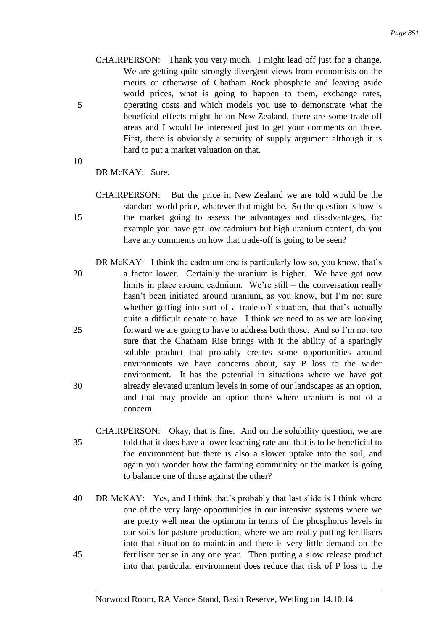- CHAIRPERSON: Thank you very much. I might lead off just for a change. We are getting quite strongly divergent views from economists on the merits or otherwise of Chatham Rock phosphate and leaving aside world prices, what is going to happen to them, exchange rates, 5 operating costs and which models you use to demonstrate what the beneficial effects might be on New Zealand, there are some trade-off areas and I would be interested just to get your comments on those. First, there is obviously a security of supply argument although it is hard to put a market valuation on that.
- 10

DR McKAY: Sure.

- CHAIRPERSON: But the price in New Zealand we are told would be the standard world price, whatever that might be. So the question is how is 15 the market going to assess the advantages and disadvantages, for example you have got low cadmium but high uranium content, do you have any comments on how that trade-off is going to be seen?
- DR McKAY: I think the cadmium one is particularly low so, you know, that's 20 a factor lower. Certainly the uranium is higher. We have got now limits in place around cadmium. We're still – the conversation really hasn't been initiated around uranium, as you know, but I'm not sure whether getting into sort of a trade-off situation, that that's actually quite a difficult debate to have. I think we need to as we are looking 25 forward we are going to have to address both those. And so I'm not too sure that the Chatham Rise brings with it the ability of a sparingly soluble product that probably creates some opportunities around environments we have concerns about, say P loss to the wider environment. It has the potential in situations where we have got 30 already elevated uranium levels in some of our landscapes as an option, and that may provide an option there where uranium is not of a concern.
- CHAIRPERSON: Okay, that is fine. And on the solubility question, we are 35 told that it does have a lower leaching rate and that is to be beneficial to the environment but there is also a slower uptake into the soil, and again you wonder how the farming community or the market is going to balance one of those against the other?
- 40 DR McKAY: Yes, and I think that's probably that last slide is I think where one of the very large opportunities in our intensive systems where we are pretty well near the optimum in terms of the phosphorus levels in our soils for pasture production, where we are really putting fertilisers into that situation to maintain and there is very little demand on the 45 fertiliser per se in any one year. Then putting a slow release product into that particular environment does reduce that risk of P loss to the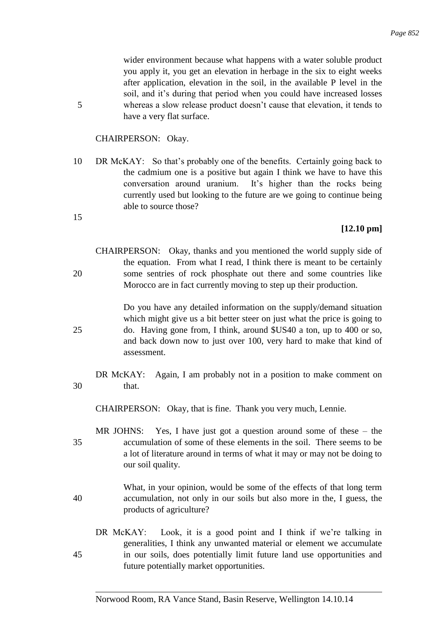wider environment because what happens with a water soluble product you apply it, you get an elevation in herbage in the six to eight weeks after application, elevation in the soil, in the available P level in the soil, and it's during that period when you could have increased losses 5 whereas a slow release product doesn't cause that elevation, it tends to have a very flat surface.

## CHAIRPERSON: Okay.

10 DR McKAY: So that's probably one of the benefits. Certainly going back to the cadmium one is a positive but again I think we have to have this conversation around uranium. It's higher than the rocks being currently used but looking to the future are we going to continue being able to source those?

#### 15

## **[12.10 pm]**

|    | CHAIRPERSON: Okay, thanks and you mentioned the world supply side of   |  |  |  |  |  |  |
|----|------------------------------------------------------------------------|--|--|--|--|--|--|
|    | the equation. From what I read, I think there is meant to be certainly |  |  |  |  |  |  |
| 20 | some sentries of rock phosphate out there and some countries like      |  |  |  |  |  |  |
|    | Morocco are in fact currently moving to step up their production.      |  |  |  |  |  |  |
|    |                                                                        |  |  |  |  |  |  |

Do you have any detailed information on the supply/demand situation which might give us a bit better steer on just what the price is going to 25 do. Having gone from, I think, around \$US40 a ton, up to 400 or so, and back down now to just over 100, very hard to make that kind of assessment.

DR McKAY: Again, I am probably not in a position to make comment on 30 that.

CHAIRPERSON: Okay, that is fine. Thank you very much, Lennie.

- MR JOHNS: Yes, I have just got a question around some of these the 35 accumulation of some of these elements in the soil. There seems to be a lot of literature around in terms of what it may or may not be doing to our soil quality.
- What, in your opinion, would be some of the effects of that long term 40 accumulation, not only in our soils but also more in the, I guess, the products of agriculture?
- DR McKAY: Look, it is a good point and I think if we're talking in generalities, I think any unwanted material or element we accumulate 45 in our soils, does potentially limit future land use opportunities and future potentially market opportunities.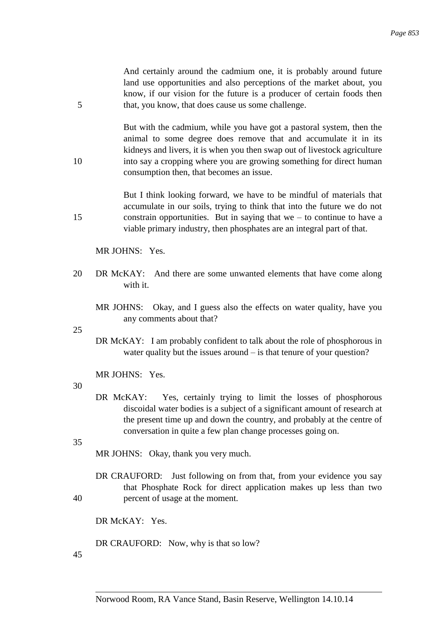And certainly around the cadmium one, it is probably around future land use opportunities and also perceptions of the market about, you know, if our vision for the future is a producer of certain foods then 5 that, you know, that does cause us some challenge.

But with the cadmium, while you have got a pastoral system, then the animal to some degree does remove that and accumulate it in its kidneys and livers, it is when you then swap out of livestock agriculture 10 into say a cropping where you are growing something for direct human consumption then, that becomes an issue.

But I think looking forward, we have to be mindful of materials that accumulate in our soils, trying to think that into the future we do not 15 constrain opportunities. But in saying that we – to continue to have a viable primary industry, then phosphates are an integral part of that.

MR JOHNS: Yes.

- 20 DR McKAY: And there are some unwanted elements that have come along with it.
	- MR JOHNS: Okay, and I guess also the effects on water quality, have you any comments about that?

25

DR McKAY: I am probably confident to talk about the role of phosphorous in water quality but the issues around – is that tenure of your question?

MR JOHNS: Yes.

#### 30

DR McKAY: Yes, certainly trying to limit the losses of phosphorous discoidal water bodies is a subject of a significant amount of research at the present time up and down the country, and probably at the centre of conversation in quite a few plan change processes going on.

35

MR JOHNS: Okay, thank you very much.

DR CRAUFORD: Just following on from that, from your evidence you say that Phosphate Rock for direct application makes up less than two 40 percent of usage at the moment.

DR McKAY: Yes.

DR CRAUFORD: Now, why is that so low?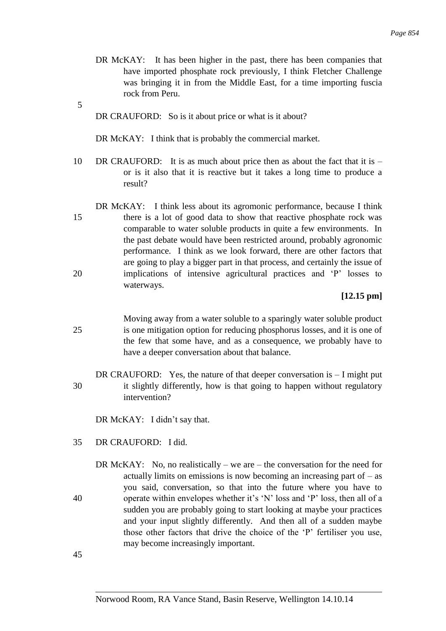- DR McKAY: It has been higher in the past, there has been companies that have imported phosphate rock previously, I think Fletcher Challenge was bringing it in from the Middle East, for a time importing fuscia rock from Peru.
- 5 DR CRAUFORD: So is it about price or what is it about?

DR McKAY: I think that is probably the commercial market.

- 10 DR CRAUFORD: It is as much about price then as about the fact that it is or is it also that it is reactive but it takes a long time to produce a result?
- DR McKAY: I think less about its agromonic performance, because I think 15 there is a lot of good data to show that reactive phosphate rock was comparable to water soluble products in quite a few environments. In the past debate would have been restricted around, probably agronomic performance. I think as we look forward, there are other factors that are going to play a bigger part in that process, and certainly the issue of 20 implications of intensive agricultural practices and 'P' losses to waterways.

## **[12.15 pm]**

- Moving away from a water soluble to a sparingly water soluble product 25 is one mitigation option for reducing phosphorus losses, and it is one of the few that some have, and as a consequence, we probably have to have a deeper conversation about that balance.
- DR CRAUFORD: Yes, the nature of that deeper conversation is  $-I$  might put 30 it slightly differently, how is that going to happen without regulatory intervention?

DR McKAY: I didn't say that.

- 35 DR CRAUFORD: I did.
- DR McKAY: No, no realistically we are the conversation for the need for actually limits on emissions is now becoming an increasing part of  $-$  as you said, conversation, so that into the future where you have to 40 operate within envelopes whether it's 'N' loss and 'P' loss, then all of a sudden you are probably going to start looking at maybe your practices and your input slightly differently. And then all of a sudden maybe those other factors that drive the choice of the 'P' fertiliser you use, may become increasingly important.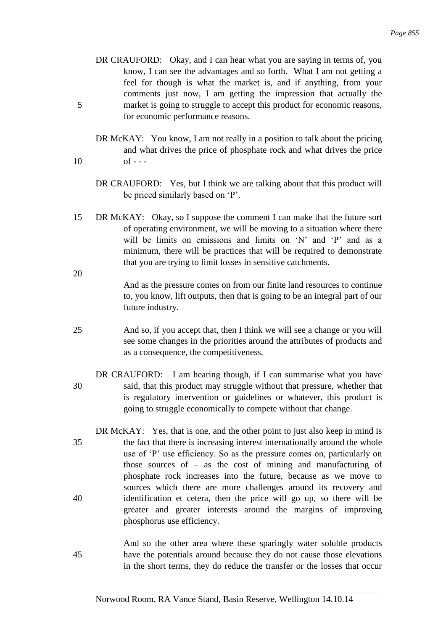- DR CRAUFORD: Okay, and I can hear what you are saying in terms of, you know, I can see the advantages and so forth. What I am not getting a feel for though is what the market is, and if anything, from your comments just now, I am getting the impression that actually the 5 market is going to struggle to accept this product for economic reasons, for economic performance reasons.
- DR McKAY: You know, I am not really in a position to talk about the pricing and what drives the price of phosphate rock and what drives the price  $10 \tof - -$ 
	- DR CRAUFORD: Yes, but I think we are talking about that this product will be priced similarly based on 'P'.
- 15 DR McKAY: Okay, so I suppose the comment I can make that the future sort of operating environment, we will be moving to a situation where there will be limits on emissions and limits on 'N' and 'P' and as a minimum, there will be practices that will be required to demonstrate that you are trying to limit losses in sensitive catchments.

- And as the pressure comes on from our finite land resources to continue to, you know, lift outputs, then that is going to be an integral part of our future industry.
- 25 And so, if you accept that, then I think we will see a change or you will see some changes in the priorities around the attributes of products and as a consequence, the competitiveness.
- DR CRAUFORD: I am hearing though, if I can summarise what you have 30 said, that this product may struggle without that pressure, whether that is regulatory intervention or guidelines or whatever, this product is going to struggle economically to compete without that change.
- DR McKAY: Yes, that is one, and the other point to just also keep in mind is 35 the fact that there is increasing interest internationally around the whole use of 'P' use efficiency. So as the pressure comes on, particularly on those sources of – as the cost of mining and manufacturing of phosphate rock increases into the future, because as we move to sources which there are more challenges around its recovery and 40 identification et cetera, then the price will go up, so there will be greater and greater interests around the margins of improving phosphorus use efficiency.
- And so the other area where these sparingly water soluble products 45 have the potentials around because they do not cause those elevations in the short terms, they do reduce the transfer or the losses that occur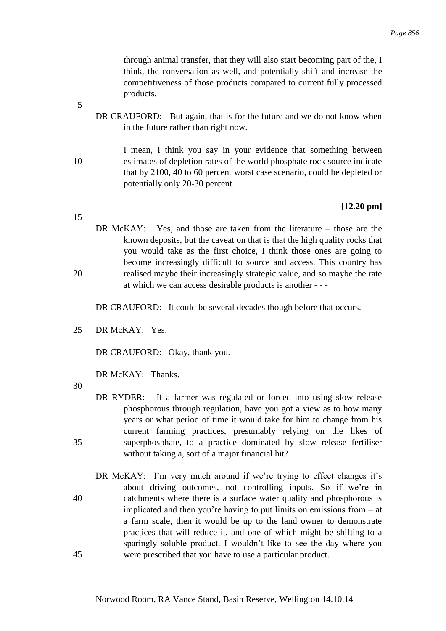through animal transfer, that they will also start becoming part of the, I think, the conversation as well, and potentially shift and increase the competitiveness of those products compared to current fully processed products.

- DR CRAUFORD: But again, that is for the future and we do not know when in the future rather than right now.
- I mean, I think you say in your evidence that something between 10 estimates of depletion rates of the world phosphate rock source indicate that by 2100, 40 to 60 percent worst case scenario, could be depleted or potentially only 20-30 percent.

## **[12.20 pm]**

DR McKAY: Yes, and those are taken from the literature – those are the known deposits, but the caveat on that is that the high quality rocks that you would take as the first choice, I think those ones are going to become increasingly difficult to source and access. This country has 20 realised maybe their increasingly strategic value, and so maybe the rate at which we can access desirable products is another - - -

DR CRAUFORD: It could be several decades though before that occurs.

25 DR McKAY: Yes.

DR CRAUFORD: Okay, thank you.

DR McKAY: Thanks.

30

- DR RYDER: If a farmer was regulated or forced into using slow release phosphorous through regulation, have you got a view as to how many years or what period of time it would take for him to change from his current farming practices, presumably relying on the likes of 35 superphosphate, to a practice dominated by slow release fertiliser without taking a, sort of a major financial hit?
- DR McKAY: I'm very much around if we're trying to effect changes it's about driving outcomes, not controlling inputs. So if we're in 40 catchments where there is a surface water quality and phosphorous is implicated and then you're having to put limits on emissions from – at a farm scale, then it would be up to the land owner to demonstrate practices that will reduce it, and one of which might be shifting to a sparingly soluble product. I wouldn't like to see the day where you 45 were prescribed that you have to use a particular product.

5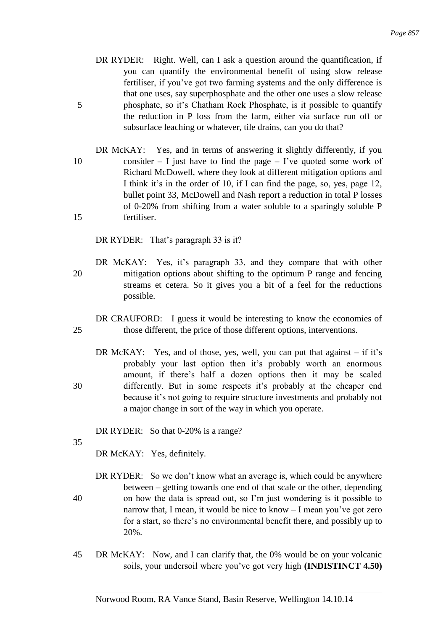- DR RYDER: Right. Well, can I ask a question around the quantification, if you can quantify the environmental benefit of using slow release fertiliser, if you've got two farming systems and the only difference is that one uses, say superphosphate and the other one uses a slow release 5 phosphate, so it's Chatham Rock Phosphate, is it possible to quantify the reduction in P loss from the farm, either via surface run off or subsurface leaching or whatever, tile drains, can you do that?
- DR McKAY: Yes, and in terms of answering it slightly differently, if you 10 consider  $- I$  just have to find the page  $- I$ 've quoted some work of Richard McDowell, where they look at different mitigation options and I think it's in the order of 10, if I can find the page, so, yes, page 12, bullet point 33, McDowell and Nash report a reduction in total P losses of 0-20% from shifting from a water soluble to a sparingly soluble P 15 fertiliser.

DR RYDER: That's paragraph 33 is it?

- DR McKAY: Yes, it's paragraph 33, and they compare that with other 20 mitigation options about shifting to the optimum P range and fencing streams et cetera. So it gives you a bit of a feel for the reductions possible.
- DR CRAUFORD: I guess it would be interesting to know the economies of 25 those different, the price of those different options, interventions.
- DR McKAY: Yes, and of those, yes, well, you can put that against if it's probably your last option then it's probably worth an enormous amount, if there's half a dozen options then it may be scaled 30 differently. But in some respects it's probably at the cheaper end because it's not going to require structure investments and probably not a major change in sort of the way in which you operate.

DR RYDER: So that 0-20% is a range?

35

DR McKAY: Yes, definitely.

- DR RYDER: So we don't know what an average is, which could be anywhere between – getting towards one end of that scale or the other, depending 40 on how the data is spread out, so I'm just wondering is it possible to narrow that, I mean, it would be nice to know – I mean you've got zero for a start, so there's no environmental benefit there, and possibly up to 20%.
- 45 DR McKAY: Now, and I can clarify that, the 0% would be on your volcanic soils, your undersoil where you've got very high **(INDISTINCT 4.50)**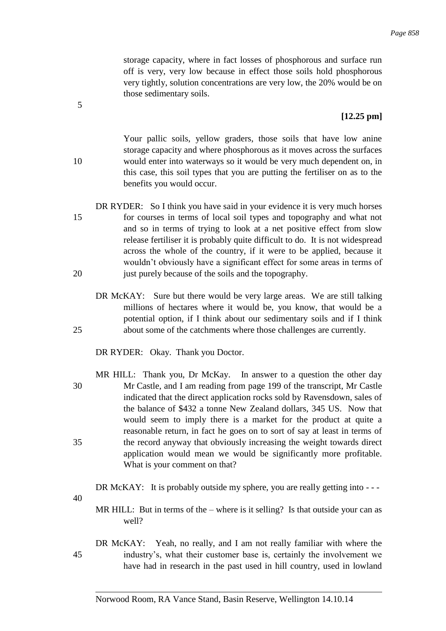storage capacity, where in fact losses of phosphorous and surface run off is very, very low because in effect those soils hold phosphorous very tightly, solution concentrations are very low, the 20% would be on those sedimentary soils.

## **[12.25 pm]**

Your pallic soils, yellow graders, those soils that have low anine storage capacity and where phosphorous as it moves across the surfaces 10 would enter into waterways so it would be very much dependent on, in this case, this soil types that you are putting the fertiliser on as to the benefits you would occur.

- DR RYDER: So I think you have said in your evidence it is very much horses 15 for courses in terms of local soil types and topography and what not and so in terms of trying to look at a net positive effect from slow release fertiliser it is probably quite difficult to do. It is not widespread across the whole of the country, if it were to be applied, because it wouldn't obviously have a significant effect for some areas in terms of 20 just purely because of the soils and the topography.
- DR McKAY: Sure but there would be very large areas. We are still talking millions of hectares where it would be, you know, that would be a potential option, if I think about our sedimentary soils and if I think 25 about some of the catchments where those challenges are currently.

DR RYDER: Okay. Thank you Doctor.

MR HILL: Thank you, Dr McKay. In answer to a question the other day 30 Mr Castle, and I am reading from page 199 of the transcript, Mr Castle indicated that the direct application rocks sold by Ravensdown, sales of the balance of \$432 a tonne New Zealand dollars, 345 US. Now that would seem to imply there is a market for the product at quite a reasonable return, in fact he goes on to sort of say at least in terms of 35 the record anyway that obviously increasing the weight towards direct application would mean we would be significantly more profitable. What is your comment on that?

DR McKAY: It is probably outside my sphere, you are really getting into ---

40

MR HILL: But in terms of the – where is it selling? Is that outside your can as well?

DR McKAY: Yeah, no really, and I am not really familiar with where the 45 industry's, what their customer base is, certainly the involvement we have had in research in the past used in hill country, used in lowland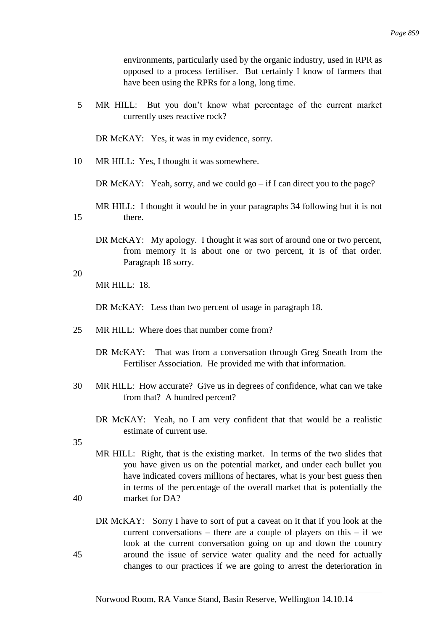environments, particularly used by the organic industry, used in RPR as opposed to a process fertiliser. But certainly I know of farmers that have been using the RPRs for a long, long time.

| MR HILL: But you don't know what percentage of the current market |                               |  |  |  |
|-------------------------------------------------------------------|-------------------------------|--|--|--|
|                                                                   | currently uses reactive rock? |  |  |  |

DR McKAY: Yes, it was in my evidence, sorry.

| 10 |  | MR HILL: Yes, I thought it was somewhere. |
|----|--|-------------------------------------------|
|----|--|-------------------------------------------|

DR McKAY: Yeah, sorry, and we could go – if I can direct you to the page?

MR HILL: I thought it would be in your paragraphs 34 following but it is not 15 there.

DR McKAY: My apology. I thought it was sort of around one or two percent, from memory it is about one or two percent, it is of that order. Paragraph 18 sorry.

20

MR HILL: 18.

DR McKAY: Less than two percent of usage in paragraph 18.

- 25 MR HILL: Where does that number come from?
	- DR McKAY: That was from a conversation through Greg Sneath from the Fertiliser Association. He provided me with that information.
- 30 MR HILL: How accurate? Give us in degrees of confidence, what can we take from that? A hundred percent?
	- DR McKAY: Yeah, no I am very confident that that would be a realistic estimate of current use.

- MR HILL: Right, that is the existing market. In terms of the two slides that you have given us on the potential market, and under each bullet you have indicated covers millions of hectares, what is your best guess then in terms of the percentage of the overall market that is potentially the 40 market for DA?
- DR McKAY: Sorry I have to sort of put a caveat on it that if you look at the current conversations – there are a couple of players on this – if we look at the current conversation going on up and down the country 45 around the issue of service water quality and the need for actually changes to our practices if we are going to arrest the deterioration in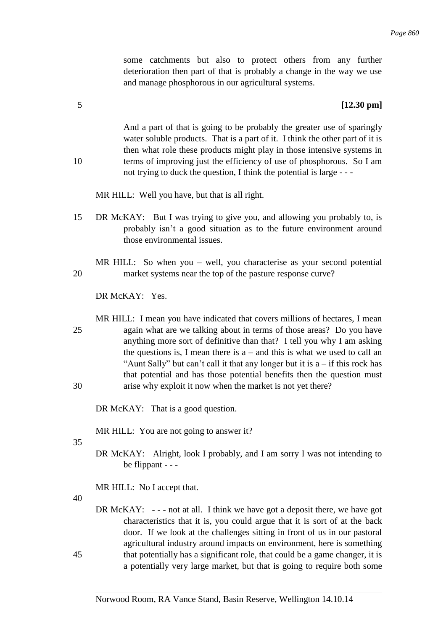some catchments but also to protect others from any further deterioration then part of that is probably a change in the way we use and manage phosphorous in our agricultural systems.

## 5 **[12.30 pm]**

And a part of that is going to be probably the greater use of sparingly water soluble products. That is a part of it. I think the other part of it is then what role these products might play in those intensive systems in 10 terms of improving just the efficiency of use of phosphorous. So I am not trying to duck the question, I think the potential is large - - -

MR HILL: Well you have, but that is all right.

15 DR McKAY: But I was trying to give you, and allowing you probably to, is probably isn't a good situation as to the future environment around those environmental issues.

MR HILL: So when you – well, you characterise as your second potential 20 market systems near the top of the pasture response curve?

DR McKAY: Yes.

MR HILL: I mean you have indicated that covers millions of hectares, I mean 25 again what are we talking about in terms of those areas? Do you have anything more sort of definitive than that? I tell you why I am asking the questions is, I mean there is  $a$  – and this is what we used to call an "Aunt Sally" but can't call it that any longer but it is  $a - if$  this rock has that potential and has those potential benefits then the question must 30 arise why exploit it now when the market is not yet there?

DR McKAY: That is a good question.

MR HILL: You are not going to answer it?

35

- DR McKAY: Alright, look I probably, and I am sorry I was not intending to be flippant - - -
- MR HILL: No I accept that.

40

DR McKAY: --- not at all. I think we have got a deposit there, we have got characteristics that it is, you could argue that it is sort of at the back door. If we look at the challenges sitting in front of us in our pastoral agricultural industry around impacts on environment, here is something 45 that potentially has a significant role, that could be a game changer, it is a potentially very large market, but that is going to require both some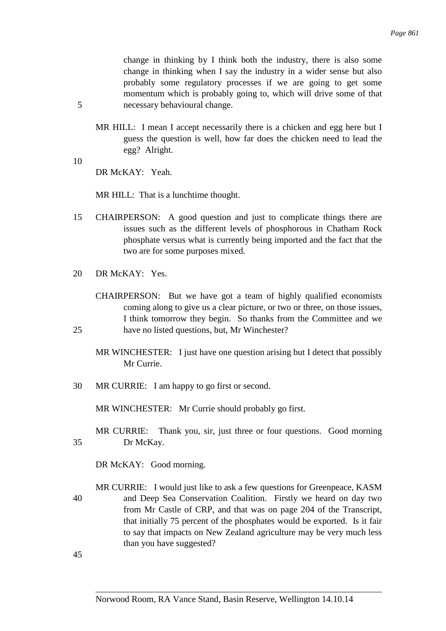change in thinking by I think both the industry, there is also some change in thinking when I say the industry in a wider sense but also probably some regulatory processes if we are going to get some momentum which is probably going to, which will drive some of that 5 necessary behavioural change.

- MR HILL: I mean I accept necessarily there is a chicken and egg here but I guess the question is well, how far does the chicken need to lead the egg? Alright.
- 10 DR McKAY: Yeah.

MR HILL: That is a lunchtime thought.

- 15 CHAIRPERSON: A good question and just to complicate things there are issues such as the different levels of phosphorous in Chatham Rock phosphate versus what is currently being imported and the fact that the two are for some purposes mixed.
- 20 DR McKAY: Yes.
- CHAIRPERSON: But we have got a team of highly qualified economists coming along to give us a clear picture, or two or three, on those issues, I think tomorrow they begin. So thanks from the Committee and we 25 have no listed questions, but, Mr Winchester?
	- MR WINCHESTER: I just have one question arising but I detect that possibly Mr Currie.
- 30 MR CURRIE: I am happy to go first or second.

MR WINCHESTER: Mr Currie should probably go first.

MR CURRIE: Thank you, sir, just three or four questions. Good morning 35 Dr McKay.

DR McKAY: Good morning.

MR CURRIE: I would just like to ask a few questions for Greenpeace, KASM 40 and Deep Sea Conservation Coalition. Firstly we heard on day two from Mr Castle of CRP, and that was on page 204 of the Transcript, that initially 75 percent of the phosphates would be exported. Is it fair to say that impacts on New Zealand agriculture may be very much less than you have suggested?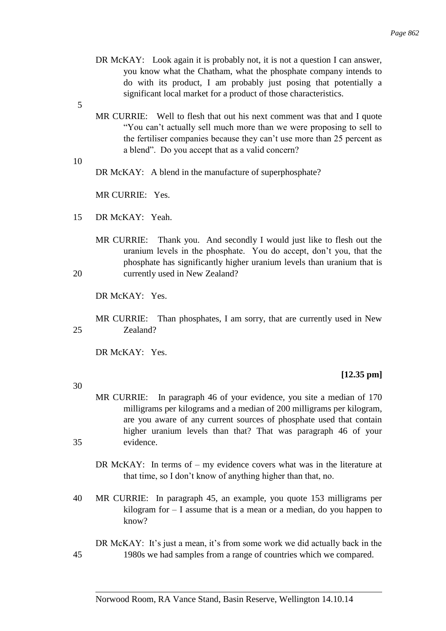- DR McKAY: Look again it is probably not, it is not a question I can answer, you know what the Chatham, what the phosphate company intends to do with its product, I am probably just posing that potentially a significant local market for a product of those characteristics.
- 5
- MR CURRIE: Well to flesh that out his next comment was that and I quote "You can't actually sell much more than we were proposing to sell to the fertiliser companies because they can't use more than 25 percent as a blend". Do you accept that as a valid concern?
- 10

30

DR McKAY: A blend in the manufacture of superphosphate?

MR CURRIE: Yes.

- 15 DR McKAY: Yeah.
- MR CURRIE: Thank you. And secondly I would just like to flesh out the uranium levels in the phosphate. You do accept, don't you, that the phosphate has significantly higher uranium levels than uranium that is 20 currently used in New Zealand?

DR McKAY: Yes.

MR CURRIE: Than phosphates, I am sorry, that are currently used in New 25 Zealand?

DR McKAY: Yes.

### **[12.35 pm]**

- MR CURRIE: In paragraph 46 of your evidence, you site a median of 170 milligrams per kilograms and a median of 200 milligrams per kilogram, are you aware of any current sources of phosphate used that contain higher uranium levels than that? That was paragraph 46 of your 35 evidence.
	- DR McKAY: In terms of my evidence covers what was in the literature at that time, so I don't know of anything higher than that, no.
- 40 MR CURRIE: In paragraph 45, an example, you quote 153 milligrams per kilogram for  $-1$  assume that is a mean or a median, do you happen to know?
- DR McKAY: It's just a mean, it's from some work we did actually back in the 45 1980s we had samples from a range of countries which we compared.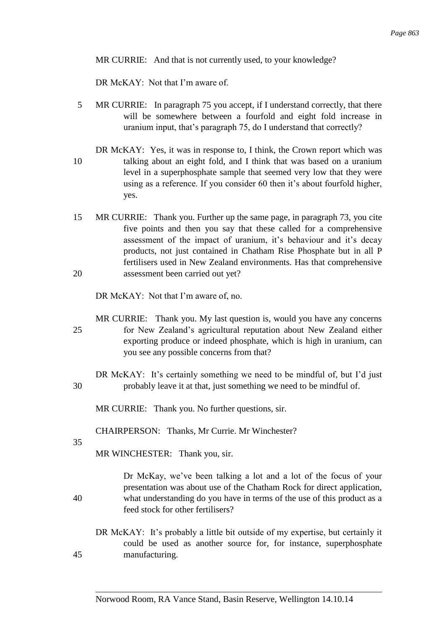MR CURRIE: And that is not currently used, to your knowledge?

DR McKAY: Not that I'm aware of.

5 MR CURRIE: In paragraph 75 you accept, if I understand correctly, that there will be somewhere between a fourfold and eight fold increase in uranium input, that's paragraph 75, do I understand that correctly?

DR McKAY: Yes, it was in response to, I think, the Crown report which was 10 talking about an eight fold, and I think that was based on a uranium level in a superphosphate sample that seemed very low that they were using as a reference. If you consider 60 then it's about fourfold higher, yes.

15 MR CURRIE: Thank you. Further up the same page, in paragraph 73, you cite five points and then you say that these called for a comprehensive assessment of the impact of uranium, it's behaviour and it's decay products, not just contained in Chatham Rise Phosphate but in all P fertilisers used in New Zealand environments. Has that comprehensive 20 assessment been carried out yet?

DR McKAY: Not that I'm aware of, no.

MR CURRIE: Thank you. My last question is, would you have any concerns 25 for New Zealand's agricultural reputation about New Zealand either exporting produce or indeed phosphate, which is high in uranium, can you see any possible concerns from that?

DR McKAY: It's certainly something we need to be mindful of, but I'd just 30 probably leave it at that, just something we need to be mindful of.

MR CURRIE: Thank you. No further questions, sir.

CHAIRPERSON: Thanks, Mr Currie. Mr Winchester?

35

MR WINCHESTER: Thank you, sir.

Dr McKay, we've been talking a lot and a lot of the focus of your presentation was about use of the Chatham Rock for direct application, 40 what understanding do you have in terms of the use of this product as a feed stock for other fertilisers?

DR McKAY: It's probably a little bit outside of my expertise, but certainly it could be used as another source for, for instance, superphosphate 45 manufacturing.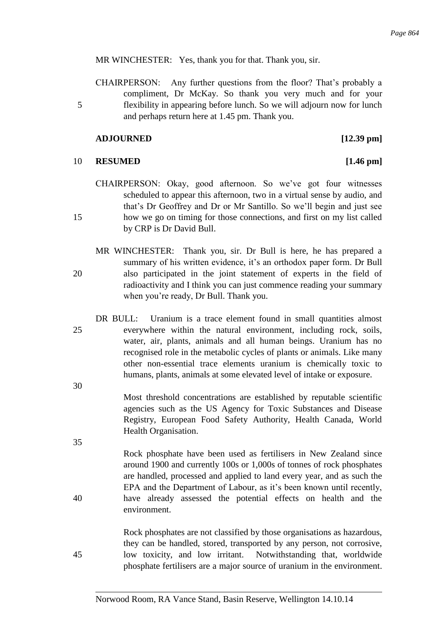MR WINCHESTER: Yes, thank you for that. Thank you, sir.

CHAIRPERSON: Any further questions from the floor? That's probably a compliment, Dr McKay. So thank you very much and for your 5 flexibility in appearing before lunch. So we will adjourn now for lunch and perhaps return here at 1.45 pm. Thank you.

#### **ADJOURNED [12.39 pm]**

# 10 **RESUMED [1.46 pm]**

CHAIRPERSON: Okay, good afternoon. So we've got four witnesses scheduled to appear this afternoon, two in a virtual sense by audio, and that's Dr Geoffrey and Dr or Mr Santillo. So we'll begin and just see 15 how we go on timing for those connections, and first on my list called by CRP is Dr David Bull.

- MR WINCHESTER: Thank you, sir. Dr Bull is here, he has prepared a summary of his written evidence, it's an orthodox paper form. Dr Bull 20 also participated in the joint statement of experts in the field of radioactivity and I think you can just commence reading your summary when you're ready, Dr Bull. Thank you.
- DR BULL: Uranium is a trace element found in small quantities almost 25 everywhere within the natural environment, including rock, soils, water, air, plants, animals and all human beings. Uranium has no recognised role in the metabolic cycles of plants or animals. Like many other non-essential trace elements uranium is chemically toxic to humans, plants, animals at some elevated level of intake or exposure.

Most threshold concentrations are established by reputable scientific agencies such as the US Agency for Toxic Substances and Disease Registry, European Food Safety Authority, Health Canada, World Health Organisation.

Rock phosphate have been used as fertilisers in New Zealand since around 1900 and currently 100s or 1,000s of tonnes of rock phosphates are handled, processed and applied to land every year, and as such the EPA and the Department of Labour, as it's been known until recently, 40 have already assessed the potential effects on health and the environment.

Rock phosphates are not classified by those organisations as hazardous, they can be handled, stored, transported by any person, not corrosive, 45 low toxicity, and low irritant. Notwithstanding that, worldwide phosphate fertilisers are a major source of uranium in the environment.

30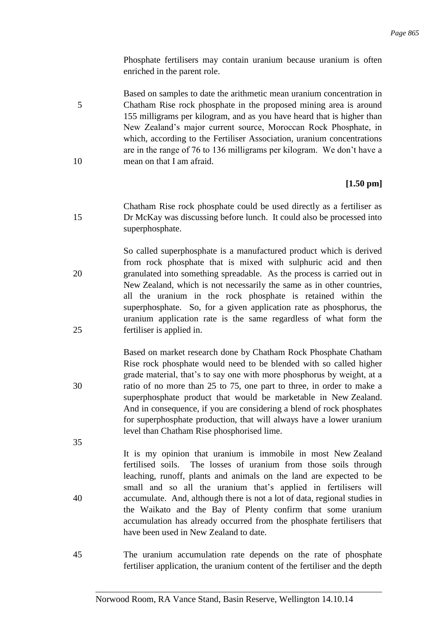Phosphate fertilisers may contain uranium because uranium is often enriched in the parent role.

Based on samples to date the arithmetic mean uranium concentration in 5 Chatham Rise rock phosphate in the proposed mining area is around 155 milligrams per kilogram, and as you have heard that is higher than New Zealand's major current source, Moroccan Rock Phosphate, in which, according to the Fertiliser Association, uranium concentrations are in the range of 76 to 136 milligrams per kilogram. We don't have a 10 mean on that I am afraid.

## **[1.50 pm]**

Chatham Rise rock phosphate could be used directly as a fertiliser as 15 Dr McKay was discussing before lunch. It could also be processed into superphosphate.

So called superphosphate is a manufactured product which is derived from rock phosphate that is mixed with sulphuric acid and then 20 granulated into something spreadable. As the process is carried out in New Zealand, which is not necessarily the same as in other countries, all the uranium in the rock phosphate is retained within the superphosphate. So, for a given application rate as phosphorus, the uranium application rate is the same regardless of what form the 25 fertiliser is applied in.

Based on market research done by Chatham Rock Phosphate Chatham Rise rock phosphate would need to be blended with so called higher grade material, that's to say one with more phosphorus by weight, at a 30 ratio of no more than 25 to 75, one part to three, in order to make a superphosphate product that would be marketable in New Zealand. And in consequence, if you are considering a blend of rock phosphates for superphosphate production, that will always have a lower uranium level than Chatham Rise phosphorised lime.

- It is my opinion that uranium is immobile in most New Zealand fertilised soils. The losses of uranium from those soils through leaching, runoff, plants and animals on the land are expected to be small and so all the uranium that's applied in fertilisers will 40 accumulate. And, although there is not a lot of data, regional studies in the Waikato and the Bay of Plenty confirm that some uranium accumulation has already occurred from the phosphate fertilisers that have been used in New Zealand to date.
- 45 The uranium accumulation rate depends on the rate of phosphate fertiliser application, the uranium content of the fertiliser and the depth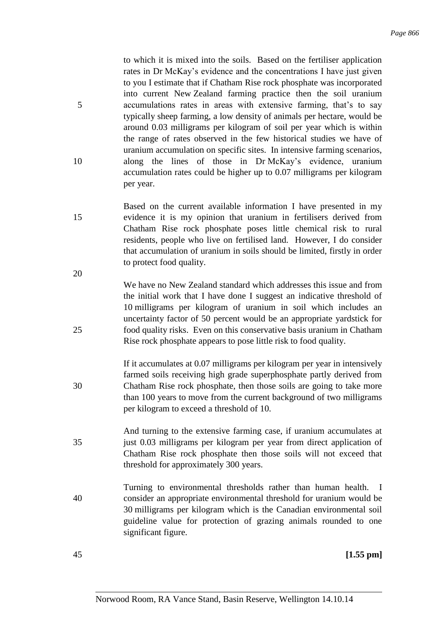to which it is mixed into the soils. Based on the fertiliser application rates in Dr McKay's evidence and the concentrations I have just given to you I estimate that if Chatham Rise rock phosphate was incorporated into current New Zealand farming practice then the soil uranium 5 accumulations rates in areas with extensive farming, that's to say typically sheep farming, a low density of animals per hectare, would be around 0.03 milligrams per kilogram of soil per year which is within the range of rates observed in the few historical studies we have of uranium accumulation on specific sites. In intensive farming scenarios, 10 along the lines of those in Dr McKay's evidence, uranium accumulation rates could be higher up to 0.07 milligrams per kilogram per year.

- Based on the current available information I have presented in my 15 evidence it is my opinion that uranium in fertilisers derived from Chatham Rise rock phosphate poses little chemical risk to rural residents, people who live on fertilised land. However, I do consider that accumulation of uranium in soils should be limited, firstly in order to protect food quality.
- We have no New Zealand standard which addresses this issue and from the initial work that I have done I suggest an indicative threshold of 10 milligrams per kilogram of uranium in soil which includes an uncertainty factor of 50 percent would be an appropriate yardstick for 25 food quality risks. Even on this conservative basis uranium in Chatham Rise rock phosphate appears to pose little risk to food quality.
- If it accumulates at 0.07 milligrams per kilogram per year in intensively farmed soils receiving high grade superphosphate partly derived from 30 Chatham Rise rock phosphate, then those soils are going to take more than 100 years to move from the current background of two milligrams per kilogram to exceed a threshold of 10.
- And turning to the extensive farming case, if uranium accumulates at 35 just 0.03 milligrams per kilogram per year from direct application of Chatham Rise rock phosphate then those soils will not exceed that threshold for approximately 300 years.
- Turning to environmental thresholds rather than human health. I 40 consider an appropriate environmental threshold for uranium would be 30 milligrams per kilogram which is the Canadian environmental soil guideline value for protection of grazing animals rounded to one significant figure.

20

45 **[1.55 pm]**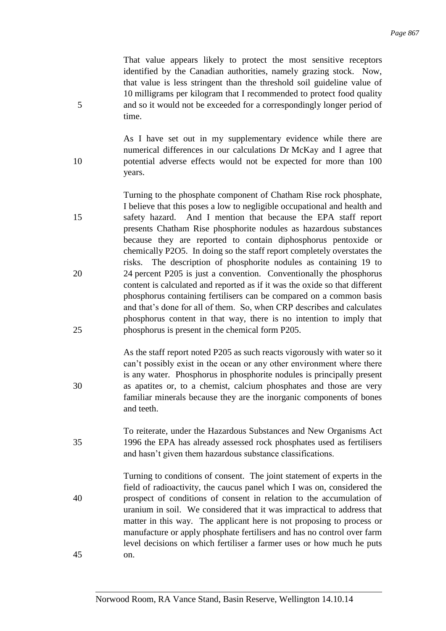That value appears likely to protect the most sensitive receptors identified by the Canadian authorities, namely grazing stock. Now, that value is less stringent than the threshold soil guideline value of 10 milligrams per kilogram that I recommended to protect food quality 5 and so it would not be exceeded for a correspondingly longer period of time.

As I have set out in my supplementary evidence while there are numerical differences in our calculations Dr McKay and I agree that 10 potential adverse effects would not be expected for more than 100 years.

Turning to the phosphate component of Chatham Rise rock phosphate, I believe that this poses a low to negligible occupational and health and 15 safety hazard. And I mention that because the EPA staff report presents Chatham Rise phosphorite nodules as hazardous substances because they are reported to contain diphosphorus pentoxide or chemically P2O5. In doing so the staff report completely overstates the risks. The description of phosphorite nodules as containing 19 to 20 24 percent P205 is just a convention. Conventionally the phosphorus content is calculated and reported as if it was the oxide so that different phosphorus containing fertilisers can be compared on a common basis and that's done for all of them. So, when CRP describes and calculates phosphorus content in that way, there is no intention to imply that 25 phosphorus is present in the chemical form P205.

As the staff report noted P205 as such reacts vigorously with water so it can't possibly exist in the ocean or any other environment where there is any water. Phosphorus in phosphorite nodules is principally present 30 as apatites or, to a chemist, calcium phosphates and those are very familiar minerals because they are the inorganic components of bones and teeth.

To reiterate, under the Hazardous Substances and New Organisms Act 35 1996 the EPA has already assessed rock phosphates used as fertilisers and hasn't given them hazardous substance classifications.

Turning to conditions of consent. The joint statement of experts in the field of radioactivity, the caucus panel which I was on, considered the 40 prospect of conditions of consent in relation to the accumulation of uranium in soil. We considered that it was impractical to address that matter in this way. The applicant here is not proposing to process or manufacture or apply phosphate fertilisers and has no control over farm level decisions on which fertiliser a farmer uses or how much he puts 45 on.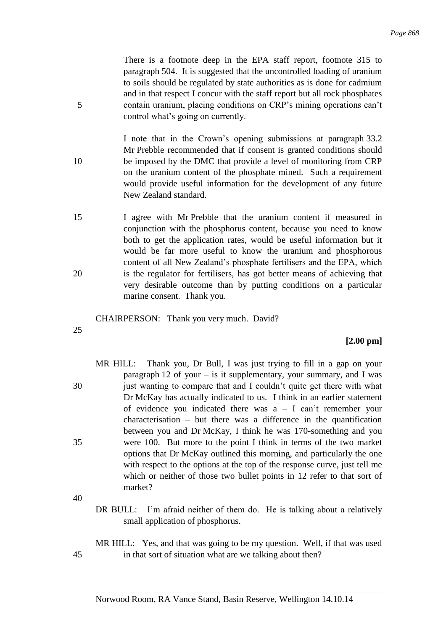There is a footnote deep in the EPA staff report, footnote 315 to paragraph 504. It is suggested that the uncontrolled loading of uranium to soils should be regulated by state authorities as is done for cadmium and in that respect I concur with the staff report but all rock phosphates 5 contain uranium, placing conditions on CRP's mining operations can't control what's going on currently.

I note that in the Crown's opening submissions at paragraph 33.2 Mr Prebble recommended that if consent is granted conditions should 10 be imposed by the DMC that provide a level of monitoring from CRP on the uranium content of the phosphate mined. Such a requirement would provide useful information for the development of any future New Zealand standard.

15 I agree with Mr Prebble that the uranium content if measured in conjunction with the phosphorus content, because you need to know both to get the application rates, would be useful information but it would be far more useful to know the uranium and phosphorous content of all New Zealand's phosphate fertilisers and the EPA, which 20 is the regulator for fertilisers, has got better means of achieving that very desirable outcome than by putting conditions on a particular marine consent. Thank you.

CHAIRPERSON: Thank you very much. David?

25

## **[2.00 pm]**

MR HILL: Thank you, Dr Bull, I was just trying to fill in a gap on your paragraph 12 of your – is it supplementary, your summary, and I was 30 just wanting to compare that and I couldn't quite get there with what Dr McKay has actually indicated to us. I think in an earlier statement of evidence you indicated there was  $a - I$  can't remember your characterisation – but there was a difference in the quantification between you and Dr McKay, I think he was 170-something and you 35 were 100. But more to the point I think in terms of the two market options that Dr McKay outlined this morning, and particularly the one with respect to the options at the top of the response curve, just tell me which or neither of those two bullet points in 12 refer to that sort of market?

40

DR BULL: I'm afraid neither of them do. He is talking about a relatively small application of phosphorus.

MR HILL: Yes, and that was going to be my question. Well, if that was used 45 in that sort of situation what are we talking about then?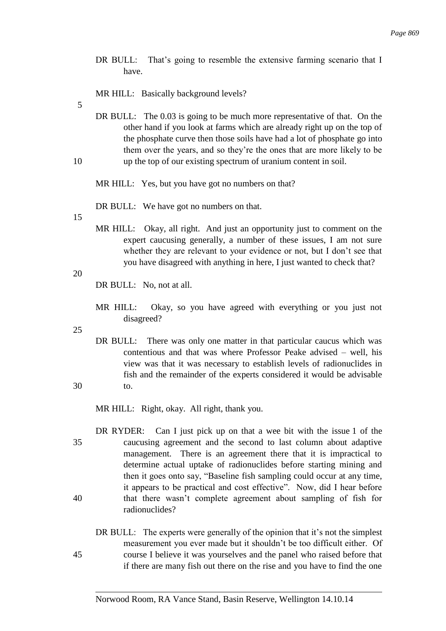DR BULL: That's going to resemble the extensive farming scenario that I have.

MR HILL: Basically background levels?

5

DR BULL: The 0.03 is going to be much more representative of that. On the other hand if you look at farms which are already right up on the top of the phosphate curve then those soils have had a lot of phosphate go into them over the years, and so they're the ones that are more likely to be 10 up the top of our existing spectrum of uranium content in soil.

MR HILL: Yes, but you have got no numbers on that?

DR BULL: We have got no numbers on that.

15

MR HILL: Okay, all right. And just an opportunity just to comment on the expert caucusing generally, a number of these issues, I am not sure whether they are relevant to your evidence or not, but I don't see that you have disagreed with anything in here, I just wanted to check that?

20

DR BULL: No, not at all.

MR HILL: Okay, so you have agreed with everything or you just not disagreed?

25

DR BULL: There was only one matter in that particular caucus which was contentious and that was where Professor Peake advised – well, his view was that it was necessary to establish levels of radionuclides in fish and the remainder of the experts considered it would be advisable 30 to.

MR HILL: Right, okay. All right, thank you.

DR RYDER: Can I just pick up on that a wee bit with the issue 1 of the 35 caucusing agreement and the second to last column about adaptive management. There is an agreement there that it is impractical to determine actual uptake of radionuclides before starting mining and then it goes onto say, "Baseline fish sampling could occur at any time, it appears to be practical and cost effective". Now, did I hear before 40 that there wasn't complete agreement about sampling of fish for radionuclides?

# DR BULL: The experts were generally of the opinion that it's not the simplest measurement you ever made but it shouldn't be too difficult either. Of 45 course I believe it was yourselves and the panel who raised before that if there are many fish out there on the rise and you have to find the one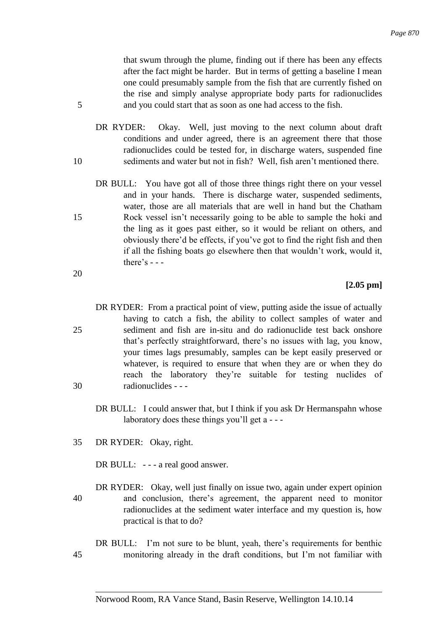that swum through the plume, finding out if there has been any effects after the fact might be harder. But in terms of getting a baseline I mean one could presumably sample from the fish that are currently fished on the rise and simply analyse appropriate body parts for radionuclides 5 and you could start that as soon as one had access to the fish.

- DR RYDER: Okay. Well, just moving to the next column about draft conditions and under agreed, there is an agreement there that those radionuclides could be tested for, in discharge waters, suspended fine 10 sediments and water but not in fish? Well, fish aren't mentioned there.
- DR BULL: You have got all of those three things right there on your vessel and in your hands. There is discharge water, suspended sediments, water, those are all materials that are well in hand but the Chatham 15 Rock vessel isn't necessarily going to be able to sample the hoki and the ling as it goes past either, so it would be reliant on others, and obviously there'd be effects, if you've got to find the right fish and then if all the fishing boats go elsewhere then that wouldn't work, would it, there's  $-$  -

## **[2.05 pm]**

- DR RYDER: From a practical point of view, putting aside the issue of actually having to catch a fish, the ability to collect samples of water and 25 sediment and fish are in-situ and do radionuclide test back onshore that's perfectly straightforward, there's no issues with lag, you know, your times lags presumably, samples can be kept easily preserved or whatever, is required to ensure that when they are or when they do reach the laboratory they're suitable for testing nuclides of 30 radionuclides - - -
	- DR BULL: I could answer that, but I think if you ask Dr Hermanspahn whose laboratory does these things you'll get a - - -
- 35 DR RYDER: Okay, right.
	- DR BULL: --- a real good answer.
- DR RYDER: Okay, well just finally on issue two, again under expert opinion 40 and conclusion, there's agreement, the apparent need to monitor radionuclides at the sediment water interface and my question is, how practical is that to do?
- DR BULL: I'm not sure to be blunt, yeah, there's requirements for benthic 45 monitoring already in the draft conditions, but I'm not familiar with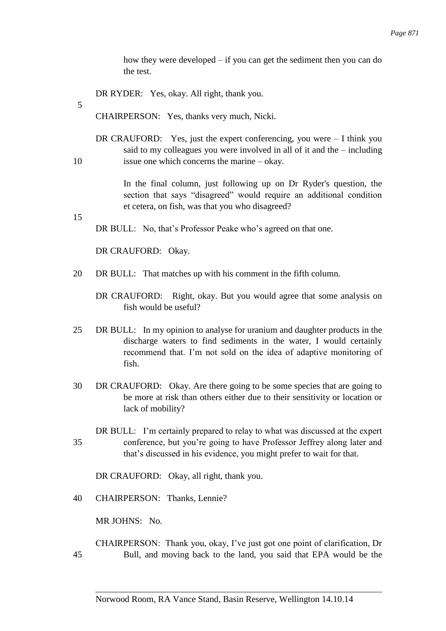how they were developed – if you can get the sediment then you can do the test.

DR RYDER: Yes, okay. All right, thank you.

5

CHAIRPERSON: Yes, thanks very much, Nicki.

DR CRAUFORD: Yes, just the expert conferencing, you were – I think you said to my colleagues you were involved in all of it and the – including 10 issue one which concerns the marine – okay.

> In the final column, just following up on Dr Ryder's question, the section that says "disagreed" would require an additional condition et cetera, on fish, was that you who disagreed?

15

DR BULL: No, that's Professor Peake who's agreed on that one.

DR CRAUFORD: Okay.

- 20 DR BULL: That matches up with his comment in the fifth column.
	- DR CRAUFORD: Right, okay. But you would agree that some analysis on fish would be useful?
- 25 DR BULL: In my opinion to analyse for uranium and daughter products in the discharge waters to find sediments in the water, I would certainly recommend that. I'm not sold on the idea of adaptive monitoring of fish.
- 30 DR CRAUFORD: Okay. Are there going to be some species that are going to be more at risk than others either due to their sensitivity or location or lack of mobility?
- DR BULL: I'm certainly prepared to relay to what was discussed at the expert 35 conference, but you're going to have Professor Jeffrey along later and that's discussed in his evidence, you might prefer to wait for that.

DR CRAUFORD: Okay, all right, thank you.

40 CHAIRPERSON: Thanks, Lennie?

MR JOHNS: No.

# CHAIRPERSON: Thank you, okay, I've just got one point of clarification, Dr 45 Bull, and moving back to the land, you said that EPA would be the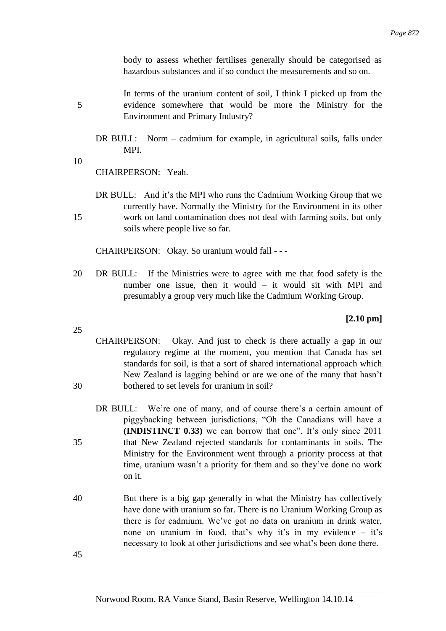body to assess whether fertilises generally should be categorised as hazardous substances and if so conduct the measurements and so on.

In terms of the uranium content of soil, I think I picked up from the 5 evidence somewhere that would be more the Ministry for the Environment and Primary Industry?

DR BULL: Norm – cadmium for example, in agricultural soils, falls under MPI.

10

CHAIRPERSON: Yeah.

DR BULL: And it's the MPI who runs the Cadmium Working Group that we currently have. Normally the Ministry for the Environment in its other 15 work on land contamination does not deal with farming soils, but only soils where people live so far.

CHAIRPERSON: Okay. So uranium would fall - - -

20 DR BULL: If the Ministries were to agree with me that food safety is the number one issue, then it would – it would sit with MPI and presumably a group very much like the Cadmium Working Group.

**[2.10 pm]**

- 25
- CHAIRPERSON: Okay. And just to check is there actually a gap in our regulatory regime at the moment, you mention that Canada has set standards for soil, is that a sort of shared international approach which New Zealand is lagging behind or are we one of the many that hasn't 30 bothered to set levels for uranium in soil?
- DR BULL: We're one of many, and of course there's a certain amount of piggybacking between jurisdictions, "Oh the Canadians will have a **(INDISTINCT 0.33)** we can borrow that one". It's only since 2011 35 that New Zealand rejected standards for contaminants in soils. The Ministry for the Environment went through a priority process at that time, uranium wasn't a priority for them and so they've done no work on it.
- 40 But there is a big gap generally in what the Ministry has collectively have done with uranium so far. There is no Uranium Working Group as there is for cadmium. We've got no data on uranium in drink water, none on uranium in food, that's why it's in my evidence – it's necessary to look at other jurisdictions and see what's been done there.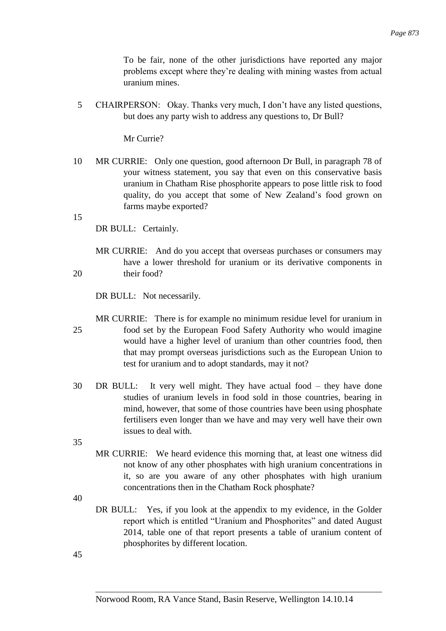To be fair, none of the other jurisdictions have reported any major problems except where they're dealing with mining wastes from actual uranium mines.

5 CHAIRPERSON: Okay. Thanks very much, I don't have any listed questions, but does any party wish to address any questions to, Dr Bull?

Mr Currie?

10 MR CURRIE: Only one question, good afternoon Dr Bull, in paragraph 78 of your witness statement, you say that even on this conservative basis uranium in Chatham Rise phosphorite appears to pose little risk to food quality, do you accept that some of New Zealand's food grown on farms maybe exported?

15

DR BULL: Certainly.

MR CURRIE: And do you accept that overseas purchases or consumers may have a lower threshold for uranium or its derivative components in 20 their food?

DR BULL: Not necessarily.

MR CURRIE: There is for example no minimum residue level for uranium in 25 food set by the European Food Safety Authority who would imagine would have a higher level of uranium than other countries food, then that may prompt overseas jurisdictions such as the European Union to test for uranium and to adopt standards, may it not?

30 DR BULL: It very well might. They have actual food – they have done studies of uranium levels in food sold in those countries, bearing in mind, however, that some of those countries have been using phosphate fertilisers even longer than we have and may very well have their own issues to deal with.

35

MR CURRIE: We heard evidence this morning that, at least one witness did not know of any other phosphates with high uranium concentrations in it, so are you aware of any other phosphates with high uranium concentrations then in the Chatham Rock phosphate?

40

DR BULL: Yes, if you look at the appendix to my evidence, in the Golder report which is entitled "Uranium and Phosphorites" and dated August 2014, table one of that report presents a table of uranium content of phosphorites by different location.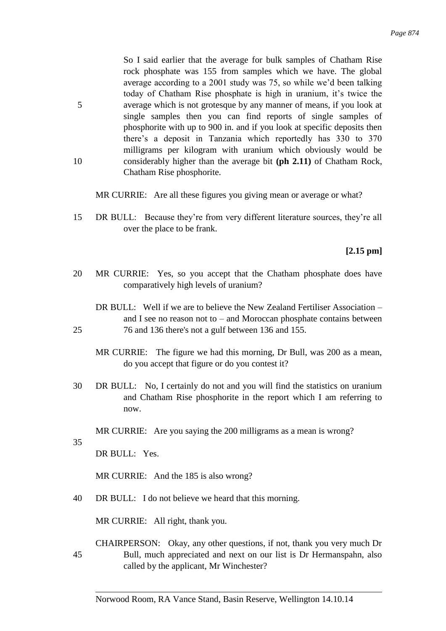So I said earlier that the average for bulk samples of Chatham Rise rock phosphate was 155 from samples which we have. The global average according to a 2001 study was 75, so while we'd been talking today of Chatham Rise phosphate is high in uranium, it's twice the 5 average which is not grotesque by any manner of means, if you look at single samples then you can find reports of single samples of phosphorite with up to 900 in. and if you look at specific deposits then there's a deposit in Tanzania which reportedly has 330 to 370 milligrams per kilogram with uranium which obviously would be 10 considerably higher than the average bit **(ph 2.11)** of Chatham Rock, Chatham Rise phosphorite.

MR CURRIE: Are all these figures you giving mean or average or what?

15 DR BULL: Because they're from very different literature sources, they're all over the place to be frank.

**[2.15 pm]**

20 MR CURRIE: Yes, so you accept that the Chatham phosphate does have comparatively high levels of uranium?

DR BULL: Well if we are to believe the New Zealand Fertiliser Association – and I see no reason not to – and Moroccan phosphate contains between 25 76 and 136 there's not a gulf between 136 and 155.

- MR CURRIE: The figure we had this morning, Dr Bull, was 200 as a mean, do you accept that figure or do you contest it?
- 30 DR BULL: No, I certainly do not and you will find the statistics on uranium and Chatham Rise phosphorite in the report which I am referring to now.

MR CURRIE: Are you saying the 200 milligrams as a mean is wrong?

35

DR BULL: Yes.

MR CURRIE: And the 185 is also wrong?

40 DR BULL: I do not believe we heard that this morning.

MR CURRIE: All right, thank you.

CHAIRPERSON: Okay, any other questions, if not, thank you very much Dr 45 Bull, much appreciated and next on our list is Dr Hermanspahn, also called by the applicant, Mr Winchester?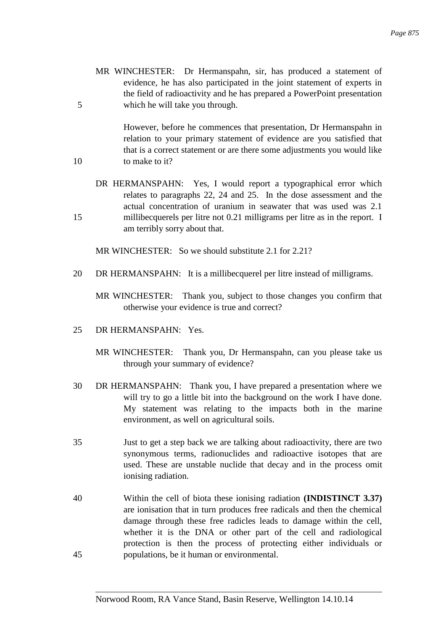MR WINCHESTER: Dr Hermanspahn, sir, has produced a statement of evidence, he has also participated in the joint statement of experts in the field of radioactivity and he has prepared a PowerPoint presentation 5 which he will take you through.

However, before he commences that presentation, Dr Hermanspahn in relation to your primary statement of evidence are you satisfied that that is a correct statement or are there some adjustments you would like 10 to make to it?

DR HERMANSPAHN: Yes, I would report a typographical error which relates to paragraphs 22, 24 and 25. In the dose assessment and the actual concentration of uranium in seawater that was used was 2.1 15 millibecquerels per litre not 0.21 milligrams per litre as in the report. I am terribly sorry about that.

MR WINCHESTER: So we should substitute 2.1 for 2.21?

- 20 DR HERMANSPAHN: It is a millibecquerel per litre instead of milligrams.
	- MR WINCHESTER: Thank you, subject to those changes you confirm that otherwise your evidence is true and correct?
- 25 DR HERMANSPAHN: Yes.
	- MR WINCHESTER: Thank you, Dr Hermanspahn, can you please take us through your summary of evidence?
- 30 DR HERMANSPAHN: Thank you, I have prepared a presentation where we will try to go a little bit into the background on the work I have done. My statement was relating to the impacts both in the marine environment, as well on agricultural soils.
- 35 Just to get a step back we are talking about radioactivity, there are two synonymous terms, radionuclides and radioactive isotopes that are used. These are unstable nuclide that decay and in the process omit ionising radiation.
- 40 Within the cell of biota these ionising radiation **(INDISTINCT 3.37)**  are ionisation that in turn produces free radicals and then the chemical damage through these free radicles leads to damage within the cell, whether it is the DNA or other part of the cell and radiological protection is then the process of protecting either individuals or 45 populations, be it human or environmental.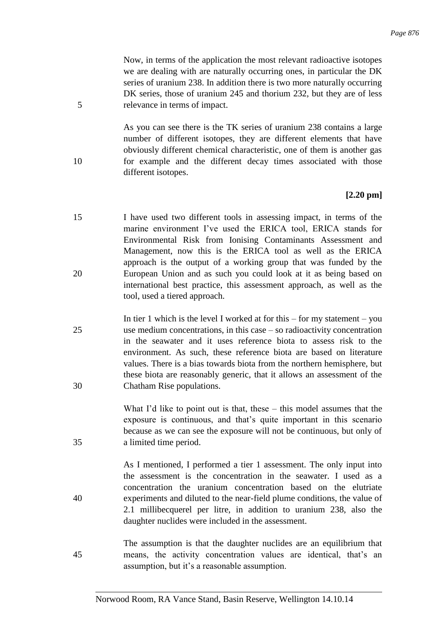Now, in terms of the application the most relevant radioactive isotopes we are dealing with are naturally occurring ones, in particular the DK series of uranium 238. In addition there is two more naturally occurring DK series, those of uranium 245 and thorium 232, but they are of less 5 relevance in terms of impact.

As you can see there is the TK series of uranium 238 contains a large number of different isotopes, they are different elements that have obviously different chemical characteristic, one of them is another gas 10 for example and the different decay times associated with those different isotopes.

## **[2.20 pm]**

- 15 I have used two different tools in assessing impact, in terms of the marine environment I've used the ERICA tool, ERICA stands for Environmental Risk from Ionising Contaminants Assessment and Management, now this is the ERICA tool as well as the ERICA approach is the output of a working group that was funded by the 20 European Union and as such you could look at it as being based on international best practice, this assessment approach, as well as the tool, used a tiered approach.
- In tier 1 which is the level I worked at for this  $-$  for my statement  $-$  you 25 use medium concentrations, in this case – so radioactivity concentration in the seawater and it uses reference biota to assess risk to the environment. As such, these reference biota are based on literature values. There is a bias towards biota from the northern hemisphere, but these biota are reasonably generic, that it allows an assessment of the 30 Chatham Rise populations.

What I'd like to point out is that, these – this model assumes that the exposure is continuous, and that's quite important in this scenario because as we can see the exposure will not be continuous, but only of 35 a limited time period.

As I mentioned, I performed a tier 1 assessment. The only input into the assessment is the concentration in the seawater. I used as a concentration the uranium concentration based on the elutriate 40 experiments and diluted to the near-field plume conditions, the value of 2.1 millibecquerel per litre, in addition to uranium 238, also the daughter nuclides were included in the assessment.

The assumption is that the daughter nuclides are an equilibrium that 45 means, the activity concentration values are identical, that's an assumption, but it's a reasonable assumption.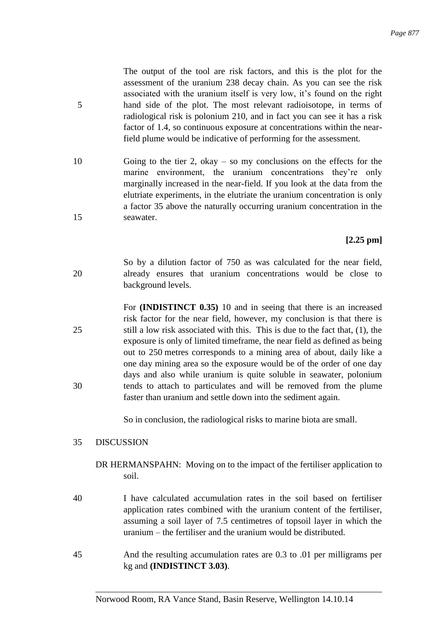The output of the tool are risk factors, and this is the plot for the assessment of the uranium 238 decay chain. As you can see the risk associated with the uranium itself is very low, it's found on the right 5 hand side of the plot. The most relevant radioisotope, in terms of radiological risk is polonium 210, and in fact you can see it has a risk factor of 1.4, so continuous exposure at concentrations within the nearfield plume would be indicative of performing for the assessment.

10 Going to the tier 2, okay – so my conclusions on the effects for the marine environment, the uranium concentrations they're only marginally increased in the near-field. If you look at the data from the elutriate experiments, in the elutriate the uranium concentration is only a factor 35 above the naturally occurring uranium concentration in the 15 seawater.

# **[2.25 pm]**

- So by a dilution factor of 750 as was calculated for the near field, 20 already ensures that uranium concentrations would be close to background levels.
- For **(INDISTINCT 0.35)** 10 and in seeing that there is an increased risk factor for the near field, however, my conclusion is that there is 25 still a low risk associated with this. This is due to the fact that, (1), the exposure is only of limited timeframe, the near field as defined as being out to 250 metres corresponds to a mining area of about, daily like a one day mining area so the exposure would be of the order of one day days and also while uranium is quite soluble in seawater, polonium 30 tends to attach to particulates and will be removed from the plume faster than uranium and settle down into the sediment again.

So in conclusion, the radiological risks to marine biota are small.

## 35 DISCUSSION

- DR HERMANSPAHN: Moving on to the impact of the fertiliser application to soil.
- 40 I have calculated accumulation rates in the soil based on fertiliser application rates combined with the uranium content of the fertiliser, assuming a soil layer of 7.5 centimetres of topsoil layer in which the uranium – the fertiliser and the uranium would be distributed.
- 45 And the resulting accumulation rates are 0.3 to .01 per milligrams per kg and **(INDISTINCT 3.03)**.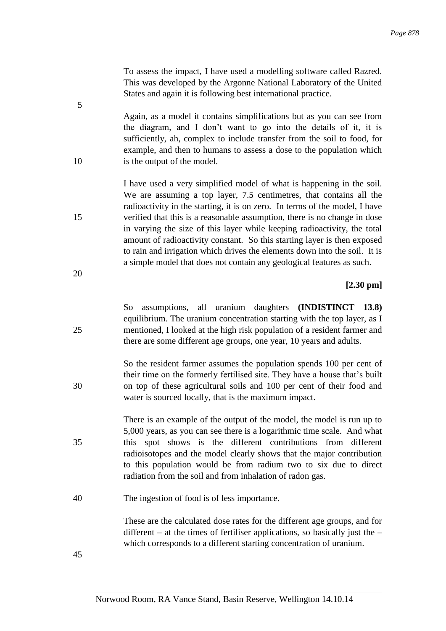To assess the impact, I have used a modelling software called Razred. This was developed by the Argonne National Laboratory of the United States and again it is following best international practice.

Again, as a model it contains simplifications but as you can see from the diagram, and I don't want to go into the details of it, it is sufficiently, ah, complex to include transfer from the soil to food, for example, and then to humans to assess a dose to the population which 10 is the output of the model.

I have used a very simplified model of what is happening in the soil. We are assuming a top layer, 7.5 centimetres, that contains all the radioactivity in the starting, it is on zero. In terms of the model, I have 15 verified that this is a reasonable assumption, there is no change in dose in varying the size of this layer while keeping radioactivity, the total amount of radioactivity constant. So this starting layer is then exposed to rain and irrigation which drives the elements down into the soil. It is a simple model that does not contain any geological features as such.

#### **[2.30 pm]**

So assumptions, all uranium daughters **(INDISTINCT 13.8)** equilibrium. The uranium concentration starting with the top layer, as I 25 mentioned, I looked at the high risk population of a resident farmer and there are some different age groups, one year, 10 years and adults.

So the resident farmer assumes the population spends 100 per cent of their time on the formerly fertilised site. They have a house that's built 30 on top of these agricultural soils and 100 per cent of their food and water is sourced locally, that is the maximum impact.

There is an example of the output of the model, the model is run up to 5,000 years, as you can see there is a logarithmic time scale. And what 35 this spot shows is the different contributions from different radioisotopes and the model clearly shows that the major contribution to this population would be from radium two to six due to direct radiation from the soil and from inhalation of radon gas.

40 The ingestion of food is of less importance.

These are the calculated dose rates for the different age groups, and for different – at the times of fertiliser applications, so basically just the – which corresponds to a different starting concentration of uranium.

45

5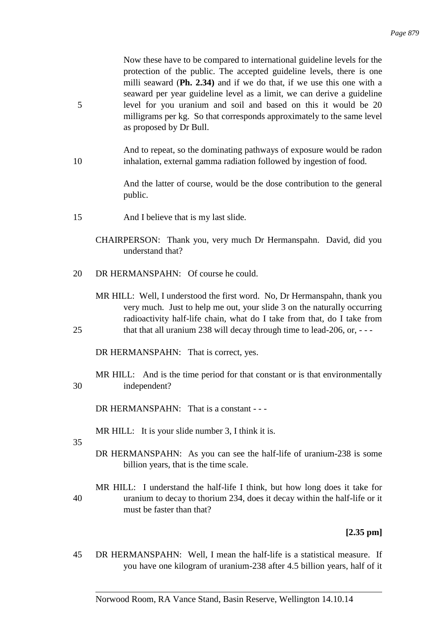Now these have to be compared to international guideline levels for the protection of the public. The accepted guideline levels, there is one milli seaward (**Ph. 2.34)** and if we do that, if we use this one with a seaward per year guideline level as a limit, we can derive a guideline 5 level for you uranium and soil and based on this it would be 20 milligrams per kg. So that corresponds approximately to the same level as proposed by Dr Bull.

And to repeat, so the dominating pathways of exposure would be radon 10 inhalation, external gamma radiation followed by ingestion of food.

> And the latter of course, would be the dose contribution to the general public.

- 15 And I believe that is my last slide.
	- CHAIRPERSON: Thank you, very much Dr Hermanspahn. David, did you understand that?
- 20 DR HERMANSPAHN: Of course he could.
- MR HILL: Well, I understood the first word. No, Dr Hermanspahn, thank you very much. Just to help me out, your slide 3 on the naturally occurring radioactivity half-life chain, what do I take from that, do I take from 25 that that all uranium 238 will decay through time to lead-206, or, ---

DR HERMANSPAHN: That is correct, yes.

MR HILL: And is the time period for that constant or is that environmentally 30 independent?

DR HERMANSPAHN: That is a constant - --

MR HILL: It is your slide number 3, I think it is.

35

DR HERMANSPAHN: As you can see the half-life of uranium-238 is some billion years, that is the time scale.

MR HILL: I understand the half-life I think, but how long does it take for 40 uranium to decay to thorium 234, does it decay within the half-life or it must be faster than that?

# **[2.35 pm]**

45 DR HERMANSPAHN: Well, I mean the half-life is a statistical measure. If you have one kilogram of uranium-238 after 4.5 billion years, half of it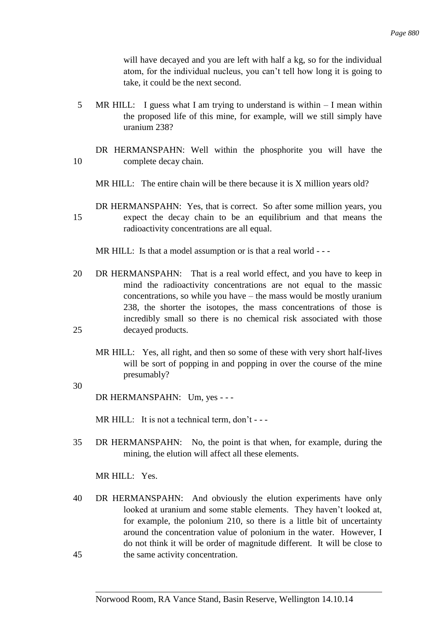will have decayed and you are left with half a kg, so for the individual atom, for the individual nucleus, you can't tell how long it is going to take, it could be the next second.

5 MR HILL: I guess what I am trying to understand is within – I mean within the proposed life of this mine, for example, will we still simply have uranium 238?

DR HERMANSPAHN: Well within the phosphorite you will have the 10 complete decay chain.

MR HILL: The entire chain will be there because it is X million years old?

DR HERMANSPAHN: Yes, that is correct. So after some million years, you 15 expect the decay chain to be an equilibrium and that means the radioactivity concentrations are all equal.

MR HILL: Is that a model assumption or is that a real world - - -

- 20 DR HERMANSPAHN: That is a real world effect, and you have to keep in mind the radioactivity concentrations are not equal to the massic concentrations, so while you have – the mass would be mostly uranium 238, the shorter the isotopes, the mass concentrations of those is incredibly small so there is no chemical risk associated with those 25 decayed products.
	- MR HILL: Yes, all right, and then so some of these with very short half-lives will be sort of popping in and popping in over the course of the mine presumably?

30

DR HERMANSPAHN: Um, yes - - -

MR HILL: It is not a technical term, don't - - -

35 DR HERMANSPAHN: No, the point is that when, for example, during the mining, the elution will affect all these elements.

MR HILL: Yes.

40 DR HERMANSPAHN: And obviously the elution experiments have only looked at uranium and some stable elements. They haven't looked at, for example, the polonium 210, so there is a little bit of uncertainty around the concentration value of polonium in the water. However, I do not think it will be order of magnitude different. It will be close to 45 the same activity concentration.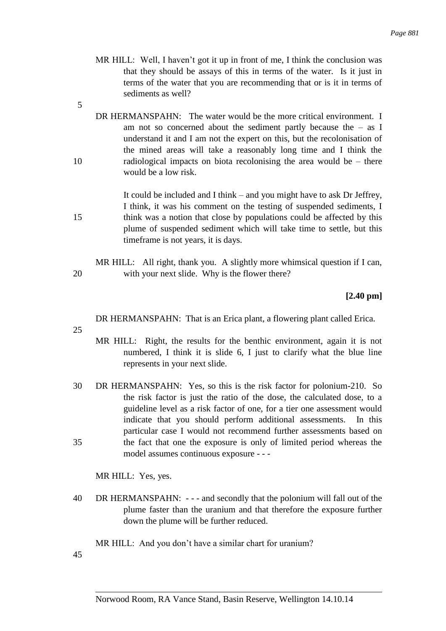- MR HILL: Well, I haven't got it up in front of me, I think the conclusion was that they should be assays of this in terms of the water. Is it just in terms of the water that you are recommending that or is it in terms of sediments as well?
- 5
- DR HERMANSPAHN: The water would be the more critical environment. I am not so concerned about the sediment partly because the  $-$  as I understand it and I am not the expert on this, but the recolonisation of the mined areas will take a reasonably long time and I think the 10 radiological impacts on biota recolonising the area would be – there would be a low risk.

It could be included and I think – and you might have to ask Dr Jeffrey, I think, it was his comment on the testing of suspended sediments, I 15 think was a notion that close by populations could be affected by this plume of suspended sediment which will take time to settle, but this timeframe is not years, it is days.

MR HILL: All right, thank you. A slightly more whimsical question if I can, 20 with your next slide. Why is the flower there?

**[2.40 pm]**

DR HERMANSPAHN: That is an Erica plant, a flowering plant called Erica.

25

- MR HILL: Right, the results for the benthic environment, again it is not numbered, I think it is slide 6, I just to clarify what the blue line represents in your next slide.
- 30 DR HERMANSPAHN: Yes, so this is the risk factor for polonium-210. So the risk factor is just the ratio of the dose, the calculated dose, to a guideline level as a risk factor of one, for a tier one assessment would indicate that you should perform additional assessments. In this particular case I would not recommend further assessments based on 35 the fact that one the exposure is only of limited period whereas the model assumes continuous exposure - - -

MR HILL: Yes, yes.

40 DR HERMANSPAHN: - - - and secondly that the polonium will fall out of the plume faster than the uranium and that therefore the exposure further down the plume will be further reduced.

MR HILL: And you don't have a similar chart for uranium?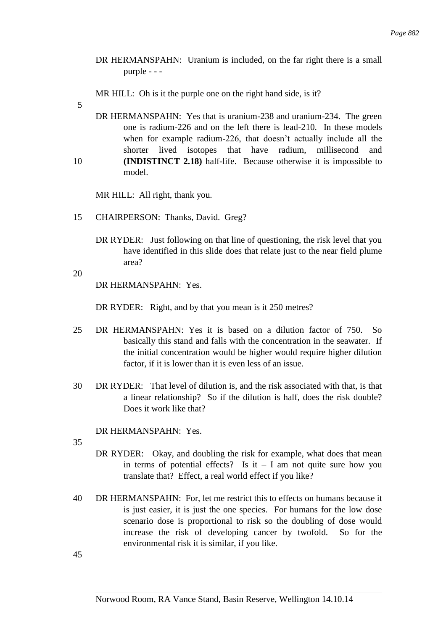DR HERMANSPAHN: Uranium is included, on the far right there is a small purple - - -

MR HILL: Oh is it the purple one on the right hand side, is it?

5

DR HERMANSPAHN: Yes that is uranium-238 and uranium-234. The green one is radium-226 and on the left there is lead-210. In these models when for example radium-226, that doesn't actually include all the shorter lived isotopes that have radium, millisecond and 10 **(INDISTINCT 2.18)** half-life. Because otherwise it is impossible to model.

MR HILL: All right, thank you.

- 15 CHAIRPERSON: Thanks, David. Greg?
	- DR RYDER: Just following on that line of questioning, the risk level that you have identified in this slide does that relate just to the near field plume area?

20

DR HERMANSPAHN: Yes.

DR RYDER: Right, and by that you mean is it 250 metres?

- 25 DR HERMANSPAHN: Yes it is based on a dilution factor of 750. So basically this stand and falls with the concentration in the seawater. If the initial concentration would be higher would require higher dilution factor, if it is lower than it is even less of an issue.
- 30 DR RYDER: That level of dilution is, and the risk associated with that, is that a linear relationship? So if the dilution is half, does the risk double? Does it work like that?

DR HERMANSPAHN: Yes.

- 35
- DR RYDER: Okay, and doubling the risk for example, what does that mean in terms of potential effects? Is it  $- I$  am not quite sure how you translate that? Effect, a real world effect if you like?
- 40 DR HERMANSPAHN: For, let me restrict this to effects on humans because it is just easier, it is just the one species. For humans for the low dose scenario dose is proportional to risk so the doubling of dose would increase the risk of developing cancer by twofold. So for the environmental risk it is similar, if you like.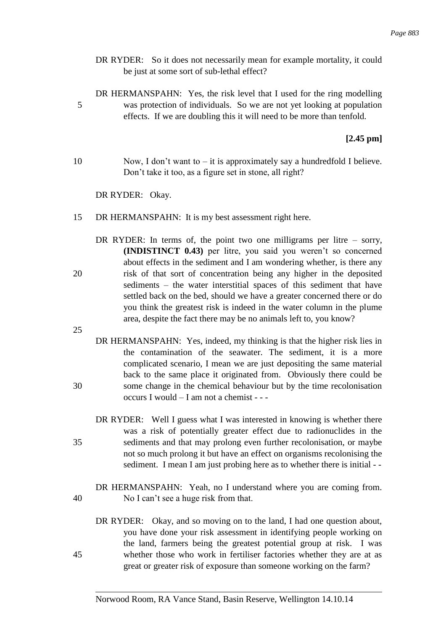- DR RYDER: So it does not necessarily mean for example mortality, it could be just at some sort of sub-lethal effect?
- DR HERMANSPAHN: Yes, the risk level that I used for the ring modelling 5 was protection of individuals. So we are not yet looking at population effects. If we are doubling this it will need to be more than tenfold.

## **[2.45 pm]**

10 Now, I don't want to – it is approximately say a hundredfold I believe. Don't take it too, as a figure set in stone, all right?

DR RYDER: Okay.

- 15 DR HERMANSPAHN: It is my best assessment right here.
- DR RYDER: In terms of, the point two one milligrams per litre  $-$  sorry, **(INDISTINCT 0.43)** per litre, you said you weren't so concerned about effects in the sediment and I am wondering whether, is there any 20 risk of that sort of concentration being any higher in the deposited sediments – the water interstitial spaces of this sediment that have settled back on the bed, should we have a greater concerned there or do you think the greatest risk is indeed in the water column in the plume area, despite the fact there may be no animals left to, you know?

25

- DR HERMANSPAHN: Yes, indeed, my thinking is that the higher risk lies in the contamination of the seawater. The sediment, it is a more complicated scenario, I mean we are just depositing the same material back to the same place it originated from. Obviously there could be 30 some change in the chemical behaviour but by the time recolonisation occurs I would – I am not a chemist - - -
- DR RYDER: Well I guess what I was interested in knowing is whether there was a risk of potentially greater effect due to radionuclides in the 35 sediments and that may prolong even further recolonisation, or maybe not so much prolong it but have an effect on organisms recolonising the sediment. I mean I am just probing here as to whether there is initial - -
- DR HERMANSPAHN: Yeah, no I understand where you are coming from. 40 No I can't see a huge risk from that.
- DR RYDER: Okay, and so moving on to the land, I had one question about, you have done your risk assessment in identifying people working on the land, farmers being the greatest potential group at risk. I was 45 whether those who work in fertiliser factories whether they are at as great or greater risk of exposure than someone working on the farm?

Norwood Room, RA Vance Stand, Basin Reserve, Wellington 14.10.14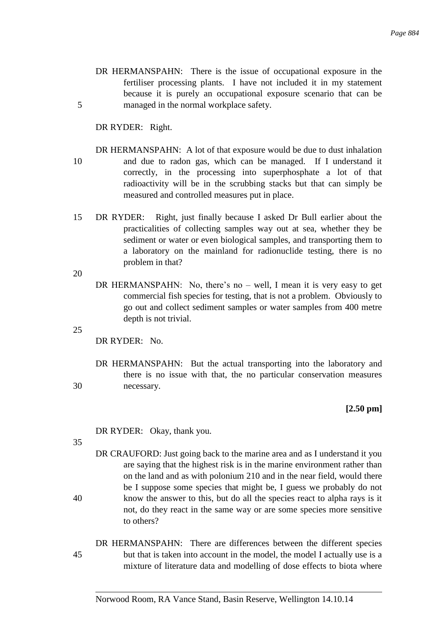DR HERMANSPAHN: There is the issue of occupational exposure in the fertiliser processing plants. I have not included it in my statement because it is purely an occupational exposure scenario that can be 5 managed in the normal workplace safety.

DR RYDER: Right.

- DR HERMANSPAHN: A lot of that exposure would be due to dust inhalation 10 and due to radon gas, which can be managed. If I understand it correctly, in the processing into superphosphate a lot of that radioactivity will be in the scrubbing stacks but that can simply be measured and controlled measures put in place.
- 15 DR RYDER: Right, just finally because I asked Dr Bull earlier about the practicalities of collecting samples way out at sea, whether they be sediment or water or even biological samples, and transporting them to a laboratory on the mainland for radionuclide testing, there is no problem in that?

20

DR HERMANSPAHN: No, there's no – well, I mean it is very easy to get commercial fish species for testing, that is not a problem. Obviously to go out and collect sediment samples or water samples from 400 metre depth is not trivial.

25

DR RYDER: No.

DR HERMANSPAHN: But the actual transporting into the laboratory and there is no issue with that, the no particular conservation measures 30 necessary.

**[2.50 pm]**

DR RYDER: Okay, thank you.

35

DR CRAUFORD: Just going back to the marine area and as I understand it you are saying that the highest risk is in the marine environment rather than on the land and as with polonium 210 and in the near field, would there be I suppose some species that might be, I guess we probably do not 40 know the answer to this, but do all the species react to alpha rays is it not, do they react in the same way or are some species more sensitive to others?

DR HERMANSPAHN: There are differences between the different species 45 but that is taken into account in the model, the model I actually use is a mixture of literature data and modelling of dose effects to biota where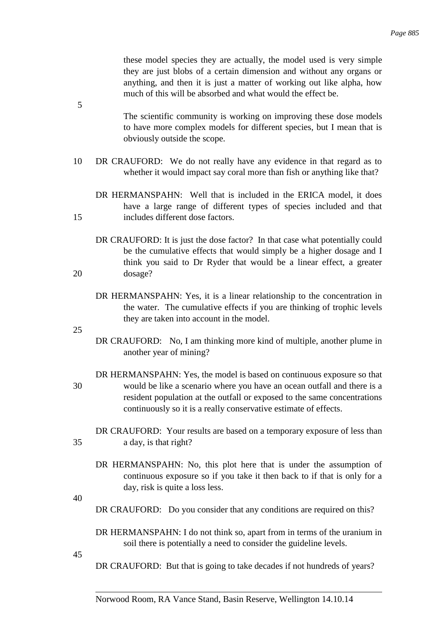these model species they are actually, the model used is very simple they are just blobs of a certain dimension and without any organs or anything, and then it is just a matter of working out like alpha, how much of this will be absorbed and what would the effect be.

- The scientific community is working on improving these dose models to have more complex models for different species, but I mean that is obviously outside the scope.
- 10 DR CRAUFORD: We do not really have any evidence in that regard as to whether it would impact say coral more than fish or anything like that?
- DR HERMANSPAHN: Well that is included in the ERICA model, it does have a large range of different types of species included and that 15 includes different dose factors.
- DR CRAUFORD: It is just the dose factor? In that case what potentially could be the cumulative effects that would simply be a higher dosage and I think you said to Dr Ryder that would be a linear effect, a greater 20 dosage?
	- DR HERMANSPAHN: Yes, it is a linear relationship to the concentration in the water. The cumulative effects if you are thinking of trophic levels they are taken into account in the model.
- 25

5

- DR CRAUFORD: No, I am thinking more kind of multiple, another plume in another year of mining?
- DR HERMANSPAHN: Yes, the model is based on continuous exposure so that 30 would be like a scenario where you have an ocean outfall and there is a resident population at the outfall or exposed to the same concentrations continuously so it is a really conservative estimate of effects.
- DR CRAUFORD: Your results are based on a temporary exposure of less than 35 a day, is that right?
	- DR HERMANSPAHN: No, this plot here that is under the assumption of continuous exposure so if you take it then back to if that is only for a day, risk is quite a loss less.

40

- DR CRAUFORD: Do you consider that any conditions are required on this?
- DR HERMANSPAHN: I do not think so, apart from in terms of the uranium in soil there is potentially a need to consider the guideline levels.
- 45

DR CRAUFORD: But that is going to take decades if not hundreds of years?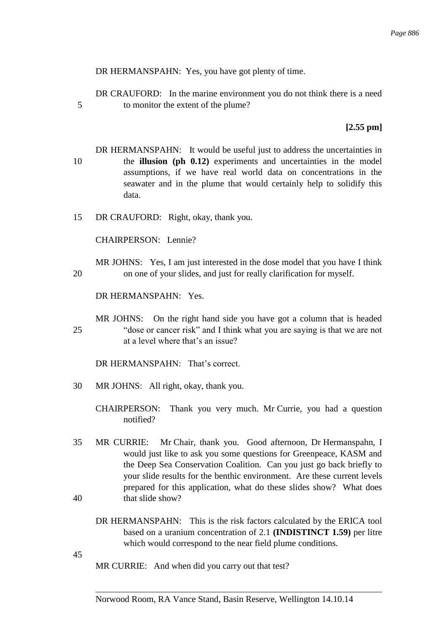DR HERMANSPAHN: Yes, you have got plenty of time.

DR CRAUFORD: In the marine environment you do not think there is a need 5 to monitor the extent of the plume?

**[2.55 pm]**

- DR HERMANSPAHN: It would be useful just to address the uncertainties in 10 the **illusion (ph 0.12)** experiments and uncertainties in the model assumptions, if we have real world data on concentrations in the seawater and in the plume that would certainly help to solidify this data.
- 15 DR CRAUFORD: Right, okay, thank you.

CHAIRPERSON: Lennie?

MR JOHNS: Yes, I am just interested in the dose model that you have I think 20 on one of your slides, and just for really clarification for myself.

DR HERMANSPAHN: Yes.

MR JOHNS: On the right hand side you have got a column that is headed 25 "dose or cancer risk" and I think what you are saying is that we are not at a level where that's an issue?

DR HERMANSPAHN: That's correct.

- 30 MR JOHNS: All right, okay, thank you.
	- CHAIRPERSON: Thank you very much. Mr Currie, you had a question notified?
- 35 MR CURRIE: Mr Chair, thank you. Good afternoon, Dr Hermanspahn, I would just like to ask you some questions for Greenpeace, KASM and the Deep Sea Conservation Coalition. Can you just go back briefly to your slide results for the benthic environment. Are these current levels prepared for this application, what do these slides show? What does 40 that slide show?
	- DR HERMANSPAHN: This is the risk factors calculated by the ERICA tool based on a uranium concentration of 2.1 **(INDISTINCT 1.59)** per litre which would correspond to the near field plume conditions.

45

MR CURRIE: And when did you carry out that test?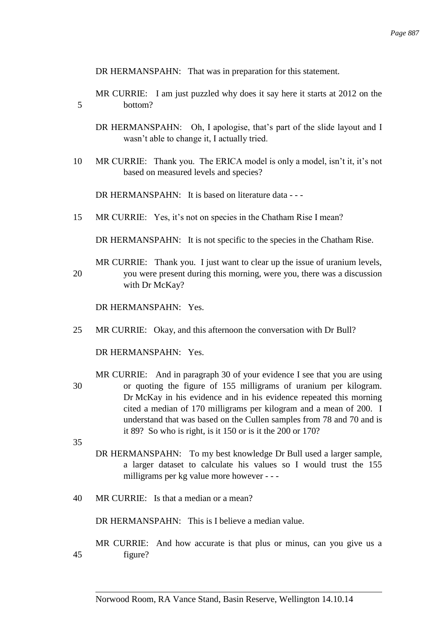DR HERMANSPAHN: That was in preparation for this statement.

- MR CURRIE: I am just puzzled why does it say here it starts at 2012 on the 5 bottom?
	- DR HERMANSPAHN: Oh, I apologise, that's part of the slide layout and I wasn't able to change it, I actually tried.
- 10 MR CURRIE: Thank you. The ERICA model is only a model, isn't it, it's not based on measured levels and species?

DR HERMANSPAHN: It is based on literature data - --

15 MR CURRIE: Yes, it's not on species in the Chatham Rise I mean?

DR HERMANSPAHN: It is not specific to the species in the Chatham Rise.

MR CURRIE: Thank you. I just want to clear up the issue of uranium levels, 20 you were present during this morning, were you, there was a discussion with Dr McKay?

DR HERMANSPAHN: Yes.

25 MR CURRIE: Okay, and this afternoon the conversation with Dr Bull?

DR HERMANSPAHN: Yes.

MR CURRIE: And in paragraph 30 of your evidence I see that you are using 30 or quoting the figure of 155 milligrams of uranium per kilogram. Dr McKay in his evidence and in his evidence repeated this morning cited a median of 170 milligrams per kilogram and a mean of 200. I understand that was based on the Cullen samples from 78 and 70 and is it 89? So who is right, is it 150 or is it the 200 or 170?

- 35
- DR HERMANSPAHN: To my best knowledge Dr Bull used a larger sample, a larger dataset to calculate his values so I would trust the 155 milligrams per kg value more however - - -
- 40 MR CURRIE: Is that a median or a mean?

DR HERMANSPAHN: This is I believe a median value.

MR CURRIE: And how accurate is that plus or minus, can you give us a 45 figure?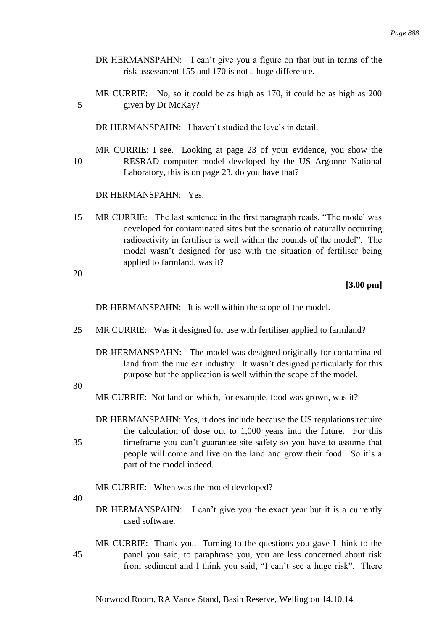- DR HERMANSPAHN: I can't give you a figure on that but in terms of the risk assessment 155 and 170 is not a huge difference.
- MR CURRIE: No, so it could be as high as 170, it could be as high as 200 5 given by Dr McKay?

DR HERMANSPAHN: I haven't studied the levels in detail.

MR CURRIE: I see. Looking at page 23 of your evidence, you show the 10 RESRAD computer model developed by the US Argonne National Laboratory, this is on page 23, do you have that?

DR HERMANSPAHN: Yes.

15 MR CURRIE: The last sentence in the first paragraph reads, "The model was developed for contaminated sites but the scenario of naturally occurring radioactivity in fertiliser is well within the bounds of the model". The model wasn't designed for use with the situation of fertiliser being applied to farmland, was it?

20

## **[3.00 pm]**

DR HERMANSPAHN: It is well within the scope of the model.

- 25 MR CURRIE: Was it designed for use with fertiliser applied to farmland?
	- DR HERMANSPAHN: The model was designed originally for contaminated land from the nuclear industry. It wasn't designed particularly for this purpose but the application is well within the scope of the model.

30

MR CURRIE: Not land on which, for example, food was grown, was it?

DR HERMANSPAHN: Yes, it does include because the US regulations require the calculation of dose out to 1,000 years into the future. For this 35 timeframe you can't guarantee site safety so you have to assume that people will come and live on the land and grow their food. So it's a part of the model indeed.

MR CURRIE: When was the model developed?

40

DR HERMANSPAHN: I can't give you the exact year but it is a currently used software.

MR CURRIE: Thank you. Turning to the questions you gave I think to the 45 panel you said, to paraphrase you, you are less concerned about risk from sediment and I think you said, "I can't see a huge risk". There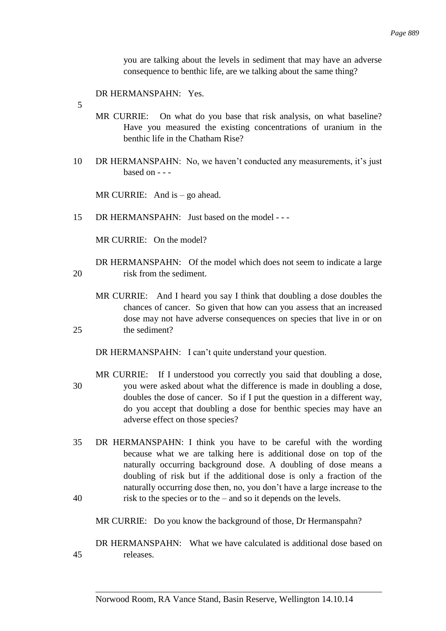you are talking about the levels in sediment that may have an adverse consequence to benthic life, are we talking about the same thing?

DR HERMANSPAHN: Yes.

- 5
- MR CURRIE: On what do you base that risk analysis, on what baseline? Have you measured the existing concentrations of uranium in the benthic life in the Chatham Rise?
- 10 DR HERMANSPAHN: No, we haven't conducted any measurements, it's just based on - - -

MR CURRIE: And is – go ahead.

15 DR HERMANSPAHN: Just based on the model - - -

MR CURRIE: On the model?

- DR HERMANSPAHN: Of the model which does not seem to indicate a large 20 risk from the sediment.
- MR CURRIE: And I heard you say I think that doubling a dose doubles the chances of cancer. So given that how can you assess that an increased dose may not have adverse consequences on species that live in or on 25 the sediment?

DR HERMANSPAHN: I can't quite understand your question.

- MR CURRIE: If I understood you correctly you said that doubling a dose, 30 you were asked about what the difference is made in doubling a dose, doubles the dose of cancer. So if I put the question in a different way, do you accept that doubling a dose for benthic species may have an adverse effect on those species?
- 35 DR HERMANSPAHN: I think you have to be careful with the wording because what we are talking here is additional dose on top of the naturally occurring background dose. A doubling of dose means a doubling of risk but if the additional dose is only a fraction of the naturally occurring dose then, no, you don't have a large increase to the 40 risk to the species or to the – and so it depends on the levels.
	- MR CURRIE: Do you know the background of those, Dr Hermanspahn?

DR HERMANSPAHN: What we have calculated is additional dose based on 45 releases.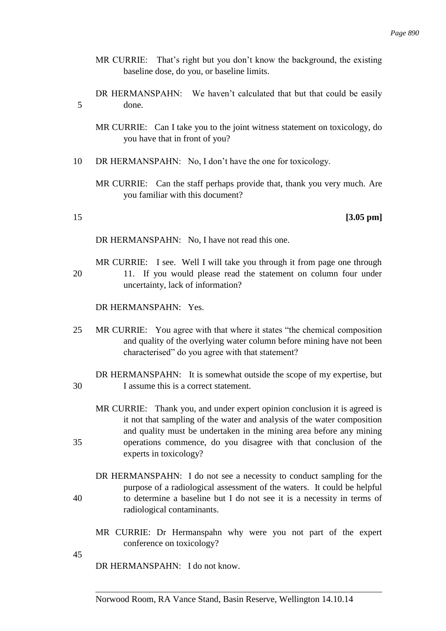- MR CURRIE: That's right but you don't know the background, the existing baseline dose, do you, or baseline limits.
- DR HERMANSPAHN: We haven't calculated that but that could be easily 5 done.
	- MR CURRIE: Can I take you to the joint witness statement on toxicology, do you have that in front of you?
- 10 DR HERMANSPAHN: No, I don't have the one for toxicology.
	- MR CURRIE: Can the staff perhaps provide that, thank you very much. Are you familiar with this document?

## 15 **[3.05 pm]**

DR HERMANSPAHN: No, I have not read this one.

MR CURRIE: I see. Well I will take you through it from page one through 20 11. If you would please read the statement on column four under uncertainty, lack of information?

DR HERMANSPAHN: Yes.

25 MR CURRIE: You agree with that where it states "the chemical composition and quality of the overlying water column before mining have not been characterised" do you agree with that statement?

DR HERMANSPAHN: It is somewhat outside the scope of my expertise, but 30 I assume this is a correct statement.

- MR CURRIE: Thank you, and under expert opinion conclusion it is agreed is it not that sampling of the water and analysis of the water composition and quality must be undertaken in the mining area before any mining 35 operations commence, do you disagree with that conclusion of the experts in toxicology?
- DR HERMANSPAHN: I do not see a necessity to conduct sampling for the purpose of a radiological assessment of the waters. It could be helpful 40 to determine a baseline but I do not see it is a necessity in terms of radiological contaminants.
	- MR CURRIE: Dr Hermanspahn why were you not part of the expert conference on toxicology?
- 45

DR HERMANSPAHN: I do not know.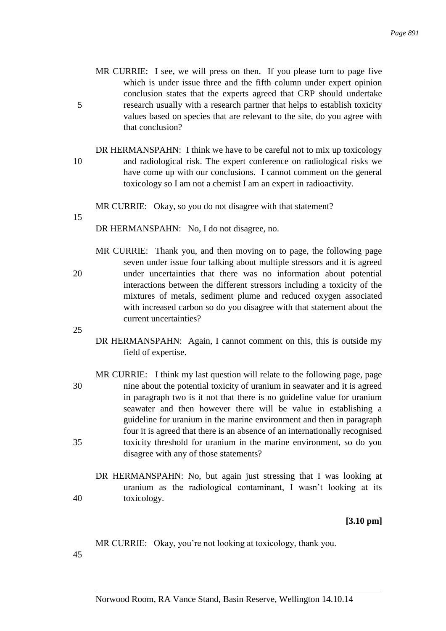- MR CURRIE: I see, we will press on then. If you please turn to page five which is under issue three and the fifth column under expert opinion conclusion states that the experts agreed that CRP should undertake 5 research usually with a research partner that helps to establish toxicity values based on species that are relevant to the site, do you agree with that conclusion?
- DR HERMANSPAHN: I think we have to be careful not to mix up toxicology 10 and radiological risk. The expert conference on radiological risks we have come up with our conclusions. I cannot comment on the general toxicology so I am not a chemist I am an expert in radioactivity.

MR CURRIE: Okay, so you do not disagree with that statement?

15

DR HERMANSPAHN: No, I do not disagree, no.

MR CURRIE: Thank you, and then moving on to page, the following page seven under issue four talking about multiple stressors and it is agreed 20 under uncertainties that there was no information about potential interactions between the different stressors including a toxicity of the mixtures of metals, sediment plume and reduced oxygen associated with increased carbon so do you disagree with that statement about the current uncertainties?

25

- DR HERMANSPAHN: Again, I cannot comment on this, this is outside my field of expertise.
- MR CURRIE: I think my last question will relate to the following page, page 30 nine about the potential toxicity of uranium in seawater and it is agreed in paragraph two is it not that there is no guideline value for uranium seawater and then however there will be value in establishing a guideline for uranium in the marine environment and then in paragraph four it is agreed that there is an absence of an internationally recognised 35 toxicity threshold for uranium in the marine environment, so do you disagree with any of those statements?
- DR HERMANSPAHN: No, but again just stressing that I was looking at uranium as the radiological contaminant, I wasn't looking at its 40 toxicology.

**[3.10 pm]**

MR CURRIE: Okay, you're not looking at toxicology, thank you.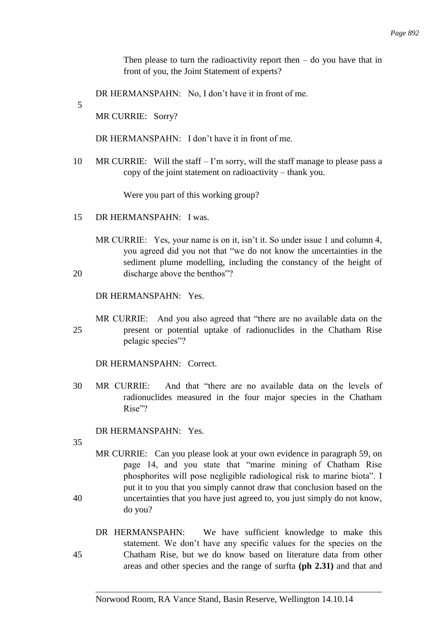Then please to turn the radioactivity report then  $-$  do you have that in front of you, the Joint Statement of experts?

DR HERMANSPAHN: No, I don't have it in front of me.

5

MR CURRIE: Sorry?

DR HERMANSPAHN: I don't have it in front of me.

10 MR CURRIE: Will the staff – I'm sorry, will the staff manage to please pass a copy of the joint statement on radioactivity – thank you.

Were you part of this working group?

- 15 DR HERMANSPAHN: I was.
- MR CURRIE: Yes, your name is on it, isn't it. So under issue 1 and column 4, you agreed did you not that "we do not know the uncertainties in the sediment plume modelling, including the constancy of the height of 20 discharge above the benthos"?

DR HERMANSPAHN: Yes.

MR CURRIE: And you also agreed that "there are no available data on the 25 present or potential uptake of radionuclides in the Chatham Rise pelagic species"?

DR HERMANSPAHN: Correct.

30 MR CURRIE: And that "there are no available data on the levels of radionuclides measured in the four major species in the Chatham Rise"?

DR HERMANSPAHN: Yes.

- MR CURRIE: Can you please look at your own evidence in paragraph 59, on page 14, and you state that "marine mining of Chatham Rise phosphorites will pose negligible radiological risk to marine biota". I put it to you that you simply cannot draw that conclusion based on the 40 uncertainties that you have just agreed to, you just simply do not know, do you?
- DR HERMANSPAHN: We have sufficient knowledge to make this statement. We don't have any specific values for the species on the 45 Chatham Rise, but we do know based on literature data from other areas and other species and the range of surfta **(ph 2.31)** and that and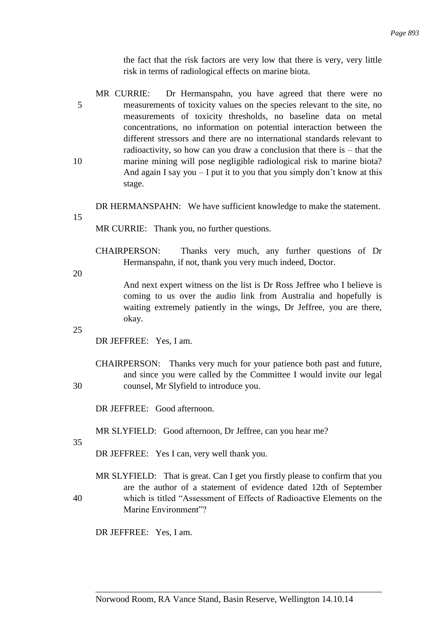the fact that the risk factors are very low that there is very, very little risk in terms of radiological effects on marine biota.

MR CURRIE: Dr Hermanspahn, you have agreed that there were no 5 measurements of toxicity values on the species relevant to the site, no measurements of toxicity thresholds, no baseline data on metal concentrations, no information on potential interaction between the different stressors and there are no international standards relevant to radioactivity, so how can you draw a conclusion that there is  $-$  that the 10 marine mining will pose negligible radiological risk to marine biota? And again I say you  $-I$  put it to you that you simply don't know at this stage.

DR HERMANSPAHN: We have sufficient knowledge to make the statement.

15

MR CURRIE: Thank you, no further questions.

CHAIRPERSON: Thanks very much, any further questions of Dr Hermanspahn, if not, thank you very much indeed, Doctor.

20

And next expert witness on the list is Dr Ross Jeffree who I believe is coming to us over the audio link from Australia and hopefully is waiting extremely patiently in the wings, Dr Jeffree, you are there, okay.

25

DR JEFFREE: Yes, I am.

CHAIRPERSON: Thanks very much for your patience both past and future, and since you were called by the Committee I would invite our legal 30 counsel, Mr Slyfield to introduce you.

DR JEFFREE: Good afternoon.

MR SLYFIELD: Good afternoon, Dr Jeffree, can you hear me?

35

DR JEFFREE: Yes I can, very well thank you.

MR SLYFIELD: That is great. Can I get you firstly please to confirm that you are the author of a statement of evidence dated 12th of September 40 which is titled "Assessment of Effects of Radioactive Elements on the Marine Environment"?

DR JEFFREE: Yes, I am.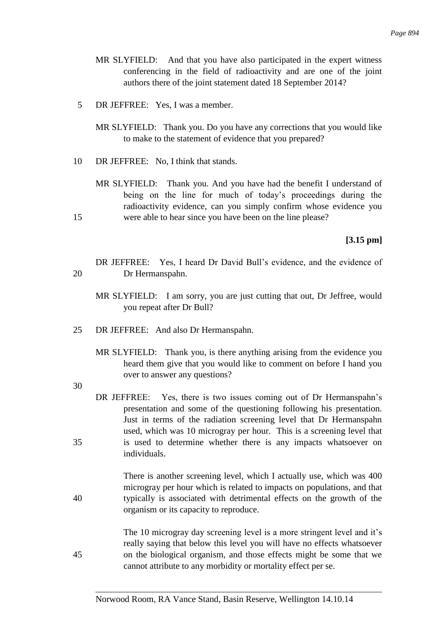- MR SLYFIELD: And that you have also participated in the expert witness conferencing in the field of radioactivity and are one of the joint authors there of the joint statement dated 18 September 2014?
- 5 DR JEFFREE: Yes, I was a member.
	- MR SLYFIELD: Thank you. Do you have any corrections that you would like to make to the statement of evidence that you prepared?
- 10 DR JEFFREE: No, I think that stands.
- MR SLYFIELD: Thank you. And you have had the benefit I understand of being on the line for much of today's proceedings during the radioactivity evidence, can you simply confirm whose evidence you 15 were able to hear since you have been on the line please?

**[3.15 pm]**

- DR JEFFREE: Yes, I heard Dr David Bull's evidence, and the evidence of 20 Dr Hermanspahn.
	- MR SLYFIELD: I am sorry, you are just cutting that out, Dr Jeffree, would you repeat after Dr Bull?
- 25 DR JEFFREE: And also Dr Hermanspahn.
	- MR SLYFIELD: Thank you, is there anything arising from the evidence you heard them give that you would like to comment on before I hand you over to answer any questions?

30

DR JEFFREE: Yes, there is two issues coming out of Dr Hermanspahn's presentation and some of the questioning following his presentation. Just in terms of the radiation screening level that Dr Hermanspahn used, which was 10 microgray per hour. This is a screening level that 35 is used to determine whether there is any impacts whatsoever on individuals.

There is another screening level, which I actually use, which was 400 microgray per hour which is related to impacts on populations, and that 40 typically is associated with detrimental effects on the growth of the organism or its capacity to reproduce.

The 10 microgray day screening level is a more stringent level and it's really saying that below this level you will have no effects whatsoever 45 on the biological organism, and those effects might be some that we cannot attribute to any morbidity or mortality effect per se.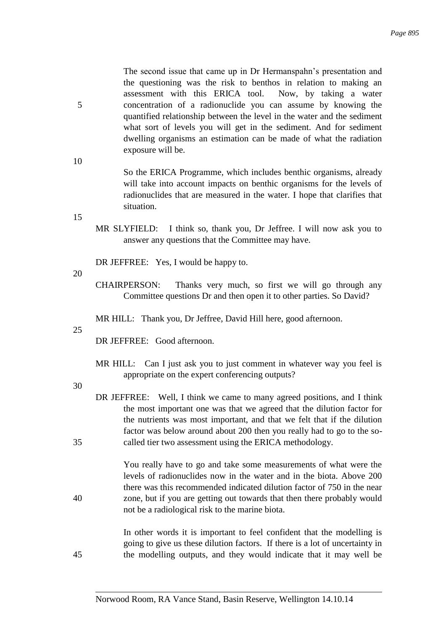The second issue that came up in Dr Hermanspahn's presentation and the questioning was the risk to benthos in relation to making an assessment with this ERICA tool. Now, by taking a water 5 concentration of a radionuclide you can assume by knowing the quantified relationship between the level in the water and the sediment what sort of levels you will get in the sediment. And for sediment dwelling organisms an estimation can be made of what the radiation exposure will be.

> So the ERICA Programme, which includes benthic organisms, already will take into account impacts on benthic organisms for the levels of radionuclides that are measured in the water. I hope that clarifies that situation.

15

10

MR SLYFIELD: I think so, thank you, Dr Jeffree. I will now ask you to answer any questions that the Committee may have.

DR JEFFREE: Yes, I would be happy to.

20

- CHAIRPERSON: Thanks very much, so first we will go through any Committee questions Dr and then open it to other parties. So David?
- MR HILL: Thank you, Dr Jeffree, David Hill here, good afternoon.

25

DR JEFFREE: Good afternoon.

MR HILL: Can I just ask you to just comment in whatever way you feel is appropriate on the expert conferencing outputs?

30

DR JEFFREE: Well, I think we came to many agreed positions, and I think the most important one was that we agreed that the dilution factor for the nutrients was most important, and that we felt that if the dilution factor was below around about 200 then you really had to go to the so-35 called tier two assessment using the ERICA methodology.

You really have to go and take some measurements of what were the levels of radionuclides now in the water and in the biota. Above 200 there was this recommended indicated dilution factor of 750 in the near 40 zone, but if you are getting out towards that then there probably would not be a radiological risk to the marine biota.

In other words it is important to feel confident that the modelling is going to give us these dilution factors. If there is a lot of uncertainty in 45 the modelling outputs, and they would indicate that it may well be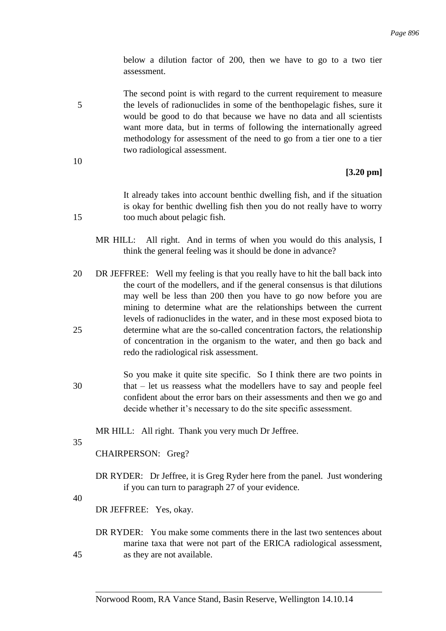below a dilution factor of 200, then we have to go to a two tier assessment.

The second point is with regard to the current requirement to measure 5 the levels of radionuclides in some of the benthopelagic fishes, sure it would be good to do that because we have no data and all scientists want more data, but in terms of following the internationally agreed methodology for assessment of the need to go from a tier one to a tier two radiological assessment.

10

## **[3.20 pm]**

It already takes into account benthic dwelling fish, and if the situation is okay for benthic dwelling fish then you do not really have to worry 15 too much about pelagic fish.

- MR HILL: All right. And in terms of when you would do this analysis, I think the general feeling was it should be done in advance?
- 20 DR JEFFREE: Well my feeling is that you really have to hit the ball back into the court of the modellers, and if the general consensus is that dilutions may well be less than 200 then you have to go now before you are mining to determine what are the relationships between the current levels of radionuclides in the water, and in these most exposed biota to 25 determine what are the so-called concentration factors, the relationship of concentration in the organism to the water, and then go back and redo the radiological risk assessment.
- So you make it quite site specific. So I think there are two points in 30 that – let us reassess what the modellers have to say and people feel confident about the error bars on their assessments and then we go and decide whether it's necessary to do the site specific assessment.

MR HILL: All right. Thank you very much Dr Jeffree.

35

CHAIRPERSON: Greg?

DR RYDER: Dr Jeffree, it is Greg Ryder here from the panel. Just wondering if you can turn to paragraph 27 of your evidence.

40

DR JEFFREE: Yes, okay.

DR RYDER: You make some comments there in the last two sentences about marine taxa that were not part of the ERICA radiological assessment, 45 as they are not available.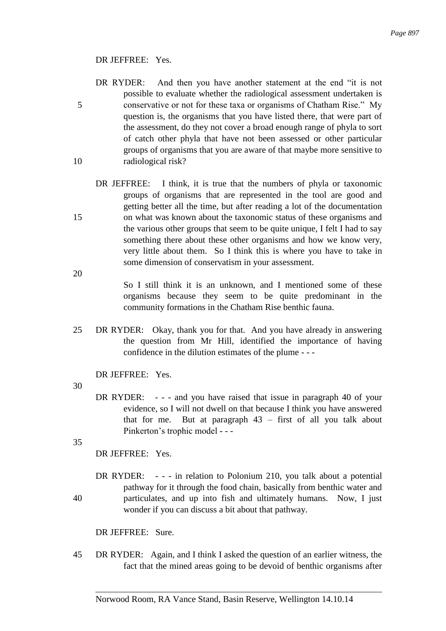## DR JEFFREE: Yes.

- DR RYDER: And then you have another statement at the end "it is not possible to evaluate whether the radiological assessment undertaken is 5 conservative or not for these taxa or organisms of Chatham Rise." My question is, the organisms that you have listed there, that were part of the assessment, do they not cover a broad enough range of phyla to sort of catch other phyla that have not been assessed or other particular groups of organisms that you are aware of that maybe more sensitive to 10 radiological risk?
- DR JEFFREE: I think, it is true that the numbers of phyla or taxonomic groups of organisms that are represented in the tool are good and getting better all the time, but after reading a lot of the documentation 15 on what was known about the taxonomic status of these organisms and the various other groups that seem to be quite unique, I felt I had to say something there about these other organisms and how we know very, very little about them. So I think this is where you have to take in some dimension of conservatism in your assessment.

So I still think it is an unknown, and I mentioned some of these organisms because they seem to be quite predominant in the community formations in the Chatham Rise benthic fauna.

25 DR RYDER: Okay, thank you for that. And you have already in answering the question from Mr Hill, identified the importance of having confidence in the dilution estimates of the plume - - -

DR JEFFREE: Yes.

30

20

DR RYDER: - - - and you have raised that issue in paragraph 40 of your evidence, so I will not dwell on that because I think you have answered that for me. But at paragraph 43 – first of all you talk about Pinkerton's trophic model - - -

35

DR JEFFREE: Yes.

DR RYDER: - - - in relation to Polonium 210, you talk about a potential pathway for it through the food chain, basically from benthic water and 40 particulates, and up into fish and ultimately humans. Now, I just wonder if you can discuss a bit about that pathway.

DR JEFFREE: Sure.

45 DR RYDER: Again, and I think I asked the question of an earlier witness, the fact that the mined areas going to be devoid of benthic organisms after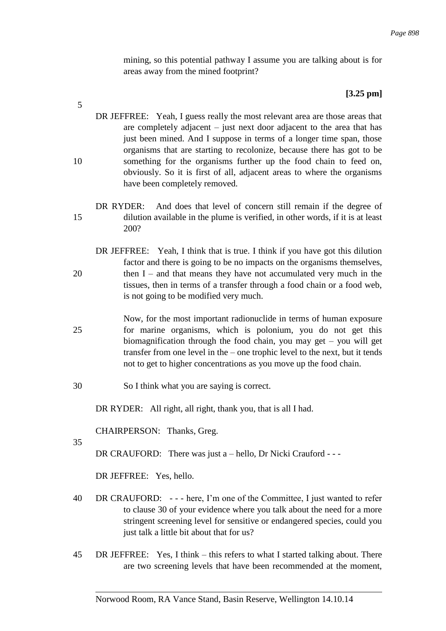mining, so this potential pathway I assume you are talking about is for areas away from the mined footprint?

# **[3.25 pm]**

- DR JEFFREE: Yeah, I guess really the most relevant area are those areas that are completely adjacent – just next door adjacent to the area that has just been mined. And I suppose in terms of a longer time span, those organisms that are starting to recolonize, because there has got to be 10 something for the organisms further up the food chain to feed on, obviously. So it is first of all, adjacent areas to where the organisms have been completely removed.
- DR RYDER: And does that level of concern still remain if the degree of 15 dilution available in the plume is verified, in other words, if it is at least 200?
- DR JEFFREE: Yeah, I think that is true. I think if you have got this dilution factor and there is going to be no impacts on the organisms themselves, 20 then I – and that means they have not accumulated very much in the tissues, then in terms of a transfer through a food chain or a food web, is not going to be modified very much.
- Now, for the most important radionuclide in terms of human exposure 25 for marine organisms, which is polonium, you do not get this biomagnification through the food chain, you may get – you will get transfer from one level in the – one trophic level to the next, but it tends not to get to higher concentrations as you move up the food chain.
- 30 So I think what you are saying is correct.

DR RYDER: All right, all right, thank you, that is all I had.

CHAIRPERSON: Thanks, Greg.

35

5

DR CRAUFORD: There was just a – hello, Dr Nicki Crauford - - -

DR JEFFREE: Yes, hello.

- 40 DR CRAUFORD: - here, I'm one of the Committee, I just wanted to refer to clause 30 of your evidence where you talk about the need for a more stringent screening level for sensitive or endangered species, could you just talk a little bit about that for us?
- 45 DR JEFFREE: Yes, I think this refers to what I started talking about. There are two screening levels that have been recommended at the moment,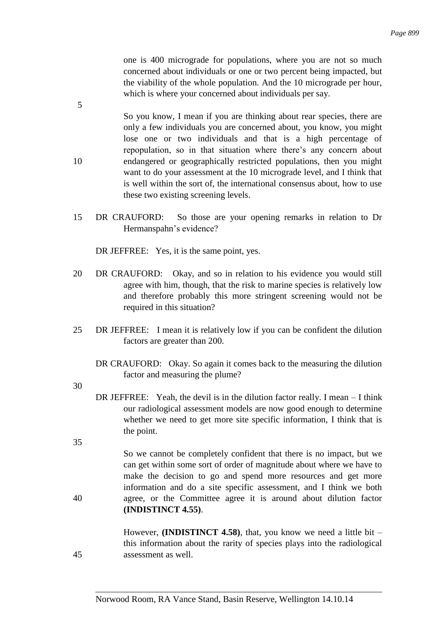one is 400 micrograde for populations, where you are not so much concerned about individuals or one or two percent being impacted, but the viability of the whole population. And the 10 micrograde per hour, which is where your concerned about individuals per say.

- So you know, I mean if you are thinking about rear species, there are only a few individuals you are concerned about, you know, you might lose one or two individuals and that is a high percentage of repopulation, so in that situation where there's any concern about 10 endangered or geographically restricted populations, then you might want to do your assessment at the 10 micrograde level, and I think that is well within the sort of, the international consensus about, how to use these two existing screening levels.
- 15 DR CRAUFORD: So those are your opening remarks in relation to Dr Hermanspahn's evidence?

DR JEFFREE: Yes, it is the same point, yes.

- 20 DR CRAUFORD: Okay, and so in relation to his evidence you would still agree with him, though, that the risk to marine species is relatively low and therefore probably this more stringent screening would not be required in this situation?
- 25 DR JEFFREE: I mean it is relatively low if you can be confident the dilution factors are greater than 200.
	- DR CRAUFORD: Okay. So again it comes back to the measuring the dilution factor and measuring the plume?

30

5

- DR JEFFREE: Yeah, the devil is in the dilution factor really. I mean I think our radiological assessment models are now good enough to determine whether we need to get more site specific information, I think that is the point.
- 35

So we cannot be completely confident that there is no impact, but we can get within some sort of order of magnitude about where we have to make the decision to go and spend more resources and get more information and do a site specific assessment, and I think we both 40 agree, or the Committee agree it is around about dilution factor **(INDISTINCT 4.55)**.

However, **(INDISTINCT 4.58)**, that, you know we need a little bit – this information about the rarity of species plays into the radiological 45 assessment as well.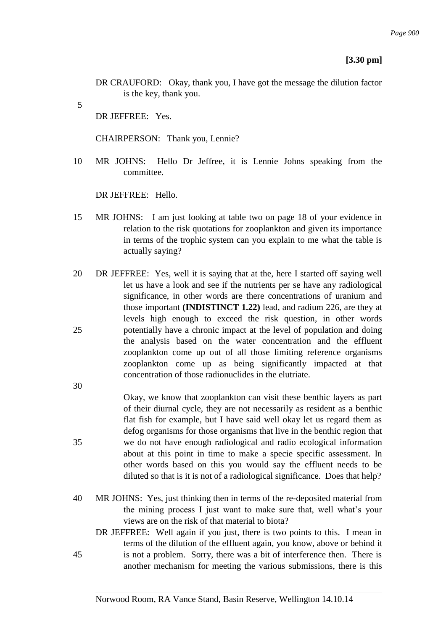### **[3.30 pm]**

- DR CRAUFORD: Okay, thank you, I have got the message the dilution factor is the key, thank you.
- 5

30

DR JEFFREE: Yes.

CHAIRPERSON: Thank you, Lennie?

10 MR JOHNS: Hello Dr Jeffree, it is Lennie Johns speaking from the committee.

DR JEFFREE: Hello.

- 15 MR JOHNS: I am just looking at table two on page 18 of your evidence in relation to the risk quotations for zooplankton and given its importance in terms of the trophic system can you explain to me what the table is actually saying?
- 20 DR JEFFREE: Yes, well it is saying that at the, here I started off saying well let us have a look and see if the nutrients per se have any radiological significance, in other words are there concentrations of uranium and those important **(INDISTINCT 1.22)** lead, and radium 226, are they at levels high enough to exceed the risk question, in other words 25 potentially have a chronic impact at the level of population and doing the analysis based on the water concentration and the effluent zooplankton come up out of all those limiting reference organisms zooplankton come up as being significantly impacted at that concentration of those radionuclides in the elutriate.
- Okay, we know that zooplankton can visit these benthic layers as part of their diurnal cycle, they are not necessarily as resident as a benthic flat fish for example, but I have said well okay let us regard them as defog organisms for those organisms that live in the benthic region that 35 we do not have enough radiological and radio ecological information about at this point in time to make a specie specific assessment. In other words based on this you would say the effluent needs to be diluted so that is it is not of a radiological significance. Does that help?
- 40 MR JOHNS: Yes, just thinking then in terms of the re-deposited material from the mining process I just want to make sure that, well what's your views are on the risk of that material to biota?
- DR JEFFREE: Well again if you just, there is two points to this. I mean in terms of the dilution of the effluent again, you know, above or behind it 45 is not a problem. Sorry, there was a bit of interference then. There is another mechanism for meeting the various submissions, there is this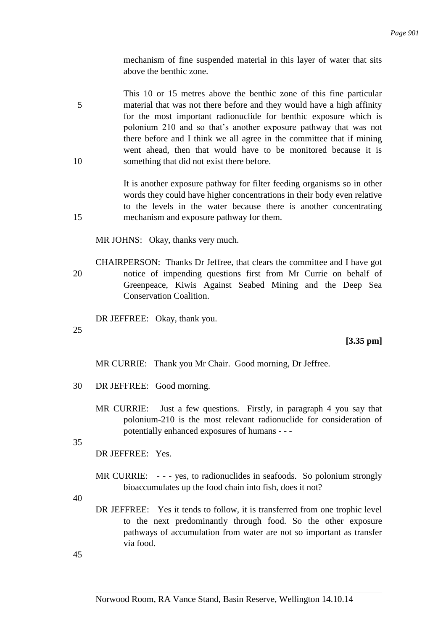mechanism of fine suspended material in this layer of water that sits above the benthic zone.

This 10 or 15 metres above the benthic zone of this fine particular 5 material that was not there before and they would have a high affinity for the most important radionuclide for benthic exposure which is polonium 210 and so that's another exposure pathway that was not there before and I think we all agree in the committee that if mining went ahead, then that would have to be monitored because it is 10 something that did not exist there before.

It is another exposure pathway for filter feeding organisms so in other words they could have higher concentrations in their body even relative to the levels in the water because there is another concentrating 15 mechanism and exposure pathway for them.

MR JOHNS: Okay, thanks very much.

CHAIRPERSON: Thanks Dr Jeffree, that clears the committee and I have got 20 notice of impending questions first from Mr Currie on behalf of Greenpeace, Kiwis Against Seabed Mining and the Deep Sea Conservation Coalition.

DR JEFFREE: Okay, thank you.

25

**[3.35 pm]**

MR CURRIE: Thank you Mr Chair. Good morning, Dr Jeffree.

- 30 DR JEFFREE: Good morning.
	- MR CURRIE: Just a few questions. Firstly, in paragraph 4 you say that polonium-210 is the most relevant radionuclide for consideration of potentially enhanced exposures of humans - - -

35

DR JEFFREE: Yes.

MR CURRIE: - - - yes, to radionuclides in seafoods. So polonium strongly bioaccumulates up the food chain into fish, does it not?

40

DR JEFFREE: Yes it tends to follow, it is transferred from one trophic level to the next predominantly through food. So the other exposure pathways of accumulation from water are not so important as transfer via food.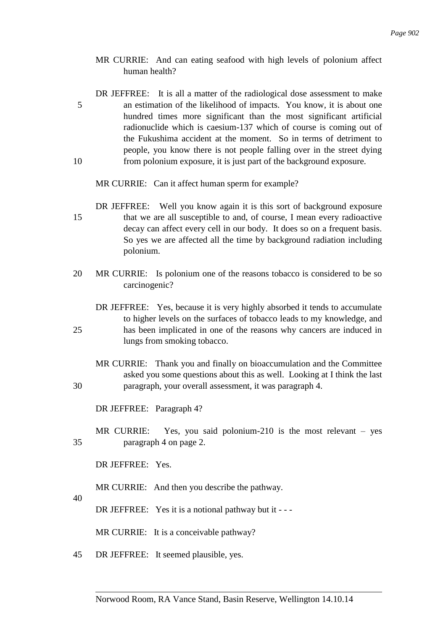- MR CURRIE: And can eating seafood with high levels of polonium affect human health?
- DR JEFFREE: It is all a matter of the radiological dose assessment to make 5 an estimation of the likelihood of impacts. You know, it is about one hundred times more significant than the most significant artificial radionuclide which is caesium-137 which of course is coming out of the Fukushima accident at the moment. So in terms of detriment to people, you know there is not people falling over in the street dying 10 from polonium exposure, it is just part of the background exposure.
	- MR CURRIE: Can it affect human sperm for example?
- DR JEFFREE: Well you know again it is this sort of background exposure 15 that we are all susceptible to and, of course, I mean every radioactive decay can affect every cell in our body. It does so on a frequent basis. So yes we are affected all the time by background radiation including polonium.
- 20 MR CURRIE: Is polonium one of the reasons tobacco is considered to be so carcinogenic?
- DR JEFFREE: Yes, because it is very highly absorbed it tends to accumulate to higher levels on the surfaces of tobacco leads to my knowledge, and 25 has been implicated in one of the reasons why cancers are induced in lungs from smoking tobacco.
- MR CURRIE: Thank you and finally on bioaccumulation and the Committee asked you some questions about this as well. Looking at I think the last 30 paragraph, your overall assessment, it was paragraph 4.

DR JEFFREE: Paragraph 4?

MR CURRIE: Yes, you said polonium-210 is the most relevant – yes 35 paragraph 4 on page 2.

DR JEFFREE: Yes.

MR CURRIE: And then you describe the pathway.

40

DR JEFFREE: Yes it is a notional pathway but it - --

MR CURRIE: It is a conceivable pathway?

45 DR JEFFREE: It seemed plausible, yes.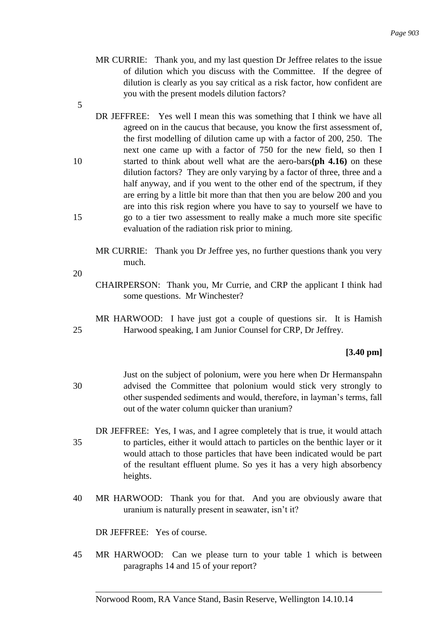- MR CURRIE: Thank you, and my last question Dr Jeffree relates to the issue of dilution which you discuss with the Committee. If the degree of dilution is clearly as you say critical as a risk factor, how confident are you with the present models dilution factors?
- 5
- DR JEFFREE: Yes well I mean this was something that I think we have all agreed on in the caucus that because, you know the first assessment of, the first modelling of dilution came up with a factor of 200, 250. The next one came up with a factor of 750 for the new field, so then I 10 started to think about well what are the aero-bars**(ph 4.16)** on these dilution factors? They are only varying by a factor of three, three and a half anyway, and if you went to the other end of the spectrum, if they are erring by a little bit more than that then you are below 200 and you are into this risk region where you have to say to yourself we have to 15 go to a tier two assessment to really make a much more site specific evaluation of the radiation risk prior to mining.

MR CURRIE: Thank you Dr Jeffree yes, no further questions thank you very much.

- 20
- CHAIRPERSON: Thank you, Mr Currie, and CRP the applicant I think had some questions. Mr Winchester?
- MR HARWOOD: I have just got a couple of questions sir. It is Hamish 25 Harwood speaking, I am Junior Counsel for CRP, Dr Jeffrey.

# **[3.40 pm]**

- Just on the subject of polonium, were you here when Dr Hermanspahn 30 advised the Committee that polonium would stick very strongly to other suspended sediments and would, therefore, in layman's terms, fall out of the water column quicker than uranium?
- DR JEFFREE: Yes, I was, and I agree completely that is true, it would attach 35 to particles, either it would attach to particles on the benthic layer or it would attach to those particles that have been indicated would be part of the resultant effluent plume. So yes it has a very high absorbency heights.
- 40 MR HARWOOD: Thank you for that. And you are obviously aware that uranium is naturally present in seawater, isn't it?

DR JEFFREE: Yes of course.

45 MR HARWOOD: Can we please turn to your table 1 which is between paragraphs 14 and 15 of your report?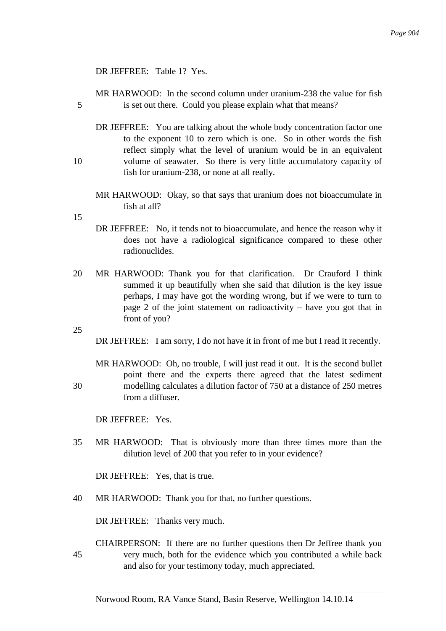### DR JEFFREE: Table 1? Yes.

MR HARWOOD: In the second column under uranium-238 the value for fish 5 is set out there. Could you please explain what that means?

- DR JEFFREE: You are talking about the whole body concentration factor one to the exponent 10 to zero which is one. So in other words the fish reflect simply what the level of uranium would be in an equivalent 10 volume of seawater. So there is very little accumulatory capacity of fish for uranium-238, or none at all really.
	- MR HARWOOD: Okay, so that says that uranium does not bioaccumulate in fish at all?
- 15
- DR JEFFREE: No, it tends not to bioaccumulate, and hence the reason why it does not have a radiological significance compared to these other radionuclides.
- 20 MR HARWOOD: Thank you for that clarification. Dr Crauford I think summed it up beautifully when she said that dilution is the key issue perhaps, I may have got the wording wrong, but if we were to turn to page 2 of the joint statement on radioactivity – have you got that in front of you?

25

DR JEFFREE: I am sorry, I do not have it in front of me but I read it recently.

MR HARWOOD: Oh, no trouble, I will just read it out. It is the second bullet point there and the experts there agreed that the latest sediment 30 modelling calculates a dilution factor of 750 at a distance of 250 metres from a diffuser.

DR JEFFREE: Yes.

35 MR HARWOOD: That is obviously more than three times more than the dilution level of 200 that you refer to in your evidence?

DR JEFFREE: Yes, that is true.

40 MR HARWOOD: Thank you for that, no further questions.

DR JEFFREE: Thanks very much.

CHAIRPERSON: If there are no further questions then Dr Jeffree thank you 45 very much, both for the evidence which you contributed a while back and also for your testimony today, much appreciated.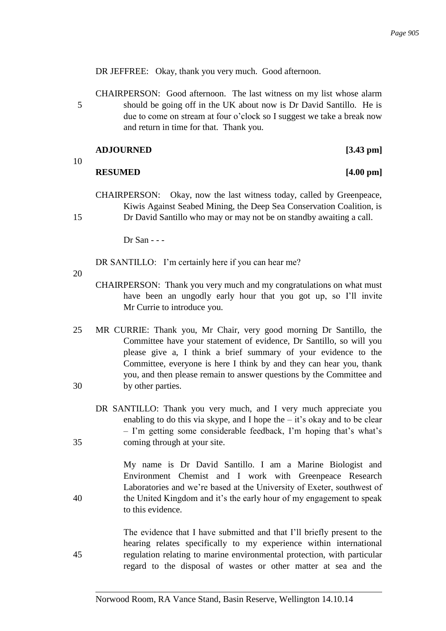DR JEFFREE: Okay, thank you very much. Good afternoon.

CHAIRPERSON: Good afternoon. The last witness on my list whose alarm 5 should be going off in the UK about now is Dr David Santillo. He is due to come on stream at four o'clock so I suggest we take a break now and return in time for that. Thank you.

| <b>ADJOURNED</b> | $[3.43 \text{ pm}]$ |
|------------------|---------------------|
|                  |                     |

10

### **RESUMED [4.00 pm]**

- CHAIRPERSON: Okay, now the last witness today, called by Greenpeace, Kiwis Against Seabed Mining, the Deep Sea Conservation Coalition, is
- 15 Dr David Santillo who may or may not be on standby awaiting a call.

Dr San - - -

DR SANTILLO: I'm certainly here if you can hear me?

- 20
- CHAIRPERSON: Thank you very much and my congratulations on what must have been an ungodly early hour that you got up, so I'll invite Mr Currie to introduce you.
- 25 MR CURRIE: Thank you, Mr Chair, very good morning Dr Santillo, the Committee have your statement of evidence, Dr Santillo, so will you please give a, I think a brief summary of your evidence to the Committee, everyone is here I think by and they can hear you, thank you, and then please remain to answer questions by the Committee and 30 by other parties.
- DR SANTILLO: Thank you very much, and I very much appreciate you enabling to do this via skype, and I hope the  $-$  it's okay and to be clear – I'm getting some considerable feedback, I'm hoping that's what's 35 coming through at your site.

My name is Dr David Santillo. I am a Marine Biologist and Environment Chemist and I work with Greenpeace Research Laboratories and we're based at the University of Exeter, southwest of 40 the United Kingdom and it's the early hour of my engagement to speak to this evidence.

The evidence that I have submitted and that I'll briefly present to the hearing relates specifically to my experience within international 45 regulation relating to marine environmental protection, with particular regard to the disposal of wastes or other matter at sea and the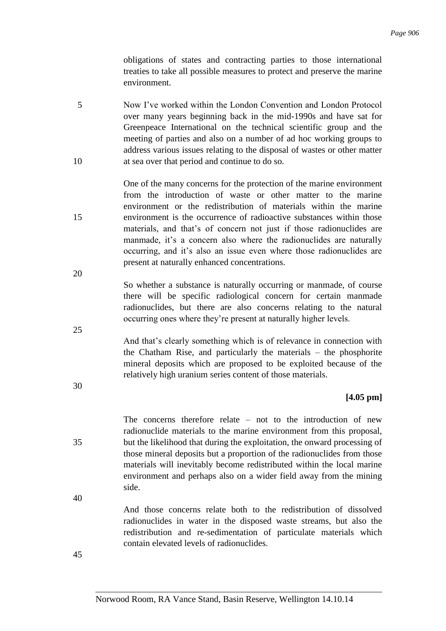obligations of states and contracting parties to those international treaties to take all possible measures to protect and preserve the marine environment.

5 Now I've worked within the London Convention and London Protocol over many years beginning back in the mid-1990s and have sat for Greenpeace International on the technical scientific group and the meeting of parties and also on a number of ad hoc working groups to address various issues relating to the disposal of wastes or other matter 10 at sea over that period and continue to do so.

One of the many concerns for the protection of the marine environment from the introduction of waste or other matter to the marine environment or the redistribution of materials within the marine 15 environment is the occurrence of radioactive substances within those materials, and that's of concern not just if those radionuclides are manmade, it's a concern also where the radionuclides are naturally occurring, and it's also an issue even where those radionuclides are present at naturally enhanced concentrations.

> So whether a substance is naturally occurring or manmade, of course there will be specific radiological concern for certain manmade radionuclides, but there are also concerns relating to the natural occurring ones where they're present at naturally higher levels.

> And that's clearly something which is of relevance in connection with the Chatham Rise, and particularly the materials – the phosphorite mineral deposits which are proposed to be exploited because of the relatively high uranium series content of those materials.

### **[4.05 pm]**

The concerns therefore relate – not to the introduction of new radionuclide materials to the marine environment from this proposal, 35 but the likelihood that during the exploitation, the onward processing of those mineral deposits but a proportion of the radionuclides from those materials will inevitably become redistributed within the local marine environment and perhaps also on a wider field away from the mining side.

40

20

25

30

And those concerns relate both to the redistribution of dissolved radionuclides in water in the disposed waste streams, but also the redistribution and re-sedimentation of particulate materials which contain elevated levels of radionuclides.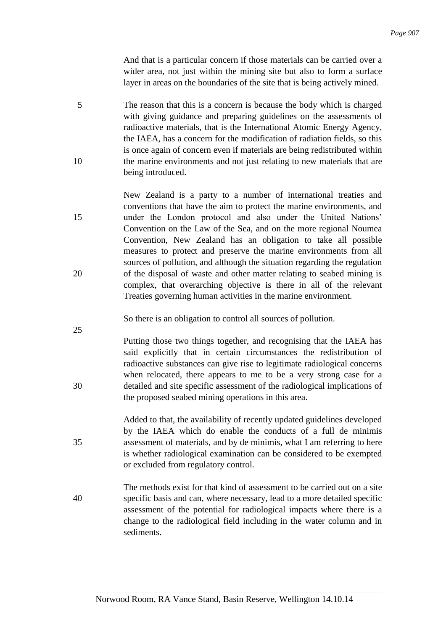And that is a particular concern if those materials can be carried over a wider area, not just within the mining site but also to form a surface layer in areas on the boundaries of the site that is being actively mined.

- 5 The reason that this is a concern is because the body which is charged with giving guidance and preparing guidelines on the assessments of radioactive materials, that is the International Atomic Energy Agency, the IAEA, has a concern for the modification of radiation fields, so this is once again of concern even if materials are being redistributed within 10 the marine environments and not just relating to new materials that are being introduced.
- New Zealand is a party to a number of international treaties and conventions that have the aim to protect the marine environments, and 15 under the London protocol and also under the United Nations' Convention on the Law of the Sea, and on the more regional Noumea Convention, New Zealand has an obligation to take all possible measures to protect and preserve the marine environments from all sources of pollution, and although the situation regarding the regulation 20 of the disposal of waste and other matter relating to seabed mining is complex, that overarching objective is there in all of the relevant Treaties governing human activities in the marine environment.

So there is an obligation to control all sources of pollution.

- Putting those two things together, and recognising that the IAEA has said explicitly that in certain circumstances the redistribution of radioactive substances can give rise to legitimate radiological concerns when relocated, there appears to me to be a very strong case for a 30 detailed and site specific assessment of the radiological implications of the proposed seabed mining operations in this area.
- Added to that, the availability of recently updated guidelines developed by the IAEA which do enable the conducts of a full de minimis 35 assessment of materials, and by de minimis, what I am referring to here is whether radiological examination can be considered to be exempted or excluded from regulatory control.
- The methods exist for that kind of assessment to be carried out on a site 40 specific basis and can, where necessary, lead to a more detailed specific assessment of the potential for radiological impacts where there is a change to the radiological field including in the water column and in sediments.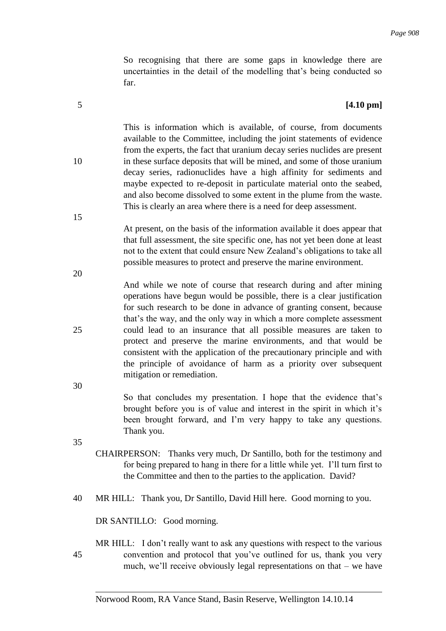So recognising that there are some gaps in knowledge there are uncertainties in the detail of the modelling that's being conducted so far.

#### 5 **[4.10 pm]**

This is information which is available, of course, from documents available to the Committee, including the joint statements of evidence from the experts, the fact that uranium decay series nuclides are present 10 in these surface deposits that will be mined, and some of those uranium decay series, radionuclides have a high affinity for sediments and maybe expected to re-deposit in particulate material onto the seabed, and also become dissolved to some extent in the plume from the waste. This is clearly an area where there is a need for deep assessment.

> At present, on the basis of the information available it does appear that that full assessment, the site specific one, has not yet been done at least not to the extent that could ensure New Zealand's obligations to take all possible measures to protect and preserve the marine environment.

And while we note of course that research during and after mining operations have begun would be possible, there is a clear justification for such research to be done in advance of granting consent, because that's the way, and the only way in which a more complete assessment 25 could lead to an insurance that all possible measures are taken to protect and preserve the marine environments, and that would be consistent with the application of the precautionary principle and with the principle of avoidance of harm as a priority over subsequent mitigation or remediation.

> So that concludes my presentation. I hope that the evidence that's brought before you is of value and interest in the spirit in which it's been brought forward, and I'm very happy to take any questions. Thank you.

35

30

- CHAIRPERSON: Thanks very much, Dr Santillo, both for the testimony and for being prepared to hang in there for a little while yet. I'll turn first to the Committee and then to the parties to the application. David?
- 40 MR HILL: Thank you, Dr Santillo, David Hill here. Good morning to you.

DR SANTILLO: Good morning.

MR HILL: I don't really want to ask any questions with respect to the various 45 convention and protocol that you've outlined for us, thank you very much, we'll receive obviously legal representations on that – we have

Norwood Room, RA Vance Stand, Basin Reserve, Wellington 14.10.14

15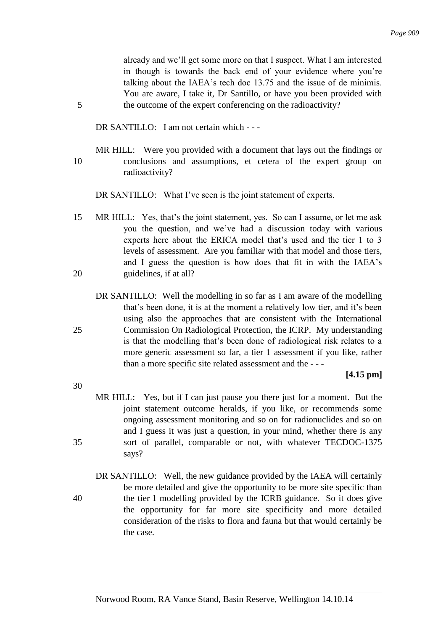already and we'll get some more on that I suspect. What I am interested in though is towards the back end of your evidence where you're talking about the IAEA's tech doc 13.75 and the issue of de minimis. You are aware, I take it, Dr Santillo, or have you been provided with 5 the outcome of the expert conferencing on the radioactivity?

DR SANTILLO: I am not certain which - - -

MR HILL: Were you provided with a document that lays out the findings or 10 conclusions and assumptions, et cetera of the expert group on radioactivity?

DR SANTILLO: What I've seen is the joint statement of experts.

- 15 MR HILL: Yes, that's the joint statement, yes. So can I assume, or let me ask you the question, and we've had a discussion today with various experts here about the ERICA model that's used and the tier 1 to 3 levels of assessment. Are you familiar with that model and those tiers, and I guess the question is how does that fit in with the IAEA's 20 guidelines, if at all?
- DR SANTILLO: Well the modelling in so far as I am aware of the modelling that's been done, it is at the moment a relatively low tier, and it's been using also the approaches that are consistent with the International 25 Commission On Radiological Protection, the ICRP. My understanding is that the modelling that's been done of radiological risk relates to a more generic assessment so far, a tier 1 assessment if you like, rather than a more specific site related assessment and the - - -

### **[4.15 pm]**

- 30
- MR HILL: Yes, but if I can just pause you there just for a moment. But the joint statement outcome heralds, if you like, or recommends some ongoing assessment monitoring and so on for radionuclides and so on and I guess it was just a question, in your mind, whether there is any 35 sort of parallel, comparable or not, with whatever TECDOC-1375 says?
- DR SANTILLO: Well, the new guidance provided by the IAEA will certainly be more detailed and give the opportunity to be more site specific than 40 the tier 1 modelling provided by the ICRB guidance. So it does give the opportunity for far more site specificity and more detailed consideration of the risks to flora and fauna but that would certainly be the case.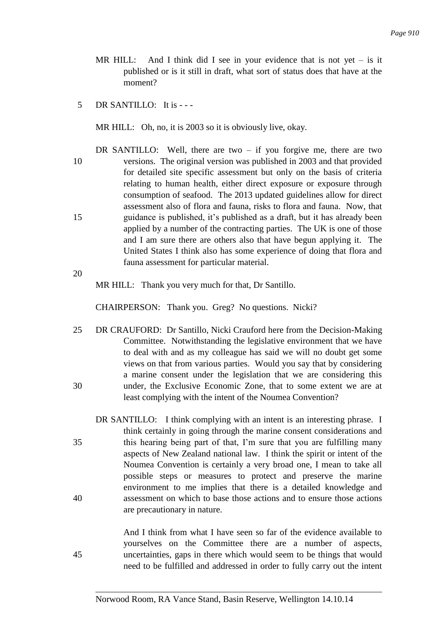- MR HILL: And I think did I see in your evidence that is not yet  $-$  is it published or is it still in draft, what sort of status does that have at the moment?
- 5 DR SANTILLO: It is - -

MR HILL: Oh, no, it is 2003 so it is obviously live, okay.

DR SANTILLO: Well, there are two  $-$  if you forgive me, there are two 10 versions. The original version was published in 2003 and that provided for detailed site specific assessment but only on the basis of criteria relating to human health, either direct exposure or exposure through consumption of seafood. The 2013 updated guidelines allow for direct assessment also of flora and fauna, risks to flora and fauna. Now, that 15 guidance is published, it's published as a draft, but it has already been applied by a number of the contracting parties. The UK is one of those and I am sure there are others also that have begun applying it. The United States I think also has some experience of doing that flora and fauna assessment for particular material.

20

MR HILL: Thank you very much for that, Dr Santillo.

CHAIRPERSON: Thank you. Greg? No questions. Nicki?

25 DR CRAUFORD: Dr Santillo, Nicki Crauford here from the Decision-Making Committee. Notwithstanding the legislative environment that we have to deal with and as my colleague has said we will no doubt get some views on that from various parties. Would you say that by considering a marine consent under the legislation that we are considering this 30 under, the Exclusive Economic Zone, that to some extent we are at least complying with the intent of the Noumea Convention?

DR SANTILLO: I think complying with an intent is an interesting phrase. I think certainly in going through the marine consent considerations and 35 this hearing being part of that, I'm sure that you are fulfilling many aspects of New Zealand national law. I think the spirit or intent of the Noumea Convention is certainly a very broad one, I mean to take all possible steps or measures to protect and preserve the marine environment to me implies that there is a detailed knowledge and 40 assessment on which to base those actions and to ensure those actions are precautionary in nature.

And I think from what I have seen so far of the evidence available to yourselves on the Committee there are a number of aspects, 45 uncertainties, gaps in there which would seem to be things that would need to be fulfilled and addressed in order to fully carry out the intent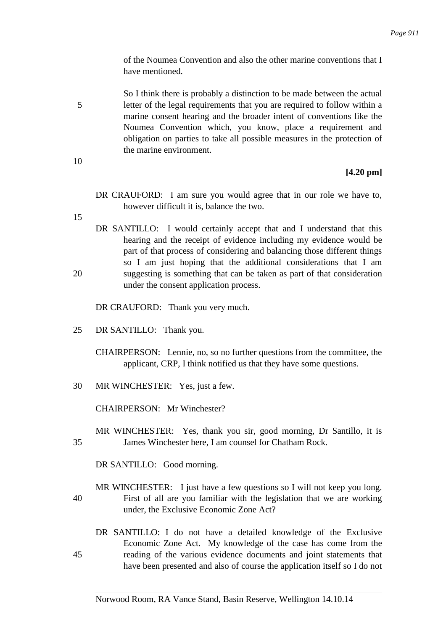of the Noumea Convention and also the other marine conventions that I have mentioned.

So I think there is probably a distinction to be made between the actual 5 letter of the legal requirements that you are required to follow within a marine consent hearing and the broader intent of conventions like the Noumea Convention which, you know, place a requirement and obligation on parties to take all possible measures in the protection of the marine environment.

10

## **[4.20 pm]**

DR CRAUFORD: I am sure you would agree that in our role we have to, however difficult it is, balance the two.

15

DR SANTILLO: I would certainly accept that and I understand that this hearing and the receipt of evidence including my evidence would be part of that process of considering and balancing those different things so I am just hoping that the additional considerations that I am 20 suggesting is something that can be taken as part of that consideration under the consent application process.

DR CRAUFORD: Thank you very much.

- 25 DR SANTILLO: Thank you.
	- CHAIRPERSON: Lennie, no, so no further questions from the committee, the applicant, CRP, I think notified us that they have some questions.
- 30 MR WINCHESTER: Yes, just a few.

CHAIRPERSON: Mr Winchester?

MR WINCHESTER: Yes, thank you sir, good morning, Dr Santillo, it is 35 James Winchester here, I am counsel for Chatham Rock.

DR SANTILLO: Good morning.

- MR WINCHESTER: I just have a few questions so I will not keep you long. 40 First of all are you familiar with the legislation that we are working under, the Exclusive Economic Zone Act?
- DR SANTILLO: I do not have a detailed knowledge of the Exclusive Economic Zone Act. My knowledge of the case has come from the 45 reading of the various evidence documents and joint statements that have been presented and also of course the application itself so I do not

Norwood Room, RA Vance Stand, Basin Reserve, Wellington 14.10.14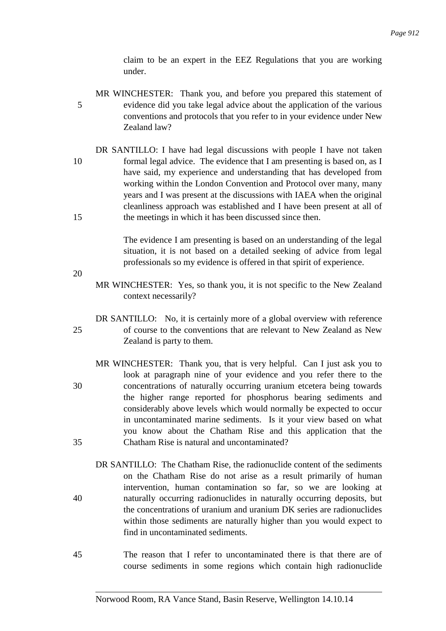claim to be an expert in the EEZ Regulations that you are working under.

- MR WINCHESTER: Thank you, and before you prepared this statement of 5 evidence did you take legal advice about the application of the various conventions and protocols that you refer to in your evidence under New Zealand law?
- DR SANTILLO: I have had legal discussions with people I have not taken 10 formal legal advice. The evidence that I am presenting is based on, as I have said, my experience and understanding that has developed from working within the London Convention and Protocol over many, many years and I was present at the discussions with IAEA when the original cleanliness approach was established and I have been present at all of 15 the meetings in which it has been discussed since then.

The evidence I am presenting is based on an understanding of the legal situation, it is not based on a detailed seeking of advice from legal professionals so my evidence is offered in that spirit of experience.

- 20
- MR WINCHESTER: Yes, so thank you, it is not specific to the New Zealand context necessarily?
- DR SANTILLO: No, it is certainly more of a global overview with reference 25 of course to the conventions that are relevant to New Zealand as New Zealand is party to them.
- MR WINCHESTER: Thank you, that is very helpful. Can I just ask you to look at paragraph nine of your evidence and you refer there to the 30 concentrations of naturally occurring uranium etcetera being towards the higher range reported for phosphorus bearing sediments and considerably above levels which would normally be expected to occur in uncontaminated marine sediments. Is it your view based on what you know about the Chatham Rise and this application that the 35 Chatham Rise is natural and uncontaminated?
- DR SANTILLO: The Chatham Rise, the radionuclide content of the sediments on the Chatham Rise do not arise as a result primarily of human intervention, human contamination so far, so we are looking at 40 naturally occurring radionuclides in naturally occurring deposits, but the concentrations of uranium and uranium DK series are radionuclides within those sediments are naturally higher than you would expect to find in uncontaminated sediments.
- 45 The reason that I refer to uncontaminated there is that there are of course sediments in some regions which contain high radionuclide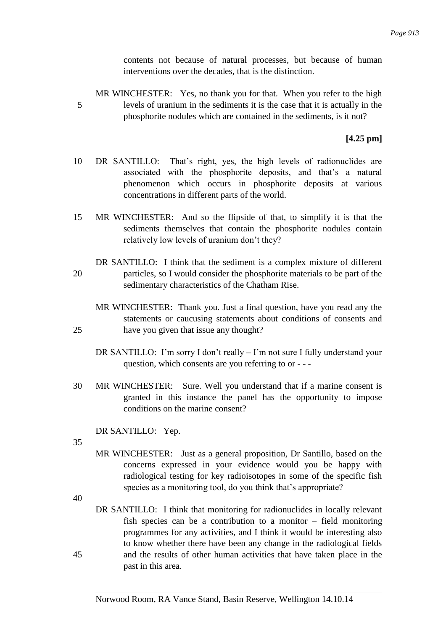contents not because of natural processes, but because of human interventions over the decades, that is the distinction.

MR WINCHESTER: Yes, no thank you for that. When you refer to the high 5 levels of uranium in the sediments it is the case that it is actually in the phosphorite nodules which are contained in the sediments, is it not?

## **[4.25 pm]**

- 10 DR SANTILLO: That's right, yes, the high levels of radionuclides are associated with the phosphorite deposits, and that's a natural phenomenon which occurs in phosphorite deposits at various concentrations in different parts of the world.
- 15 MR WINCHESTER: And so the flipside of that, to simplify it is that the sediments themselves that contain the phosphorite nodules contain relatively low levels of uranium don't they?
- DR SANTILLO: I think that the sediment is a complex mixture of different 20 particles, so I would consider the phosphorite materials to be part of the sedimentary characteristics of the Chatham Rise.
- MR WINCHESTER: Thank you. Just a final question, have you read any the statements or caucusing statements about conditions of consents and 25 have you given that issue any thought?
	- DR SANTILLO: I'm sorry I don't really I'm not sure I fully understand your question, which consents are you referring to or - - -
- 30 MR WINCHESTER: Sure. Well you understand that if a marine consent is granted in this instance the panel has the opportunity to impose conditions on the marine consent?

DR SANTILLO: Yep.

35

MR WINCHESTER: Just as a general proposition, Dr Santillo, based on the concerns expressed in your evidence would you be happy with radiological testing for key radioisotopes in some of the specific fish species as a monitoring tool, do you think that's appropriate?

40

DR SANTILLO: I think that monitoring for radionuclides in locally relevant fish species can be a contribution to a monitor – field monitoring programmes for any activities, and I think it would be interesting also to know whether there have been any change in the radiological fields 45 and the results of other human activities that have taken place in the past in this area.